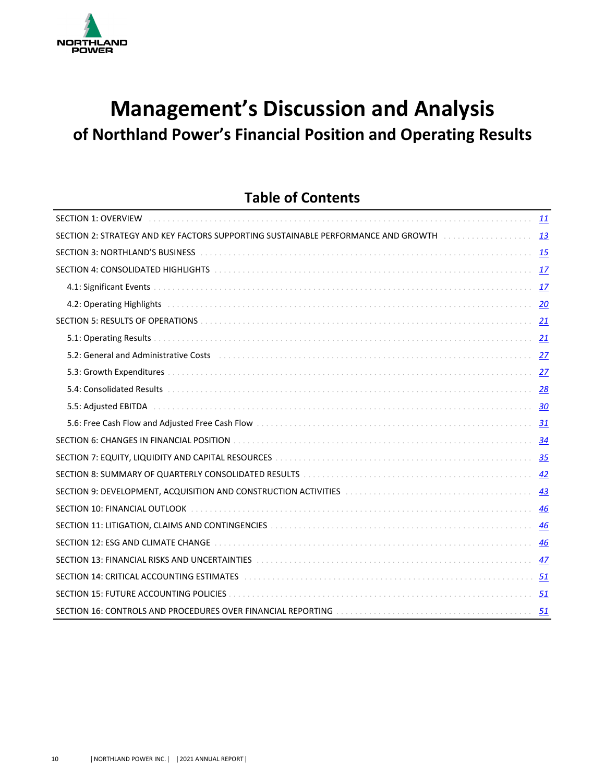

# **Management's Discussion and Analysis** of Northland Power's Financial Position and Operating Results

# **Table of Contents**

| <b>SECTION 1: OVERVIEW</b> All and all and all and all and all and all and all and all and all and all and all and all a                                                                                                           | <b>11</b> |
|------------------------------------------------------------------------------------------------------------------------------------------------------------------------------------------------------------------------------------|-----------|
| SECTION 2: STRATEGY AND KEY FACTORS SUPPORTING SUSTAINABLE PERFORMANCE AND GROWTH                                                                                                                                                  | 13        |
| <b>SECTION 3: NORTHLAND'S BUSINESS</b> And a conservation of the conservation of the conservation of the second of the second of the second of the second of the second of the second of the second of the second of the second of |           |
| SECTION 4: CONSOLIDATED HIGHLIGHTS National Conservation and Conservation of the SECTION 4: CONSOLIDATED HIGHLIGHTS                                                                                                                | 17        |
|                                                                                                                                                                                                                                    | 17        |
| 4.2: Operating Highlights (all contains and contained all contained and contained all contained and contained a                                                                                                                    |           |
|                                                                                                                                                                                                                                    |           |
|                                                                                                                                                                                                                                    | 21        |
|                                                                                                                                                                                                                                    | 27        |
|                                                                                                                                                                                                                                    |           |
|                                                                                                                                                                                                                                    |           |
|                                                                                                                                                                                                                                    |           |
|                                                                                                                                                                                                                                    |           |
| SECTION 6: CHANGES IN FINANCIAL POSITION DELLA DELLA DELLA DELLA DELLA PROGRAMA SECTION 6: CHANGES IN FINANCIAL POSITION                                                                                                           |           |
|                                                                                                                                                                                                                                    |           |
| SECTION 8: SUMMARY OF QUARTERLY CONSOLIDATED RESULTS ACCOMODATION CONTINUES AND ACCOUNT ASSET OF SUMMARY OF QUARTERLY CONSOLIDATED RESULTS AND ACCOUNT AND RESULTS AND RESULTS AND RESULTS AND RESULTS AND RESULTS AND RESULTS     | 42        |
| SECTION 9: DEVELOPMENT, ACQUISITION AND CONSTRUCTION ACTIVITIES [10] [10] ALL ACCORDINATION 9: DEVELOPMENT, ACQUISITION AND CONSTRUCTION ACTIVITIES                                                                                | 43        |
|                                                                                                                                                                                                                                    | 46        |
| SECTION 11: LITIGATION, CLAIMS AND CONTINGENCIES [11] THE RESERVED PRODUCTION 11: LITIGATION, CLAIMS AND CONTINGENCIES [11] THE RESERVED PRODUCTION ASSESSMENT RANGER AND RESERVED ASSESSMENT RANGER AND RESERVED ASSESSMENT R     |           |
|                                                                                                                                                                                                                                    | 46        |
| SECTION 13: FINANCIAL RISKS AND UNCERTAINTIES [19] ALLOWED ACCOMMENDATION ASSETTION 13: FINANCIAL RISKS AND UNCERTAINTIES [19] ALLOWED AND THE RESIDENCE AND THE RESIDENCE AND THE RESIDENCE AND THE RESIDENCE AND THE RESIDEN     | 47        |
| SECTION 14: CRITICAL ACCOUNTING ESTIMATES [10] [10] March 1999 (10] March 2010 (10] March 2010 (10] March 2010                                                                                                                     | 51        |
|                                                                                                                                                                                                                                    | 51        |
|                                                                                                                                                                                                                                    | 51        |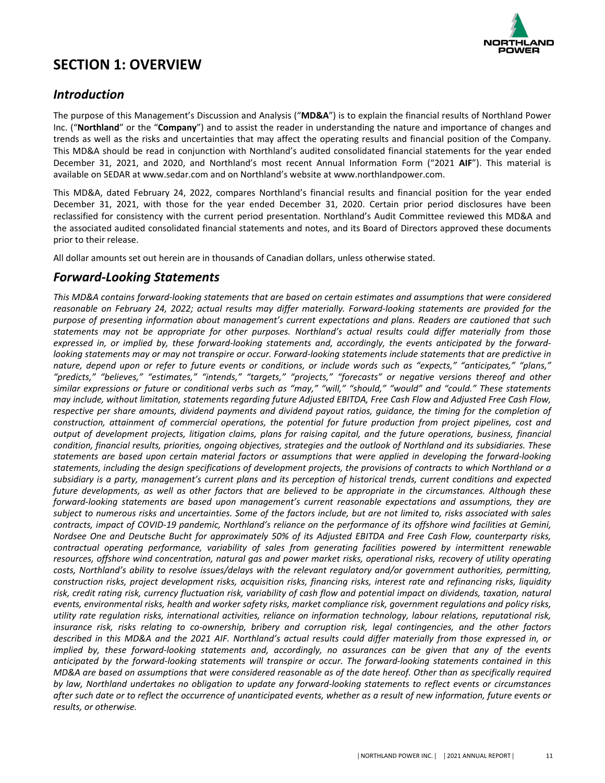

# <span id="page-1-0"></span>**SECTION 1: OVERVIEW**

# *Introduction*

The purpose of this Management's Discussion and Analysis ("MD&A") is to explain the financial results of Northland Power Inc. ("**Northland**" or the "**Company**") and to assist the reader in understanding the nature and importance of changes and trends as well as the risks and uncertainties that may affect the operating results and financial position of the Company. This MD&A should be read in conjunction with Northland's audited consolidated financial statements for the year ended December 31, 2021, and 2020, and Northland's most recent Annual Information Form ("2021 AIF"). This material is available on SEDAR at www.sedar.com and on Northland's website at www.northlandpower.com.

This MD&A, dated February 24, 2022, compares Northland's financial results and financial position for the year ended December 31, 2021, with those for the year ended December 31, 2020. Certain prior period disclosures have been reclassified for consistency with the current period presentation. Northland's Audit Committee reviewed this MD&A and the associated audited consolidated financial statements and notes, and its Board of Directors approved these documents prior to their release.

All dollar amounts set out herein are in thousands of Canadian dollars, unless otherwise stated.

# *Forward-Looking Statements*

This MD&A contains forward-looking statements that are based on certain estimates and assumptions that were considered reasonable on February 24, 2022; actual results may differ materially. Forward-looking statements are provided for the purpose of presenting information about management's current expectations and plans. Readers are cautioned that such statements may not be appropriate for other purposes. Northland's actual results could differ materially from those expressed in, or implied by, these forward-looking statements and, accordingly, the events anticipated by the forward*looking* statements may or may not transpire or occur. Forward-looking statements include statements that are predictive in nature, depend upon or refer to future events or conditions, or include words such as "expects," "anticipates," "plans," "predicts," "believes," "estimates," "intends," "targets," "projects," "forecasts" or negative versions thereof and other similar expressions or future or conditional verbs such as "may," "will," "should," "would" and "could." These statements *may include, without limitation, statements regarding future Adjusted EBITDA, Free Cash Flow and Adjusted Free Cash Flow,* respective per share amounts, dividend payments and dividend payout ratios, quidance, the timing for the completion of construction, attainment of commercial operations, the potential for future production from project pipelines, cost and *output* of development projects, litigation claims, plans for raising capital, and the future operations, business, financial condition, financial results, priorities, ongoing objectives, strategies and the outlook of Northland and its subsidiaries. These statements are based upon certain material factors or assumptions that were applied in developing the forward-looking statements, including the design specifications of development projects, the provisions of contracts to which Northland or a subsidiary is a party, management's current plans and its perception of historical trends, current conditions and expected *future developments, as well as other factors that are believed to be appropriate in the circumstances. Although these* forward-looking statements are based upon management's current reasonable expectations and assumptions, they are subject to numerous risks and uncertainties. Some of the factors include, but are not limited to, risks associated with sales *contracts, impact of COVID-19 pandemic, Northland's reliance on the performance of its offshore wind facilities at Gemini, Nordsee One and Deutsche Bucht for approximately 50% of its Adjusted EBITDA and Free Cash Flow, counterparty risks, contractual operating performance, variability of sales from generating facilities powered by intermittent renewable* resources, offshore wind concentration, natural gas and power market risks, operational risks, recovery of utility operating costs, Northland's ability to resolve issues/delays with the relevant regulatory and/or government authorities, permitting, *construction risks, project development risks, acquisition risks, financing risks, interest rate and refinancing risks, liquidity* risk, credit rating risk, currency fluctuation risk, variability of cash flow and potential impact on dividends, taxation, natural *events, environmental risks, health and worker safety risks, market compliance risk, government regulations and policy risks,* utility rate regulation risks, international activities, reliance on information technology, labour relations, reputational risk, *insurance risk, risks relating to co-ownership, bribery and corruption risk, legal contingencies, and the other factors* described in this MD&A and the 2021 AIF. Northland's actual results could differ materially from those expressed in, or *implied* by, these forward-looking statements and, accordingly, no assurances can be given that any of the events anticipated by the forward-looking statements will transpire or occur. The forward-looking statements contained in this *MD&A* are based on assumptions that were considered reasonable as of the date hereof. Other than as specifically required by law, Northland undertakes no obligation to update any forward-looking statements to reflect events or circumstances after such date or to reflect the occurrence of unanticipated events, whether as a result of new information, future events or *results, or otherwise.*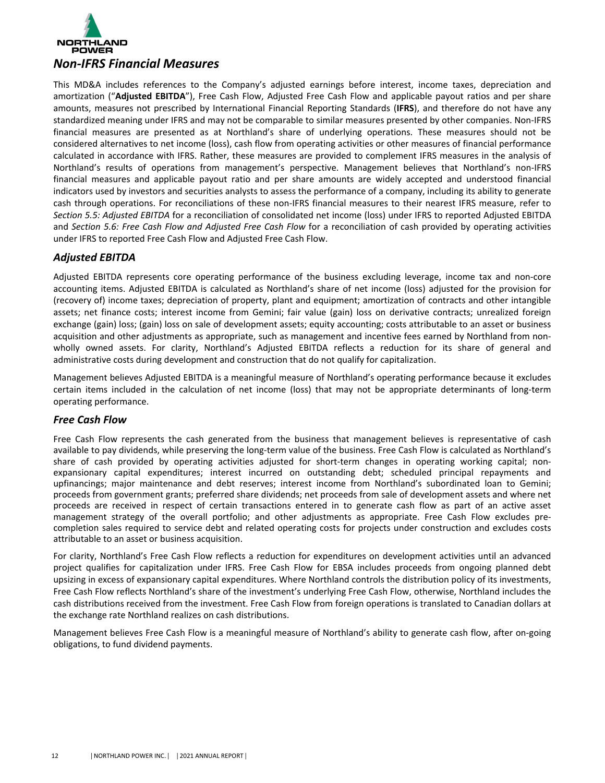

This MD&A includes references to the Company's adjusted earnings before interest, income taxes, depreciation and amortization ("Adjusted EBITDA"), Free Cash Flow, Adjusted Free Cash Flow and applicable payout ratios and per share amounts, measures not prescribed by International Financial Reporting Standards (IFRS), and therefore do not have any standardized meaning under IFRS and may not be comparable to similar measures presented by other companies. Non-IFRS financial measures are presented as at Northland's share of underlying operations. These measures should not be considered alternatives to net income (loss), cash flow from operating activities or other measures of financial performance calculated in accordance with IFRS. Rather, these measures are provided to complement IFRS measures in the analysis of Northland's results of operations from management's perspective. Management believes that Northland's non-IFRS financial measures and applicable payout ratio and per share amounts are widely accepted and understood financial indicators used by investors and securities analysts to assess the performance of a company, including its ability to generate cash through operations. For reconciliations of these non-IFRS financial measures to their nearest IFRS measure, refer to **Section 5.5: Adjusted EBITDA** for a reconciliation of consolidated net income (loss) under IFRS to reported Adjusted EBITDA and *Section* 5.6: Free Cash Flow and Adjusted Free Cash Flow for a reconciliation of cash provided by operating activities under IFRS to reported Free Cash Flow and Adjusted Free Cash Flow.

# *Adjusted EBITDA*

Adjusted EBITDA represents core operating performance of the business excluding leverage, income tax and non-core accounting items. Adjusted EBITDA is calculated as Northland's share of net income (loss) adjusted for the provision for (recovery of) income taxes; depreciation of property, plant and equipment; amortization of contracts and other intangible assets; net finance costs; interest income from Gemini; fair value (gain) loss on derivative contracts; unrealized foreign exchange (gain) loss; (gain) loss on sale of development assets; equity accounting; costs attributable to an asset or business acquisition and other adjustments as appropriate, such as management and incentive fees earned by Northland from nonwholly owned assets. For clarity, Northland's Adjusted EBITDA reflects a reduction for its share of general and administrative costs during development and construction that do not qualify for capitalization.

Management believes Adjusted EBITDA is a meaningful measure of Northland's operating performance because it excludes certain items included in the calculation of net income (loss) that may not be appropriate determinants of long-term operating performance.

# *Free Cash Flow*

Free Cash Flow represents the cash generated from the business that management believes is representative of cash available to pay dividends, while preserving the long-term value of the business. Free Cash Flow is calculated as Northland's share of cash provided by operating activities adjusted for short-term changes in operating working capital; nonexpansionary capital expenditures; interest incurred on outstanding debt; scheduled principal repayments and upfinancings; major maintenance and debt reserves; interest income from Northland's subordinated loan to Gemini; proceeds from government grants; preferred share dividends; net proceeds from sale of development assets and where net proceeds are received in respect of certain transactions entered in to generate cash flow as part of an active asset management strategy of the overall portfolio; and other adjustments as appropriate. Free Cash Flow excludes precompletion sales required to service debt and related operating costs for projects under construction and excludes costs attributable to an asset or business acquisition.

For clarity, Northland's Free Cash Flow reflects a reduction for expenditures on development activities until an advanced project qualifies for capitalization under IFRS. Free Cash Flow for EBSA includes proceeds from ongoing planned debt upsizing in excess of expansionary capital expenditures. Where Northland controls the distribution policy of its investments, Free Cash Flow reflects Northland's share of the investment's underlying Free Cash Flow, otherwise, Northland includes the cash distributions received from the investment. Free Cash Flow from foreign operations is translated to Canadian dollars at the exchange rate Northland realizes on cash distributions.

Management believes Free Cash Flow is a meaningful measure of Northland's ability to generate cash flow, after on-going obligations, to fund dividend payments.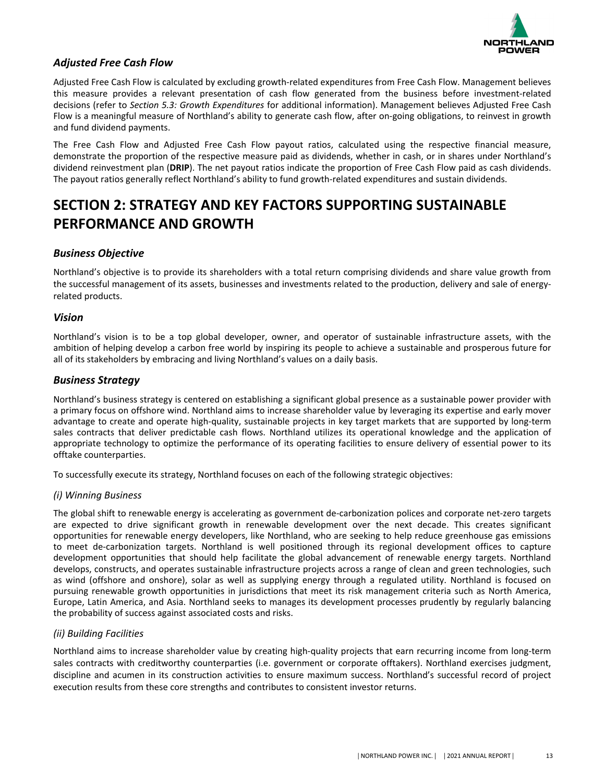

# <span id="page-3-0"></span>*Adjusted Free Cash Flow*

Adjusted Free Cash Flow is calculated by excluding growth-related expenditures from Free Cash Flow. Management believes this measure provides a relevant presentation of cash flow generated from the business before investment-related decisions (refer to *Section 5.3: Growth Expenditures* for additional information). Management believes Adjusted Free Cash Flow is a meaningful measure of Northland's ability to generate cash flow, after on-going obligations, to reinvest in growth and fund dividend payments.

The Free Cash Flow and Adjusted Free Cash Flow payout ratios, calculated using the respective financial measure, demonstrate the proportion of the respective measure paid as dividends, whether in cash, or in shares under Northland's dividend reinvestment plan (DRIP). The net payout ratios indicate the proportion of Free Cash Flow paid as cash dividends. The payout ratios generally reflect Northland's ability to fund growth-related expenditures and sustain dividends.

# **SECTION 2: STRATEGY AND KEY FACTORS SUPPORTING SUSTAINABLE PERFORMANCE AND GROWTH**

# *Business Objective*

Northland's objective is to provide its shareholders with a total return comprising dividends and share value growth from the successful management of its assets, businesses and investments related to the production, delivery and sale of energyrelated products.

### *Vision*

Northland's vision is to be a top global developer, owner, and operator of sustainable infrastructure assets, with the ambition of helping develop a carbon free world by inspiring its people to achieve a sustainable and prosperous future for all of its stakeholders by embracing and living Northland's values on a daily basis.

# *Business Strategy*

Northland's business strategy is centered on establishing a significant global presence as a sustainable power provider with a primary focus on offshore wind. Northland aims to increase shareholder value by leveraging its expertise and early mover advantage to create and operate high-quality, sustainable projects in key target markets that are supported by long-term sales contracts that deliver predictable cash flows. Northland utilizes its operational knowledge and the application of appropriate technology to optimize the performance of its operating facilities to ensure delivery of essential power to its offtake counterparties.

To successfully execute its strategy, Northland focuses on each of the following strategic objectives:

### *(i) Winning Business*

The global shift to renewable energy is accelerating as government de-carbonization polices and corporate net-zero targets are expected to drive significant growth in renewable development over the next decade. This creates significant opportunities for renewable energy developers, like Northland, who are seeking to help reduce greenhouse gas emissions to meet de-carbonization targets. Northland is well positioned through its regional development offices to capture development opportunities that should help facilitate the global advancement of renewable energy targets. Northland develops, constructs, and operates sustainable infrastructure projects across a range of clean and green technologies, such as wind (offshore and onshore), solar as well as supplying energy through a regulated utility. Northland is focused on pursuing renewable growth opportunities in jurisdictions that meet its risk management criteria such as North America, Europe, Latin America, and Asia. Northland seeks to manages its development processes prudently by regularly balancing the probability of success against associated costs and risks.

### *(ii) Building Facilities*

Northland aims to increase shareholder value by creating high-quality projects that earn recurring income from long-term sales contracts with creditworthy counterparties (i.e. government or corporate offtakers). Northland exercises judgment, discipline and acumen in its construction activities to ensure maximum success. Northland's successful record of project execution results from these core strengths and contributes to consistent investor returns.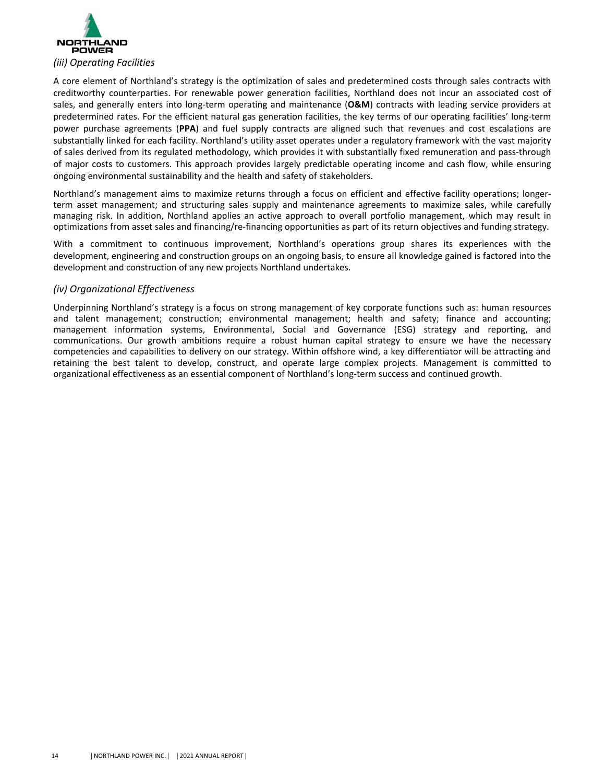

A core element of Northland's strategy is the optimization of sales and predetermined costs through sales contracts with creditworthy counterparties. For renewable power generation facilities, Northland does not incur an associated cost of sales, and generally enters into long-term operating and maintenance (O&M) contracts with leading service providers at predetermined rates. For the efficient natural gas generation facilities, the key terms of our operating facilities' long-term power purchase agreements (PPA) and fuel supply contracts are aligned such that revenues and cost escalations are substantially linked for each facility. Northland's utility asset operates under a regulatory framework with the vast majority of sales derived from its regulated methodology, which provides it with substantially fixed remuneration and pass-through of major costs to customers. This approach provides largely predictable operating income and cash flow, while ensuring ongoing environmental sustainability and the health and safety of stakeholders.

Northland's management aims to maximize returns through a focus on efficient and effective facility operations; longerterm asset management; and structuring sales supply and maintenance agreements to maximize sales, while carefully managing risk. In addition, Northland applies an active approach to overall portfolio management, which may result in optimizations from asset sales and financing/re-financing opportunities as part of its return objectives and funding strategy.

With a commitment to continuous improvement, Northland's operations group shares its experiences with the development, engineering and construction groups on an ongoing basis, to ensure all knowledge gained is factored into the development and construction of any new projects Northland undertakes.

# *(iv) Organizational Effectiveness*

Underpinning Northland's strategy is a focus on strong management of key corporate functions such as: human resources and talent management; construction; environmental management; health and safety; finance and accounting; management information systems, Environmental, Social and Governance (ESG) strategy and reporting, and communications. Our growth ambitions require a robust human capital strategy to ensure we have the necessary competencies and capabilities to delivery on our strategy. Within offshore wind, a key differentiator will be attracting and retaining the best talent to develop, construct, and operate large complex projects. Management is committed to organizational effectiveness as an essential component of Northland's long-term success and continued growth.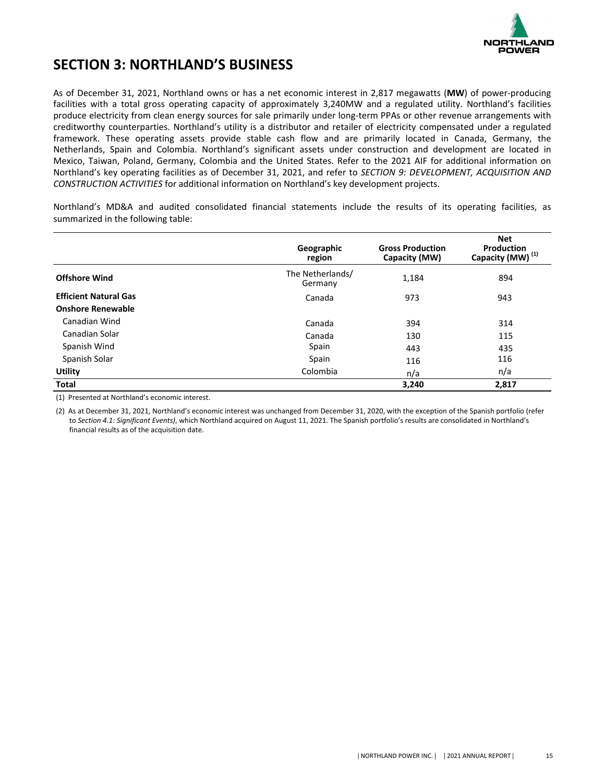

# <span id="page-5-0"></span>**SECTION 3: NORTHLAND'S BUSINESS**

As of December 31, 2021, Northland owns or has a net economic interest in 2,817 megawatts (MW) of power-producing facilities with a total gross operating capacity of approximately 3,240MW and a regulated utility. Northland's facilities produce electricity from clean energy sources for sale primarily under long-term PPAs or other revenue arrangements with creditworthy counterparties. Northland's utility is a distributor and retailer of electricity compensated under a regulated framework. These operating assets provide stable cash flow and are primarily located in Canada, Germany, the Netherlands, Spain and Colombia. Northland's significant assets under construction and development are located in Mexico, Taiwan, Poland, Germany, Colombia and the United States. Refer to the 2021 AIF for additional information on Northland's key operating facilities as of December 31, 2021, and refer to *SECTION 9: DEVELOPMENT, ACQUISITION AND CONSTRUCTION ACTIVITIES* for additional information on Northland's key development projects.

Northland's MD&A and audited consolidated financial statements include the results of its operating facilities, as summarized in the following table:

|                              | Geographic<br>region        | <b>Gross Production</b><br>Capacity (MW) | <b>Net</b><br>Production<br>Capacity (MW) <sup>(1)</sup> |
|------------------------------|-----------------------------|------------------------------------------|----------------------------------------------------------|
| <b>Offshore Wind</b>         | The Netherlands/<br>Germany | 1,184                                    | 894                                                      |
| <b>Efficient Natural Gas</b> | Canada                      | 973                                      | 943                                                      |
| <b>Onshore Renewable</b>     |                             |                                          |                                                          |
| Canadian Wind                | Canada                      | 394                                      | 314                                                      |
| Canadian Solar               | Canada                      | 130                                      | 115                                                      |
| Spanish Wind                 | Spain                       | 443                                      | 435                                                      |
| Spanish Solar                | Spain                       | 116                                      | 116                                                      |
| <b>Utility</b>               | Colombia                    | n/a                                      | n/a                                                      |
| <b>Total</b>                 |                             | 3,240                                    | 2,817                                                    |

(1) Presented at Northland's economic interest.

(2) As at December 31, 2021, Northland's economic interest was unchanged from December 31, 2020, with the exception of the Spanish portfolio (refer to Section 4.1: Significant Events), which Northland acquired on August 11, 2021. The Spanish portfolio's results are consolidated in Northland's financial results as of the acquisition date.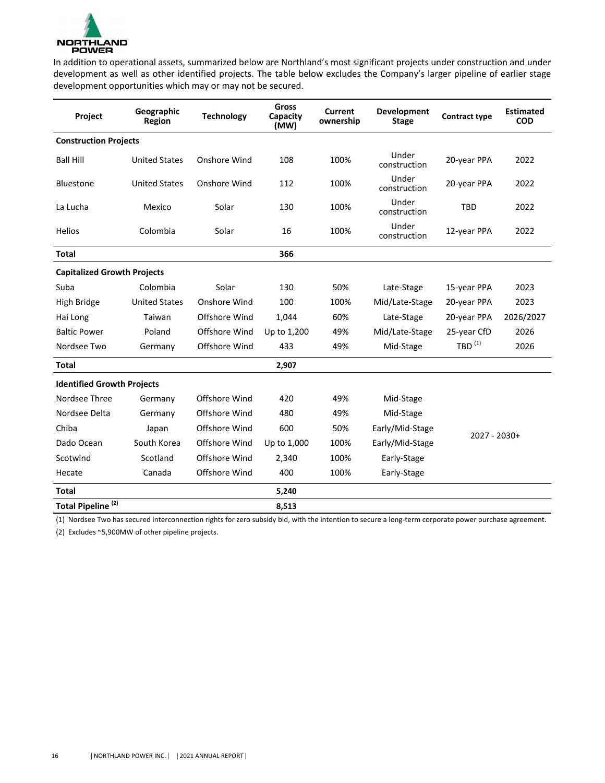

In addition to operational assets, summarized below are Northland's most significant projects under construction and under development as well as other identified projects. The table below excludes the Company's larger pipeline of earlier stage development opportunities which may or may not be secured.

| Project                            | Geographic<br>Region | <b>Technology</b> | <b>Gross</b><br>Capacity<br>(MW) | Current<br>ownership | Development<br><b>Stage</b> | <b>Contract type</b> | <b>Estimated</b><br><b>COD</b> |
|------------------------------------|----------------------|-------------------|----------------------------------|----------------------|-----------------------------|----------------------|--------------------------------|
| <b>Construction Projects</b>       |                      |                   |                                  |                      |                             |                      |                                |
| <b>Ball Hill</b>                   | <b>United States</b> | Onshore Wind      | 108                              | 100%                 | Under<br>construction       | 20-year PPA          | 2022                           |
| <b>Bluestone</b>                   | <b>United States</b> | Onshore Wind      | 112                              | 100%                 | Under<br>construction       | 20-year PPA          | 2022                           |
| La Lucha                           | Mexico               | Solar             | 130                              | 100%                 | Under<br>construction       | <b>TBD</b>           | 2022                           |
| <b>Helios</b>                      | Colombia             | Solar             | 16                               | 100%                 | Under<br>construction       | 12-year PPA          | 2022                           |
| <b>Total</b>                       |                      |                   | 366                              |                      |                             |                      |                                |
| <b>Capitalized Growth Projects</b> |                      |                   |                                  |                      |                             |                      |                                |
| Suba                               | Colombia             | Solar             | 130                              | 50%                  | Late-Stage                  | 15-year PPA          | 2023                           |
| High Bridge                        | <b>United States</b> | Onshore Wind      | 100                              | 100%                 | Mid/Late-Stage              | 20-year PPA          | 2023                           |
| Hai Long                           | Taiwan               | Offshore Wind     | 1,044                            | 60%                  | Late-Stage                  | 20-year PPA          | 2026/2027                      |
| <b>Baltic Power</b>                | Poland               | Offshore Wind     | Up to 1,200                      | 49%                  | Mid/Late-Stage              | 25-year CfD          | 2026                           |
| Nordsee Two                        | Germany              | Offshore Wind     | 433                              | 49%                  | Mid-Stage                   | $TBD$ <sup>(1)</sup> | 2026                           |
| <b>Total</b>                       |                      |                   | 2,907                            |                      |                             |                      |                                |
| <b>Identified Growth Projects</b>  |                      |                   |                                  |                      |                             |                      |                                |
| Nordsee Three                      | Germany              | Offshore Wind     | 420                              | 49%                  | Mid-Stage                   |                      |                                |
| Nordsee Delta                      | Germany              | Offshore Wind     | 480                              | 49%                  | Mid-Stage                   |                      |                                |
| Chiba                              | Japan                | Offshore Wind     | 600                              | 50%                  | Early/Mid-Stage             |                      |                                |
| Dado Ocean                         | South Korea          | Offshore Wind     | Up to 1,000                      | 100%                 | Early/Mid-Stage             | $2027 - 2030+$       |                                |
| Scotwind                           | Scotland             | Offshore Wind     | 2,340                            | 100%                 | Early-Stage                 |                      |                                |
| Hecate                             | Canada               | Offshore Wind     | 400                              | 100%                 | Early-Stage                 |                      |                                |
| <b>Total</b>                       |                      |                   | 5,240                            |                      |                             |                      |                                |
| Total Pipeline <sup>(2)</sup>      |                      |                   | 8,513                            |                      |                             |                      |                                |

(1) Nordsee Two has secured interconnection rights for zero subsidy bid, with the intention to secure a long-term corporate power purchase agreement.

(2) Excludes ~5,900MW of other pipeline projects.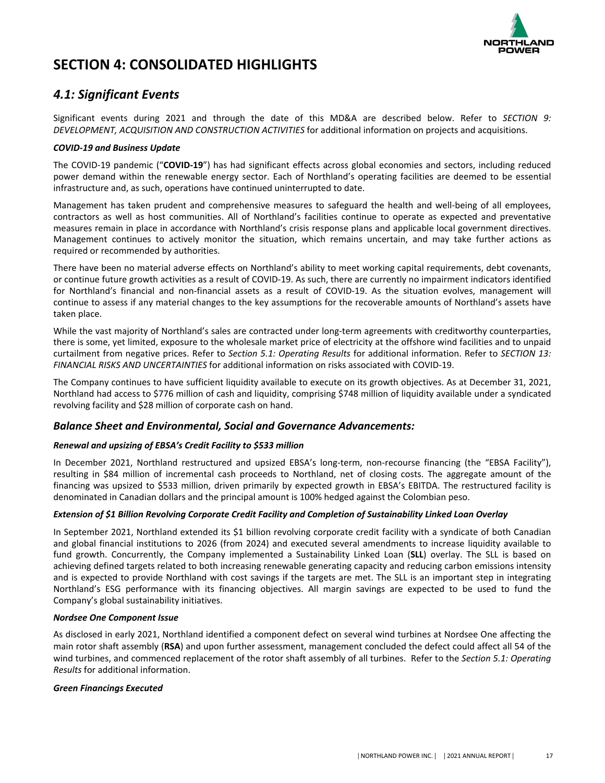

# <span id="page-7-0"></span>**SECTION 4: CONSOLIDATED HIGHLIGHTS**

# *4.1: Significant Events*

Significant events during 2021 and through the date of this MD&A are described below. Refer to *SECTION 9: DEVELOPMENT, ACQUISITION AND CONSTRUCTION ACTIVITIES* for additional information on projects and acquisitions.

### *COVID-19 and Business Update*

The COVID-19 pandemic ("COVID-19") has had significant effects across global economies and sectors, including reduced power demand within the renewable energy sector. Each of Northland's operating facilities are deemed to be essential infrastructure and, as such, operations have continued uninterrupted to date.

Management has taken prudent and comprehensive measures to safeguard the health and well-being of all employees, contractors as well as host communities. All of Northland's facilities continue to operate as expected and preventative measures remain in place in accordance with Northland's crisis response plans and applicable local government directives. Management continues to actively monitor the situation, which remains uncertain, and may take further actions as required or recommended by authorities.

There have been no material adverse effects on Northland's ability to meet working capital requirements, debt covenants, or continue future growth activities as a result of COVID-19. As such, there are currently no impairment indicators identified for Northland's financial and non-financial assets as a result of COVID-19. As the situation evolves, management will continue to assess if any material changes to the key assumptions for the recoverable amounts of Northland's assets have taken place.

While the vast majority of Northland's sales are contracted under long-term agreements with creditworthy counterparties, there is some, yet limited, exposure to the wholesale market price of electricity at the offshore wind facilities and to unpaid curtailment from negative prices. Refer to *Section* 5.1: Operating Results for additional information. Refer to *SECTION* 13: FINANCIAL RISKS AND UNCERTAINTIES for additional information on risks associated with COVID-19.

The Company continues to have sufficient liquidity available to execute on its growth objectives. As at December 31, 2021, Northland had access to \$776 million of cash and liquidity, comprising \$748 million of liquidity available under a syndicated revolving facility and \$28 million of corporate cash on hand.

# **Balance Sheet and Environmental, Social and Governance Advancements:**

### *Renewal and upsizing of EBSA's Credit Facility to \$533 million*

In December 2021, Northland restructured and upsized EBSA's long-term, non-recourse financing (the "EBSA Facility"), resulting in \$84 million of incremental cash proceeds to Northland, net of closing costs. The aggregate amount of the financing was upsized to \$533 million, driven primarily by expected growth in EBSA's EBITDA. The restructured facility is denominated in Canadian dollars and the principal amount is 100% hedged against the Colombian peso.

### *Extension of \$1 Billion Revolving Corporate Credit Facility and Completion of Sustainability Linked Loan Overlay*

In September 2021, Northland extended its \$1 billion revolving corporate credit facility with a syndicate of both Canadian and global financial institutions to 2026 (from 2024) and executed several amendments to increase liquidity available to fund growth. Concurrently, the Company implemented a Sustainability Linked Loan (SLL) overlay. The SLL is based on achieving defined targets related to both increasing renewable generating capacity and reducing carbon emissions intensity and is expected to provide Northland with cost savings if the targets are met. The SLL is an important step in integrating Northland's ESG performance with its financing objectives. All margin savings are expected to be used to fund the Company's global sustainability initiatives.

### *Nordsee One Component Issue*

As disclosed in early 2021, Northland identified a component defect on several wind turbines at Nordsee One affecting the main rotor shaft assembly (RSA) and upon further assessment, management concluded the defect could affect all 54 of the wind turbines, and commenced replacement of the rotor shaft assembly of all turbines. Refer to the *Section 5.1: Operating Results* for additional information.

### *Green Financings Executed*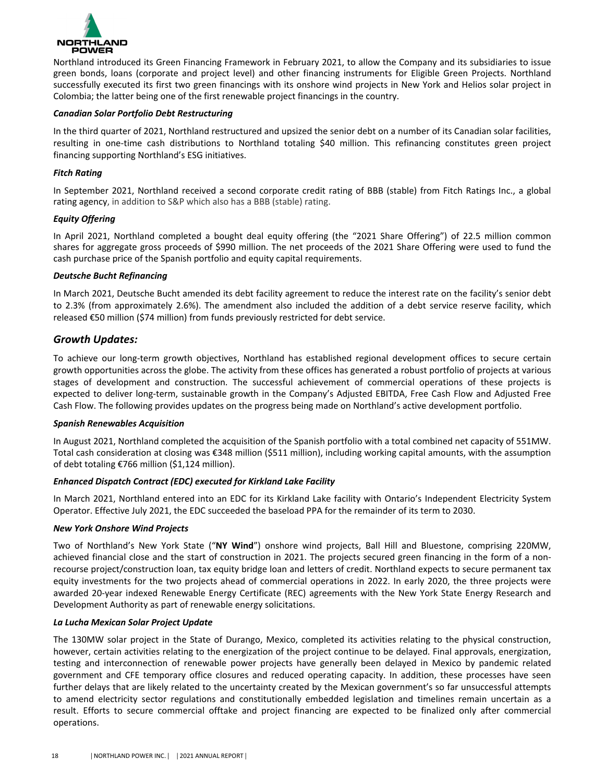

Northland introduced its Green Financing Framework in February 2021, to allow the Company and its subsidiaries to issue green bonds, loans (corporate and project level) and other financing instruments for Eligible Green Projects. Northland successfully executed its first two green financings with its onshore wind projects in New York and Helios solar project in Colombia; the latter being one of the first renewable project financings in the country.

#### *Canadian Solar Portfolio Debt Restructuring*

In the third quarter of 2021, Northland restructured and upsized the senior debt on a number of its Canadian solar facilities, resulting in one-time cash distributions to Northland totaling \$40 million. This refinancing constitutes green project financing supporting Northland's ESG initiatives.

### *Fitch Rating*

In September 2021, Northland received a second corporate credit rating of BBB (stable) from Fitch Ratings Inc., a global rating agency, in addition to S&P which also has a BBB (stable) rating.

### *Equity Offering*

In April 2021, Northland completed a bought deal equity offering (the "2021 Share Offering") of 22.5 million common shares for aggregate gross proceeds of \$990 million. The net proceeds of the 2021 Share Offering were used to fund the cash purchase price of the Spanish portfolio and equity capital requirements.

### *Deutsche Bucht Refinancing*

In March 2021, Deutsche Bucht amended its debt facility agreement to reduce the interest rate on the facility's senior debt to 2.3% (from approximately 2.6%). The amendment also included the addition of a debt service reserve facility, which released  $£50$  million (\$74 million) from funds previously restricted for debt service.

### *Growth Updates:*

To achieve our long-term growth objectives, Northland has established regional development offices to secure certain growth opportunities across the globe. The activity from these offices has generated a robust portfolio of projects at various stages of development and construction. The successful achievement of commercial operations of these projects is expected to deliver long-term, sustainable growth in the Company's Adjusted EBITDA, Free Cash Flow and Adjusted Free Cash Flow. The following provides updates on the progress being made on Northland's active development portfolio.

### *Spanish Renewables Acquisition*

In August 2021, Northland completed the acquisition of the Spanish portfolio with a total combined net capacity of 551MW. Total cash consideration at closing was  $\epsilon$ 348 million (\$511 million), including working capital amounts, with the assumption of debt totaling €766 million  $(§1,124$  million).

### *Enhanced Dispatch Contract (EDC) executed for Kirkland Lake Facility*

In March 2021, Northland entered into an EDC for its Kirkland Lake facility with Ontario's Independent Electricity System Operator. Effective July 2021, the EDC succeeded the baseload PPA for the remainder of its term to 2030.

### *New York Onshore Wind Projects*

Two of Northland's New York State ("NY Wind") onshore wind projects, Ball Hill and Bluestone, comprising 220MW, achieved financial close and the start of construction in 2021. The projects secured green financing in the form of a nonrecourse project/construction loan, tax equity bridge loan and letters of credit. Northland expects to secure permanent tax equity investments for the two projects ahead of commercial operations in 2022. In early 2020, the three projects were awarded 20-year indexed Renewable Energy Certificate (REC) agreements with the New York State Energy Research and Development Authority as part of renewable energy solicitations.

### *La Lucha Mexican Solar Project Update*

The 130MW solar project in the State of Durango, Mexico, completed its activities relating to the physical construction, however, certain activities relating to the energization of the project continue to be delayed. Final approvals, energization, testing and interconnection of renewable power projects have generally been delayed in Mexico by pandemic related government and CFE temporary office closures and reduced operating capacity. In addition, these processes have seen further delays that are likely related to the uncertainty created by the Mexican government's so far unsuccessful attempts to amend electricity sector regulations and constitutionally embedded legislation and timelines remain uncertain as a result. Efforts to secure commercial offtake and project financing are expected to be finalized only after commercial operations.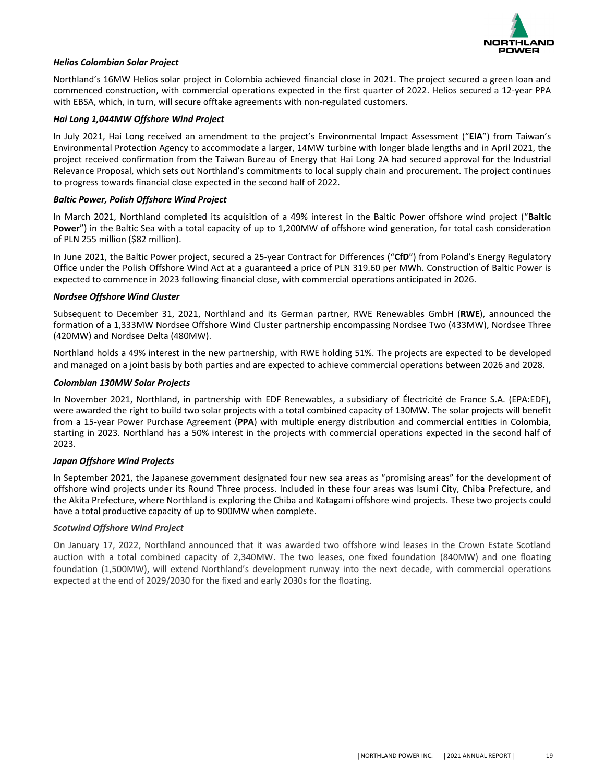

### *Helios Colombian Solar Project*

Northland's 16MW Helios solar project in Colombia achieved financial close in 2021. The project secured a green loan and commenced construction, with commercial operations expected in the first quarter of 2022. Helios secured a 12-year PPA with EBSA, which, in turn, will secure offtake agreements with non-regulated customers.

#### *Hai Long 1,044MW Offshore Wind Project*

In July 2021, Hai Long received an amendment to the project's Environmental Impact Assessment ("**EIA**") from Taiwan's Environmental Protection Agency to accommodate a larger, 14MW turbine with longer blade lengths and in April 2021, the project received confirmation from the Taiwan Bureau of Energy that Hai Long 2A had secured approval for the Industrial Relevance Proposal, which sets out Northland's commitments to local supply chain and procurement. The project continues to progress towards financial close expected in the second half of 2022.

#### *Baltic Power, Polish Offshore Wind Project*

In March 2021, Northland completed its acquisition of a 49% interest in the Baltic Power offshore wind project ("Baltic **Power**") in the Baltic Sea with a total capacity of up to 1,200MW of offshore wind generation, for total cash consideration of PLN 255 million (\$82 million).

In June 2021, the Baltic Power project, secured a 25-year Contract for Differences ("CfD") from Poland's Energy Regulatory Office under the Polish Offshore Wind Act at a guaranteed a price of PLN 319.60 per MWh. Construction of Baltic Power is expected to commence in 2023 following financial close, with commercial operations anticipated in 2026.

#### *Nordsee Offshore Wind Cluster*

Subsequent to December 31, 2021, Northland and its German partner, RWE Renewables GmbH (RWE), announced the formation of a 1,333MW Nordsee Offshore Wind Cluster partnership encompassing Nordsee Two (433MW), Nordsee Three (420MW) and Nordsee Delta (480MW).

Northland holds a 49% interest in the new partnership, with RWE holding 51%. The projects are expected to be developed and managed on a joint basis by both parties and are expected to achieve commercial operations between 2026 and 2028.

#### *Colombian 130MW Solar Projects*

In November 2021, Northland, in partnership with EDF Renewables, a subsidiary of Électricité de France S.A. (EPA:EDF), were awarded the right to build two solar projects with a total combined capacity of 130MW. The solar projects will benefit from a 15-year Power Purchase Agreement (PPA) with multiple energy distribution and commercial entities in Colombia, starting in 2023. Northland has a 50% interest in the projects with commercial operations expected in the second half of 2023.

### *Japan Offshore Wind Projects*

In September 2021, the Japanese government designated four new sea areas as "promising areas" for the development of offshore wind projects under its Round Three process. Included in these four areas was Isumi City, Chiba Prefecture, and the Akita Prefecture, where Northland is exploring the Chiba and Katagami offshore wind projects. These two projects could have a total productive capacity of up to 900MW when complete.

### *Scotwind Offshore Wind Project*

On January 17, 2022, Northland announced that it was awarded two offshore wind leases in the Crown Estate Scotland auction with a total combined capacity of 2,340MW. The two leases, one fixed foundation (840MW) and one floating foundation (1,500MW), will extend Northland's development runway into the next decade, with commercial operations expected at the end of 2029/2030 for the fixed and early 2030s for the floating.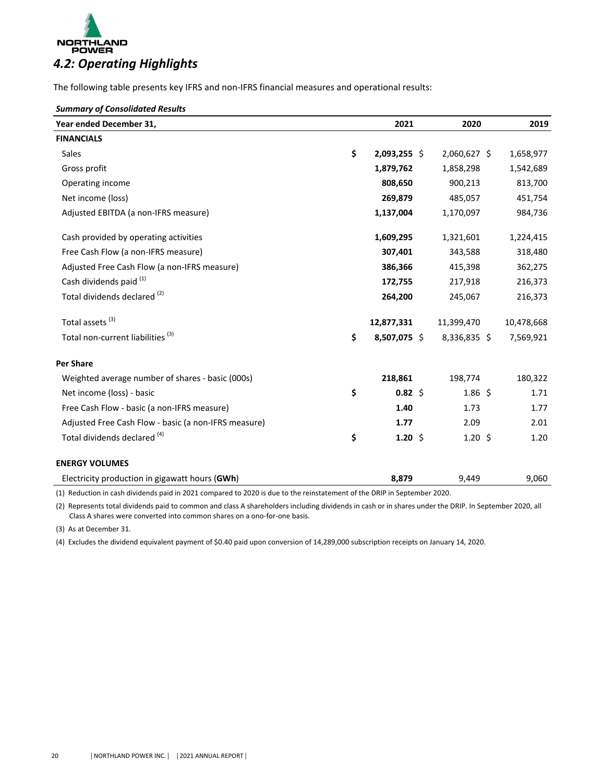<span id="page-10-0"></span>

The following table presents key IFRS and non-IFRS financial measures and operational results:

#### *Summary of Consolidated Results*

| Year ended December 31,                              | 2021               | 2020               | 2019       |
|------------------------------------------------------|--------------------|--------------------|------------|
| <b>FINANCIALS</b>                                    |                    |                    |            |
| Sales                                                | \$<br>2,093,255 \$ | 2,060,627 \$       | 1,658,977  |
| Gross profit                                         | 1,879,762          | 1,858,298          | 1,542,689  |
| Operating income                                     | 808,650            | 900,213            | 813,700    |
| Net income (loss)                                    | 269,879            | 485,057            | 451,754    |
| Adjusted EBITDA (a non-IFRS measure)                 | 1,137,004          | 1,170,097          | 984,736    |
| Cash provided by operating activities                | 1,609,295          | 1,321,601          | 1,224,415  |
| Free Cash Flow (a non-IFRS measure)                  | 307,401            | 343,588            | 318,480    |
| Adjusted Free Cash Flow (a non-IFRS measure)         | 386,366            | 415,398            | 362,275    |
| Cash dividends paid <sup>(1)</sup>                   | 172,755            | 217,918            | 216,373    |
| Total dividends declared <sup>(2)</sup>              | 264,200            | 245,067            | 216,373    |
| Total assets <sup>(3)</sup>                          | 12,877,331         | 11,399,470         | 10,478,668 |
| Total non-current liabilities <sup>(3)</sup>         | \$<br>8,507,075 \$ | 8,336,835 \$       | 7,569,921  |
| <b>Per Share</b>                                     |                    |                    |            |
| Weighted average number of shares - basic (000s)     | 218,861            | 198,774            | 180,322    |
| Net income (loss) - basic                            | \$<br>$0.82 \;$ \$ | $1.86\;$ \$        | 1.71       |
| Free Cash Flow - basic (a non-IFRS measure)          | 1.40               | 1.73               | 1.77       |
| Adjusted Free Cash Flow - basic (a non-IFRS measure) | 1.77               | 2.09               | 2.01       |
| Total dividends declared (4)                         | \$<br>1.20 \$      | $1.20 \; \text{S}$ | 1.20       |
| <b>ENERGY VOLUMES</b>                                |                    |                    |            |
| Electricity production in gigawatt hours (GWh)       | 8,879              | 9,449              | 9,060      |

(1) Reduction in cash dividends paid in 2021 compared to 2020 is due to the reinstatement of the DRIP in September 2020.

(2) Represents total dividends paid to common and class A shareholders including dividends in cash or in shares under the DRIP. In September 2020, all Class A shares were converted into common shares on a ono-for-one basis.

(3) As at December 31.

(4) Excludes the dividend equivalent payment of \$0.40 paid upon conversion of 14,289,000 subscription receipts on January 14, 2020.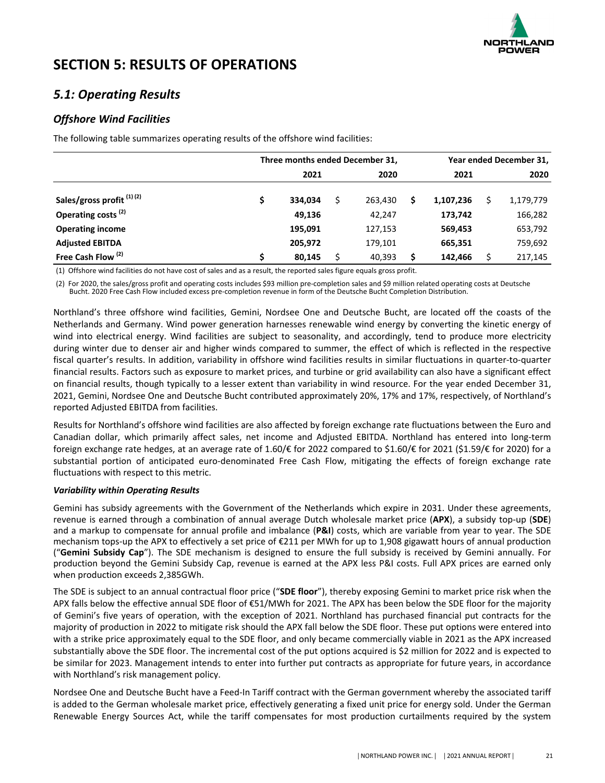

# <span id="page-11-0"></span>**SECTION 5: RESULTS OF OPERATIONS**

# *5.1: Operating Results*

# *Offshore Wind Facilities*

The following table summarizes operating results of the offshore wind facilities:

|                                | Three months ended December 31, |         |    |         |    | Year ended December 31, |  |           |  |
|--------------------------------|---------------------------------|---------|----|---------|----|-------------------------|--|-----------|--|
|                                |                                 | 2021    |    | 2020    |    | 2021                    |  | 2020      |  |
| Sales/gross profit (1)(2)      |                                 | 334,034 | \$ | 263.430 | \$ | 1,107,236               |  | 1,179,779 |  |
| Operating costs <sup>(2)</sup> |                                 | 49,136  |    | 42.247  |    | 173,742                 |  | 166,282   |  |
| <b>Operating income</b>        |                                 | 195,091 |    | 127,153 |    | 569,453                 |  | 653,792   |  |
| <b>Adjusted EBITDA</b>         |                                 | 205,972 |    | 179,101 |    | 665,351                 |  | 759,692   |  |
| Free Cash Flow <sup>(2)</sup>  |                                 | 80,145  |    | 40,393  | S  | 142,466                 |  | 217,145   |  |

(1) Offshore wind facilities do not have cost of sales and as a result, the reported sales figure equals gross profit.

(2) For 2020, the sales/gross profit and operating costs includes \$93 million pre-completion sales and \$9 million related operating costs at Deutsche Bucht. 2020 Free Cash Flow included excess pre-completion revenue in form of the Deutsche Bucht Completion Distribution.

Northland's three offshore wind facilities, Gemini, Nordsee One and Deutsche Bucht, are located off the coasts of the Netherlands and Germany. Wind power generation harnesses renewable wind energy by converting the kinetic energy of wind into electrical energy. Wind facilities are subject to seasonality, and accordingly, tend to produce more electricity during winter due to denser air and higher winds compared to summer, the effect of which is reflected in the respective fiscal quarter's results. In addition, variability in offshore wind facilities results in similar fluctuations in quarter-to-quarter financial results. Factors such as exposure to market prices, and turbine or grid availability can also have a significant effect on financial results, though typically to a lesser extent than variability in wind resource. For the year ended December 31, 2021, Gemini, Nordsee One and Deutsche Bucht contributed approximately 20%, 17% and 17%, respectively, of Northland's reported Adjusted EBITDA from facilities.

Results for Northland's offshore wind facilities are also affected by foreign exchange rate fluctuations between the Euro and Canadian dollar, which primarily affect sales, net income and Adjusted EBITDA. Northland has entered into long-term foreign exchange rate hedges, at an average rate of 1.60/€ for 2022 compared to \$1.60/€ for 2021 (\$1.59/€ for 2020) for a substantial portion of anticipated euro-denominated Free Cash Flow, mitigating the effects of foreign exchange rate fluctuations with respect to this metric.

### *Variability within Operating Results*

Gemini has subsidy agreements with the Government of the Netherlands which expire in 2031. Under these agreements, revenue is earned through a combination of annual average Dutch wholesale market price (APX), a subsidy top-up (SDE) and a markup to compensate for annual profile and imbalance (P&I) costs, which are variable from year to year. The SDE mechanism tops-up the APX to effectively a set price of €211 per MWh for up to 1,908 gigawatt hours of annual production ("Gemini Subsidy Cap"). The SDE mechanism is designed to ensure the full subsidy is received by Gemini annually. For production beyond the Gemini Subsidy Cap, revenue is earned at the APX less P&I costs. Full APX prices are earned only when production exceeds 2,385GWh.

The SDE is subject to an annual contractual floor price ("**SDE floor**"), thereby exposing Gemini to market price risk when the APX falls below the effective annual SDE floor of €51/MWh for 2021. The APX has been below the SDE floor for the majority of Gemini's five years of operation, with the exception of 2021. Northland has purchased financial put contracts for the majority of production in 2022 to mitigate risk should the APX fall below the SDE floor. These put options were entered into with a strike price approximately equal to the SDE floor, and only became commercially viable in 2021 as the APX increased substantially above the SDE floor. The incremental cost of the put options acquired is \$2 million for 2022 and is expected to be similar for 2023. Management intends to enter into further put contracts as appropriate for future years, in accordance with Northland's risk management policy.

Nordsee One and Deutsche Bucht have a Feed-In Tariff contract with the German government whereby the associated tariff is added to the German wholesale market price, effectively generating a fixed unit price for energy sold. Under the German Renewable Energy Sources Act, while the tariff compensates for most production curtailments required by the system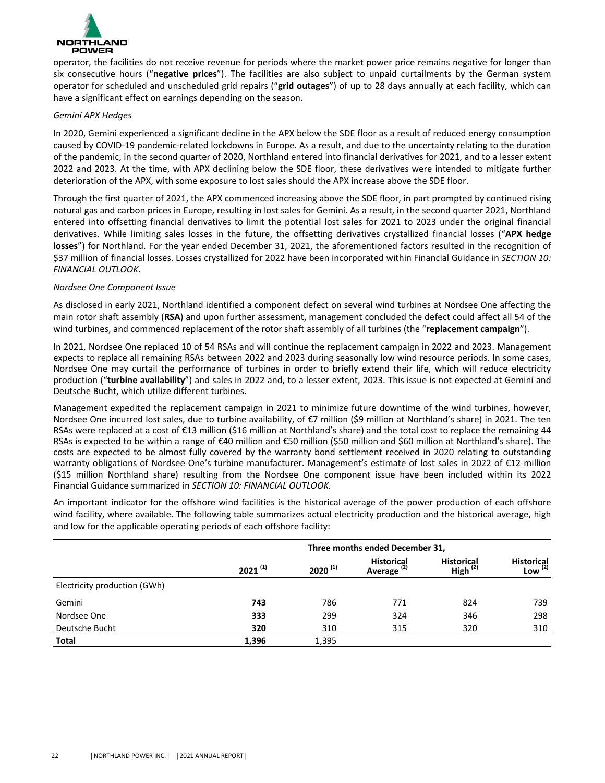

operator, the facilities do not receive revenue for periods where the market power price remains negative for longer than six consecutive hours ("negative prices"). The facilities are also subject to unpaid curtailments by the German system operator for scheduled and unscheduled grid repairs ("grid outages") of up to 28 days annually at each facility, which can have a significant effect on earnings depending on the season.

### *Gemini APX Hedges*

In 2020, Gemini experienced a significant decline in the APX below the SDE floor as a result of reduced energy consumption caused by COVID-19 pandemic-related lockdowns in Europe. As a result, and due to the uncertainty relating to the duration of the pandemic, in the second quarter of 2020, Northland entered into financial derivatives for 2021, and to a lesser extent 2022 and 2023. At the time, with APX declining below the SDE floor, these derivatives were intended to mitigate further deterioration of the APX, with some exposure to lost sales should the APX increase above the SDE floor.

Through the first quarter of 2021, the APX commenced increasing above the SDE floor, in part prompted by continued rising natural gas and carbon prices in Europe, resulting in lost sales for Gemini. As a result, in the second quarter 2021, Northland entered into offsetting financial derivatives to limit the potential lost sales for 2021 to 2023 under the original financial derivatives. While limiting sales losses in the future, the offsetting derivatives crystallized financial losses ("APX hedge **losses**") for Northland. For the year ended December 31, 2021, the aforementioned factors resulted in the recognition of \$37 million of financial losses. Losses crystallized for 2022 have been incorporated within Financial Guidance in *SECTION 10: FINANCIAL OUTLOOK*. 

### *Nordsee One Component Issue*

As disclosed in early 2021, Northland identified a component defect on several wind turbines at Nordsee One affecting the main rotor shaft assembly (**RSA**) and upon further assessment, management concluded the defect could affect all 54 of the wind turbines, and commenced replacement of the rotor shaft assembly of all turbines (the "replacement campaign").

In 2021, Nordsee One replaced 10 of 54 RSAs and will continue the replacement campaign in 2022 and 2023. Management expects to replace all remaining RSAs between 2022 and 2023 during seasonally low wind resource periods. In some cases, Nordsee One may curtail the performance of turbines in order to briefly extend their life, which will reduce electricity production ("turbine availability") and sales in 2022 and, to a lesser extent, 2023. This issue is not expected at Gemini and Deutsche Bucht, which utilize different turbines.

Management expedited the replacement campaign in 2021 to minimize future downtime of the wind turbines, however, Nordsee One incurred lost sales, due to turbine availability, of €7 million (\$9 million at Northland's share) in 2021. The ten RSAs were replaced at a cost of  $E13$  million (\$16 million at Northland's share) and the total cost to replace the remaining 44 RSAs is expected to be within a range of €40 million and €50 million (\$50 million and \$60 million at Northland's share). The costs are expected to be almost fully covered by the warranty bond settlement received in 2020 relating to outstanding warranty obligations of Nordsee One's turbine manufacturer. Management's estimate of lost sales in 2022 of  $E12$  million (\$15 million Northland share) resulting from the Nordsee One component issue have been included within its 2022 Financial Guidance summarized in *SECTION 10: FINANCIAL OUTLOOK*.

An important indicator for the offshore wind facilities is the historical average of the power production of each offshore wind facility, where available. The following table summarizes actual electricity production and the historical average, high and low for the applicable operating periods of each offshore facility:

|                              | Three months ended December 31, |              |                                             |                                    |                                   |  |  |
|------------------------------|---------------------------------|--------------|---------------------------------------------|------------------------------------|-----------------------------------|--|--|
|                              | $2021^{(1)}$                    | $2020^{(1)}$ | <b>Historical</b><br>Average <sup>(2)</sup> | <b>Historical</b><br>High $^{(2)}$ | <b>Historical</b><br>Low $^{(2)}$ |  |  |
| Electricity production (GWh) |                                 |              |                                             |                                    |                                   |  |  |
| Gemini                       | 743                             | 786          | 771                                         | 824                                | 739                               |  |  |
| Nordsee One                  | 333                             | 299          | 324                                         | 346                                | 298                               |  |  |
| Deutsche Bucht               | 320                             | 310          | 315                                         | 320                                | 310                               |  |  |
| <b>Total</b>                 | 1,396                           | 1,395        |                                             |                                    |                                   |  |  |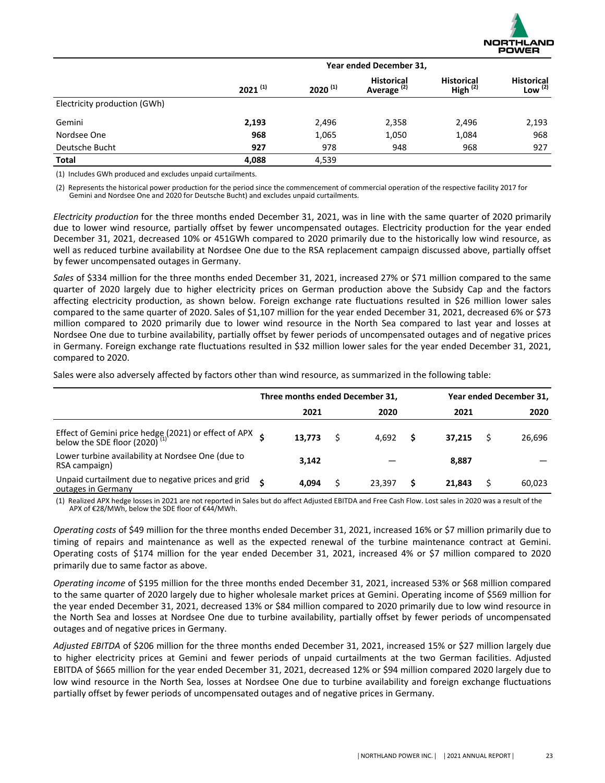

|                              | Year ended December 31, |              |                                             |                                    |                                |  |  |  |
|------------------------------|-------------------------|--------------|---------------------------------------------|------------------------------------|--------------------------------|--|--|--|
|                              | $2021^{(1)}$            | $2020^{(1)}$ | <b>Historical</b><br>Average <sup>(2)</sup> | <b>Historical</b><br>High $^{(2)}$ | <b>Historical</b><br>Low $(2)$ |  |  |  |
| Electricity production (GWh) |                         |              |                                             |                                    |                                |  |  |  |
| Gemini                       | 2,193                   | 2,496        | 2,358                                       | 2,496                              | 2,193                          |  |  |  |
| Nordsee One                  | 968                     | 1,065        | 1,050                                       | 1,084                              | 968                            |  |  |  |
| Deutsche Bucht               | 927                     | 978          | 948                                         | 968                                | 927                            |  |  |  |
| <b>Total</b>                 | 4,088                   | 4,539        |                                             |                                    |                                |  |  |  |

(1) Includes GWh produced and excludes unpaid curtailments.

(2) Represents the historical power production for the period since the commencement of commercial operation of the respective facility 2017 for Gemini and Nordsee One and 2020 for Deutsche Bucht) and excludes unpaid curtailments.

*Electricity* production for the three months ended December 31, 2021, was in line with the same quarter of 2020 primarily due to lower wind resource, partially offset by fewer uncompensated outages. Electricity production for the year ended December 31, 2021, decreased 10% or 451GWh compared to 2020 primarily due to the historically low wind resource, as well as reduced turbine availability at Nordsee One due to the RSA replacement campaign discussed above, partially offset by fewer uncompensated outages in Germany.

Sales of \$334 million for the three months ended December 31, 2021, increased 27% or \$71 million compared to the same quarter of 2020 largely due to higher electricity prices on German production above the Subsidy Cap and the factors affecting electricity production, as shown below. Foreign exchange rate fluctuations resulted in \$26 million lower sales compared to the same quarter of 2020. Sales of \$1,107 million for the year ended December 31, 2021, decreased 6% or \$73 million compared to 2020 primarily due to lower wind resource in the North Sea compared to last year and losses at Nordsee One due to turbine availability, partially offset by fewer periods of uncompensated outages and of negative prices in Germany. Foreign exchange rate fluctuations resulted in \$32 million lower sales for the year ended December 31, 2021, compared to 2020.

Sales were also adversely affected by factors other than wind resource, as summarized in the following table:

|                                                                                                           | Three months ended December 31, |        |  |        | Year ended December 31, |        |  |        |
|-----------------------------------------------------------------------------------------------------------|---------------------------------|--------|--|--------|-------------------------|--------|--|--------|
|                                                                                                           |                                 | 2021   |  | 2020   |                         | 2021   |  | 2020   |
| Effect of Gemini price hedge (2021) or effect of APX $\zeta$<br>below the SDE floor (2020) <sup>(1)</sup> |                                 | 13.773 |  | 4.692  | s                       | 37.215 |  | 26,696 |
| Lower turbine availability at Nordsee One (due to<br>RSA campaign)                                        |                                 | 3.142  |  |        |                         | 8.887  |  |        |
| Unpaid curtailment due to negative prices and grid<br>outages in Germany                                  | ¢                               | 4.094  |  | 23.397 | S                       | 21.843 |  | 60,023 |

(1) Realized APX hedge losses in 2021 are not reported in Sales but do affect Adjusted EBITDA and Free Cash Flow. Lost sales in 2020 was a result of the APX of €28/MWh, below the SDE floor of €44/MWh.

*Operating costs* of \$49 million for the three months ended December 31, 2021, increased 16% or \$7 million primarily due to timing of repairs and maintenance as well as the expected renewal of the turbine maintenance contract at Gemini. Operating costs of \$174 million for the year ended December 31, 2021, increased 4% or \$7 million compared to 2020 primarily due to same factor as above.

*Operating income* of \$195 million for the three months ended December 31, 2021, increased 53% or \$68 million compared to the same quarter of 2020 largely due to higher wholesale market prices at Gemini. Operating income of \$569 million for the year ended December 31, 2021, decreased 13% or \$84 million compared to 2020 primarily due to low wind resource in the North Sea and losses at Nordsee One due to turbine availability, partially offset by fewer periods of uncompensated outages and of negative prices in Germany.

Adjusted EBITDA of \$206 million for the three months ended December 31, 2021, increased 15% or \$27 million largely due to higher electricity prices at Gemini and fewer periods of unpaid curtailments at the two German facilities. Adjusted EBITDA of \$665 million for the year ended December 31, 2021, decreased 12% or \$94 million compared 2020 largely due to low wind resource in the North Sea, losses at Nordsee One due to turbine availability and foreign exchange fluctuations partially offset by fewer periods of uncompensated outages and of negative prices in Germany.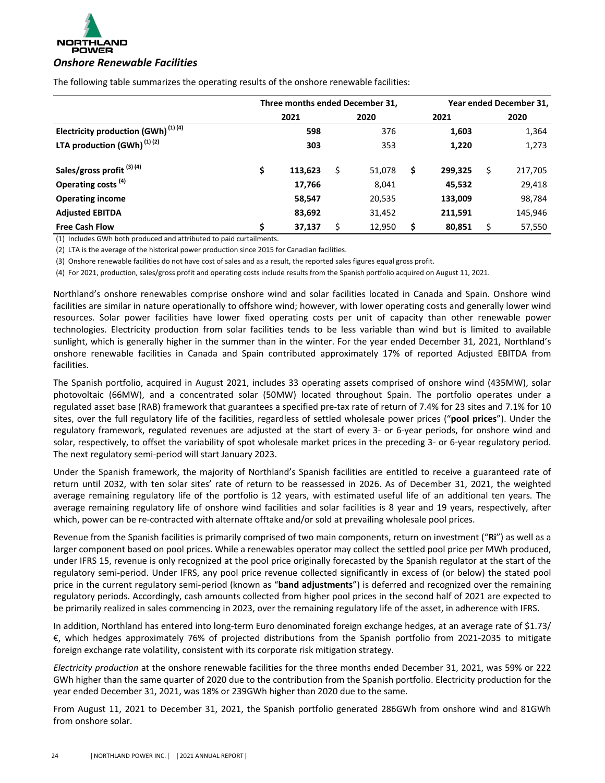

|                                                | Three months ended December 31, |         |    |        | Year ended December 31, |   |         |  |
|------------------------------------------------|---------------------------------|---------|----|--------|-------------------------|---|---------|--|
|                                                |                                 | 2021    |    | 2020   | 2021                    |   | 2020    |  |
| Electricity production (GWh) <sup>(1)(4)</sup> |                                 | 598     |    | 376    | 1,603                   |   | 1,364   |  |
| LTA production $(GWh)^{(1)(2)}$                |                                 | 303     |    | 353    | 1,220                   |   | 1,273   |  |
| Sales/gross profit <sup>(3)(4)</sup>           | \$                              | 113,623 | \$ | 51,078 | \$<br>299,325           | Ś | 217,705 |  |
| Operating costs <sup>(4)</sup>                 |                                 | 17,766  |    | 8,041  | 45,532                  |   | 29,418  |  |
| <b>Operating income</b>                        |                                 | 58,547  |    | 20,535 | 133,009                 |   | 98,784  |  |
| <b>Adjusted EBITDA</b>                         |                                 | 83,692  |    | 31,452 | 211,591                 |   | 145,946 |  |
| <b>Free Cash Flow</b>                          | Ś                               | 37,137  | Ś  | 12,950 | \$<br>80,851            |   | 57,550  |  |

The following table summarizes the operating results of the onshore renewable facilities:

(1) Includes GWh both produced and attributed to paid curtailments.

(2) LTA is the average of the historical power production since 2015 for Canadian facilities.

(3) Onshore renewable facilities do not have cost of sales and as a result, the reported sales figures equal gross profit.

(4) For 2021, production, sales/gross profit and operating costs include results from the Spanish portfolio acquired on August 11, 2021.

Northland's onshore renewables comprise onshore wind and solar facilities located in Canada and Spain. Onshore wind facilities are similar in nature operationally to offshore wind; however, with lower operating costs and generally lower wind resources. Solar power facilities have lower fixed operating costs per unit of capacity than other renewable power technologies. Electricity production from solar facilities tends to be less variable than wind but is limited to available sunlight, which is generally higher in the summer than in the winter. For the year ended December 31, 2021, Northland's onshore renewable facilities in Canada and Spain contributed approximately 17% of reported Adjusted EBITDA from facilities.

The Spanish portfolio, acquired in August 2021, includes 33 operating assets comprised of onshore wind (435MW), solar photovoltaic (66MW), and a concentrated solar (50MW) located throughout Spain. The portfolio operates under a regulated asset base (RAB) framework that guarantees a specified pre-tax rate of return of 7.4% for 23 sites and 7.1% for 10 sites, over the full regulatory life of the facilities, regardless of settled wholesale power prices ("pool prices"). Under the regulatory framework, regulated revenues are adjusted at the start of every 3- or 6-year periods, for onshore wind and solar, respectively, to offset the variability of spot wholesale market prices in the preceding 3- or 6-year regulatory period. The next regulatory semi-period will start January 2023.

Under the Spanish framework, the majority of Northland's Spanish facilities are entitled to receive a guaranteed rate of return until 2032, with ten solar sites' rate of return to be reassessed in 2026. As of December 31, 2021, the weighted average remaining regulatory life of the portfolio is 12 years, with estimated useful life of an additional ten years. The average remaining regulatory life of onshore wind facilities and solar facilities is 8 year and 19 years, respectively, after which, power can be re-contracted with alternate offtake and/or sold at prevailing wholesale pool prices.

Revenue from the Spanish facilities is primarily comprised of two main components, return on investment ("Ri") as well as a larger component based on pool prices. While a renewables operator may collect the settled pool price per MWh produced, under IFRS 15, revenue is only recognized at the pool price originally forecasted by the Spanish regulator at the start of the regulatory semi-period. Under IFRS, any pool price revenue collected significantly in excess of (or below) the stated pool price in the current regulatory semi-period (known as "band adjustments") is deferred and recognized over the remaining regulatory periods. Accordingly, cash amounts collected from higher pool prices in the second half of 2021 are expected to be primarily realized in sales commencing in 2023, over the remaining regulatory life of the asset, in adherence with IFRS.

In addition, Northland has entered into long-term Euro denominated foreign exchange hedges, at an average rate of \$1.73/  $\epsilon$ , which hedges approximately 76% of projected distributions from the Spanish portfolio from 2021-2035 to mitigate foreign exchange rate volatility, consistent with its corporate risk mitigation strategy.

*Electricity* production at the onshore renewable facilities for the three months ended December 31, 2021, was 59% or 222 GWh higher than the same quarter of 2020 due to the contribution from the Spanish portfolio. Electricity production for the year ended December 31, 2021, was 18% or 239GWh higher than 2020 due to the same.

From August 11, 2021 to December 31, 2021, the Spanish portfolio generated 286GWh from onshore wind and 81GWh from onshore solar.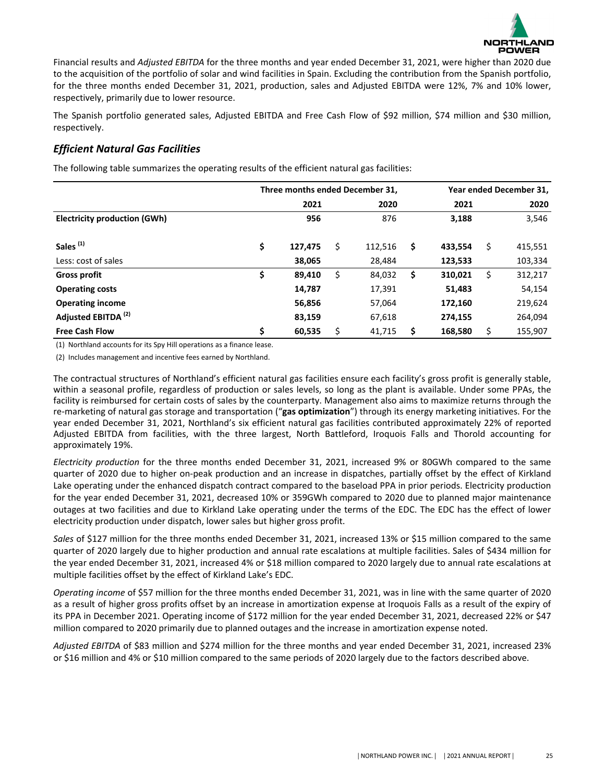

Financial results and *Adjusted EBITDA* for the three months and year ended December 31, 2021, were higher than 2020 due to the acquisition of the portfolio of solar and wind facilities in Spain. Excluding the contribution from the Spanish portfolio, for the three months ended December 31, 2021, production, sales and Adjusted EBITDA were 12%, 7% and 10% lower, respectively, primarily due to lower resource.

The Spanish portfolio generated sales, Adjusted EBITDA and Free Cash Flow of \$92 million, \$74 million and \$30 million, respectively. 

# *Efficient Natural Gas Facilities*

The following table summarizes the operating results of the efficient natural gas facilities:

|                                     | Three months ended December 31, | Year ended December 31, |               |    |         |    |         |
|-------------------------------------|---------------------------------|-------------------------|---------------|----|---------|----|---------|
|                                     |                                 | 2021                    | 2020          |    | 2021    |    | 2020    |
| <b>Electricity production (GWh)</b> |                                 | 956                     | 876           |    | 3,188   |    | 3,546   |
| Sales <sup>(1)</sup>                | \$                              | 127,475                 | \$<br>112,516 | \$ | 433,554 | \$ | 415,551 |
| Less: cost of sales                 |                                 | 38,065                  | 28,484        |    | 123,533 |    | 103,334 |
| <b>Gross profit</b>                 | \$                              | 89,410                  | \$<br>84,032  | \$ | 310,021 | Ś  | 312,217 |
| <b>Operating costs</b>              |                                 | 14,787                  | 17,391        |    | 51,483  |    | 54,154  |
| <b>Operating income</b>             |                                 | 56,856                  | 57,064        |    | 172,160 |    | 219,624 |
| Adjusted EBITDA <sup>(2)</sup>      |                                 | 83,159                  | 67,618        |    | 274,155 |    | 264,094 |
| <b>Free Cash Flow</b>               | \$                              | 60,535                  | \$<br>41,715  | \$ | 168,580 | Ś  | 155,907 |

(1) Northland accounts for its Spy Hill operations as a finance lease.

(2) Includes management and incentive fees earned by Northland.

The contractual structures of Northland's efficient natural gas facilities ensure each facility's gross profit is generally stable, within a seasonal profile, regardless of production or sales levels, so long as the plant is available. Under some PPAs, the facility is reimbursed for certain costs of sales by the counterparty. Management also aims to maximize returns through the re-marketing of natural gas storage and transportation ("gas optimization") through its energy marketing initiatives. For the year ended December 31, 2021, Northland's six efficient natural gas facilities contributed approximately 22% of reported Adjusted EBITDA from facilities, with the three largest, North Battleford, Iroquois Falls and Thorold accounting for approximately 19%.

*Electricity* production for the three months ended December 31, 2021, increased 9% or 80GWh compared to the same quarter of 2020 due to higher on-peak production and an increase in dispatches, partially offset by the effect of Kirkland Lake operating under the enhanced dispatch contract compared to the baseload PPA in prior periods. Electricity production for the year ended December 31, 2021, decreased 10% or 359GWh compared to 2020 due to planned major maintenance outages at two facilities and due to Kirkland Lake operating under the terms of the EDC. The EDC has the effect of lower electricity production under dispatch, lower sales but higher gross profit.

*Sales* of \$127 million for the three months ended December 31, 2021, increased 13% or \$15 million compared to the same quarter of 2020 largely due to higher production and annual rate escalations at multiple facilities. Sales of \$434 million for the year ended December 31, 2021, increased 4% or \$18 million compared to 2020 largely due to annual rate escalations at multiple facilities offset by the effect of Kirkland Lake's EDC.

*Operating income* of \$57 million for the three months ended December 31, 2021, was in line with the same quarter of 2020 as a result of higher gross profits offset by an increase in amortization expense at Iroquois Falls as a result of the expiry of its PPA in December 2021. Operating income of \$172 million for the year ended December 31, 2021, decreased 22% or \$47 million compared to 2020 primarily due to planned outages and the increase in amortization expense noted.

Adjusted EBITDA of \$83 million and \$274 million for the three months and year ended December 31, 2021, increased 23% or \$16 million and 4% or \$10 million compared to the same periods of 2020 largely due to the factors described above.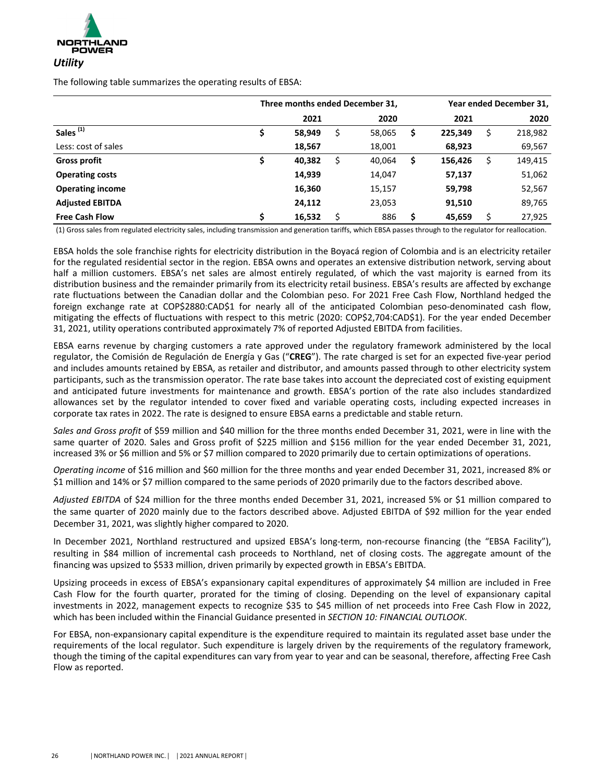

The following table summarizes the operating results of EBSA:

|                         | Three months ended December 31, |        |    |        |    |         | Year ended December 31, |         |  |  |
|-------------------------|---------------------------------|--------|----|--------|----|---------|-------------------------|---------|--|--|
|                         |                                 | 2021   |    | 2020   |    | 2021    |                         | 2020    |  |  |
| Sales <sup>(1)</sup>    |                                 | 58,949 | \$ | 58,065 | \$ | 225,349 |                         | 218,982 |  |  |
| Less: cost of sales     |                                 | 18,567 |    | 18,001 |    | 68,923  |                         | 69,567  |  |  |
| <b>Gross profit</b>     |                                 | 40,382 | \$ | 40,064 | \$ | 156,426 |                         | 149,415 |  |  |
| <b>Operating costs</b>  |                                 | 14,939 |    | 14,047 |    | 57,137  |                         | 51,062  |  |  |
| <b>Operating income</b> |                                 | 16,360 |    | 15,157 |    | 59,798  |                         | 52,567  |  |  |
| <b>Adjusted EBITDA</b>  |                                 | 24,112 |    | 23,053 |    | 91,510  |                         | 89,765  |  |  |
| <b>Free Cash Flow</b>   | Ś                               | 16,532 | \$ | 886    | \$ | 45,659  |                         | 27,925  |  |  |

(1) Gross sales from regulated electricity sales, including transmission and generation tariffs, which EBSA passes through to the regulator for reallocation.

EBSA holds the sole franchise rights for electricity distribution in the Boyacá region of Colombia and is an electricity retailer for the regulated residential sector in the region. EBSA owns and operates an extensive distribution network, serving about half a million customers. EBSA's net sales are almost entirely regulated, of which the vast majority is earned from its distribution business and the remainder primarily from its electricity retail business. EBSA's results are affected by exchange rate fluctuations between the Canadian dollar and the Colombian peso. For 2021 Free Cash Flow, Northland hedged the foreign exchange rate at COP\$2880:CAD\$1 for nearly all of the anticipated Colombian peso-denominated cash flow, mitigating the effects of fluctuations with respect to this metric (2020: COP\$2,704:CAD\$1). For the year ended December 31, 2021, utility operations contributed approximately 7% of reported Adjusted EBITDA from facilities.

EBSA earns revenue by charging customers a rate approved under the regulatory framework administered by the local regulator, the Comisión de Regulación de Energía y Gas ("CREG"). The rate charged is set for an expected five-year period and includes amounts retained by EBSA, as retailer and distributor, and amounts passed through to other electricity system participants, such as the transmission operator. The rate base takes into account the depreciated cost of existing equipment and anticipated future investments for maintenance and growth. EBSA's portion of the rate also includes standardized allowances set by the regulator intended to cover fixed and variable operating costs, including expected increases in corporate tax rates in 2022. The rate is designed to ensure EBSA earns a predictable and stable return.

Sales and Gross profit of \$59 million and \$40 million for the three months ended December 31, 2021, were in line with the same quarter of 2020. Sales and Gross profit of \$225 million and \$156 million for the year ended December 31, 2021, increased 3% or \$6 million and 5% or \$7 million compared to 2020 primarily due to certain optimizations of operations.

*Operating income* of \$16 million and \$60 million for the three months and year ended December 31, 2021, increased 8% or \$1 million and 14% or \$7 million compared to the same periods of 2020 primarily due to the factors described above.

Adjusted EBITDA of \$24 million for the three months ended December 31, 2021, increased 5% or \$1 million compared to the same quarter of 2020 mainly due to the factors described above. Adjusted EBITDA of \$92 million for the year ended December 31, 2021, was slightly higher compared to 2020.

In December 2021, Northland restructured and upsized EBSA's long-term, non-recourse financing (the "EBSA Facility"), resulting in \$84 million of incremental cash proceeds to Northland, net of closing costs. The aggregate amount of the financing was upsized to \$533 million, driven primarily by expected growth in EBSA's EBITDA.

Upsizing proceeds in excess of EBSA's expansionary capital expenditures of approximately \$4 million are included in Free Cash Flow for the fourth quarter, prorated for the timing of closing. Depending on the level of expansionary capital investments in 2022, management expects to recognize \$35 to \$45 million of net proceeds into Free Cash Flow in 2022, which has been included within the Financial Guidance presented in *SECTION 10: FINANCIAL OUTLOOK*.

For EBSA, non-expansionary capital expenditure is the expenditure required to maintain its regulated asset base under the requirements of the local regulator. Such expenditure is largely driven by the requirements of the regulatory framework, though the timing of the capital expenditures can vary from year to year and can be seasonal, therefore, affecting Free Cash Flow as reported.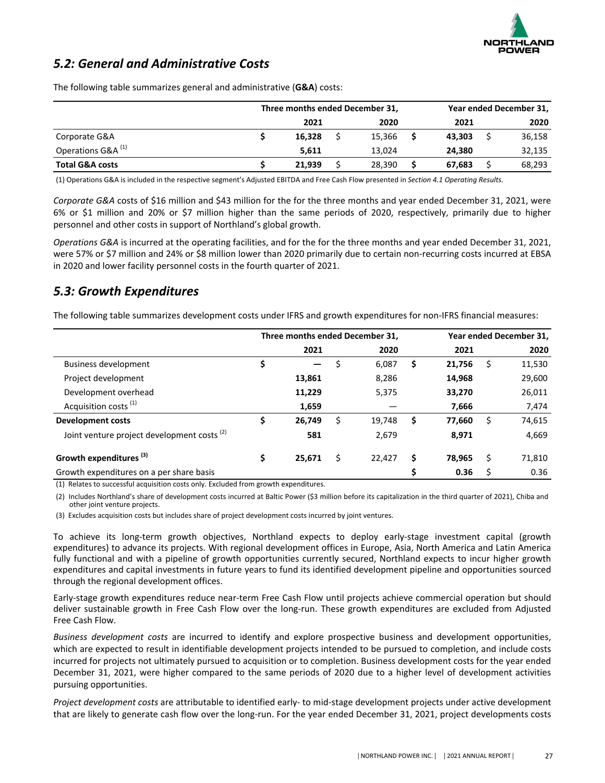

# <span id="page-17-0"></span>**5.2: General and Administrative Costs**

|                               | Three months ended December 31, |  |        |  |        | Year ended December 31, |        |  |
|-------------------------------|---------------------------------|--|--------|--|--------|-------------------------|--------|--|
|                               | 2021                            |  | 2020   |  | 2021   |                         | 2020   |  |
| Corporate G&A                 | 16.328                          |  | 15,366 |  | 43.303 |                         | 36,158 |  |
| Operations G&A <sup>(1)</sup> | 5.611                           |  | 13.024 |  | 24.380 |                         | 32,135 |  |
| <b>Total G&amp;A costs</b>    | 21,939                          |  | 28,390 |  | 67.683 |                         | 68,293 |  |

The following table summarizes general and administrative (G&A) costs:

(1) Operations G&A is included in the respective segment's Adjusted EBITDA and Free Cash Flow presented in Section 4.1 Operating Results.

*Corporate G&A* costs of \$16 million and \$43 million for the for the three months and year ended December 31, 2021, were 6% or \$1 million and 20% or \$7 million higher than the same periods of 2020, respectively, primarily due to higher personnel and other costs in support of Northland's global growth.

*Operations* G&A is incurred at the operating facilities, and for the for the three months and year ended December 31, 2021, were 57% or \$7 million and 24% or \$8 million lower than 2020 primarily due to certain non-recurring costs incurred at EBSA in 2020 and lower facility personnel costs in the fourth quarter of 2021.

# *5.3: Growth Expenditures*

The following table summarizes development costs under IFRS and growth expenditures for non-IFRS financial measures:

|                                                        | Three months ended December 31, |    |        | Year ended December 31, |        |   |        |
|--------------------------------------------------------|---------------------------------|----|--------|-------------------------|--------|---|--------|
|                                                        | 2021                            |    | 2020   |                         | 2021   |   | 2020   |
| <b>Business development</b>                            | \$<br>$\hspace{0.05cm}$         |    | 6,087  | \$                      | 21,756 |   | 11,530 |
| Project development                                    | 13,861                          |    | 8,286  |                         | 14,968 |   | 29,600 |
| Development overhead                                   | 11,229                          |    | 5,375  |                         | 33,270 |   | 26,011 |
| Acquisition costs <sup>(1)</sup>                       | 1,659                           |    |        |                         | 7,666  |   | 7,474  |
| <b>Development costs</b>                               | \$<br>26,749                    | \$ | 19,748 | \$                      | 77,660 | Ś | 74,615 |
| Joint venture project development costs <sup>(2)</sup> | 581                             |    | 2,679  |                         | 8,971  |   | 4,669  |
| Growth expenditures <sup>(3)</sup>                     | \$<br>25,671                    | Ś  | 22,427 | \$                      | 78.965 | S | 71,810 |
| Growth expenditures on a per share basis               |                                 |    |        | \$                      | 0.36   |   | 0.36   |

(1) Relates to successful acquisition costs only. Excluded from growth expenditures.

(2) Includes Northland's share of development costs incurred at Baltic Power (\$3 million before its capitalization in the third quarter of 2021), Chiba and other joint venture projects.

(3) Excludes acquisition costs but includes share of project development costs incurred by joint ventures.

To achieve its long-term growth objectives, Northland expects to deploy early-stage investment capital (growth expenditures) to advance its projects. With regional development offices in Europe, Asia, North America and Latin America fully functional and with a pipeline of growth opportunities currently secured, Northland expects to incur higher growth expenditures and capital investments in future years to fund its identified development pipeline and opportunities sourced through the regional development offices.

Early-stage growth expenditures reduce near-term Free Cash Flow until projects achieve commercial operation but should deliver sustainable growth in Free Cash Flow over the long-run. These growth expenditures are excluded from Adjusted Free Cash Flow.

*Business development costs* are incurred to identify and explore prospective business and development opportunities, which are expected to result in identifiable development projects intended to be pursued to completion, and include costs incurred for projects not ultimately pursued to acquisition or to completion. Business development costs for the year ended December 31, 2021, were higher compared to the same periods of 2020 due to a higher level of development activities pursuing opportunities.

*Project development costs* are attributable to identified early- to mid-stage development projects under active development that are likely to generate cash flow over the long-run. For the year ended December 31, 2021, project developments costs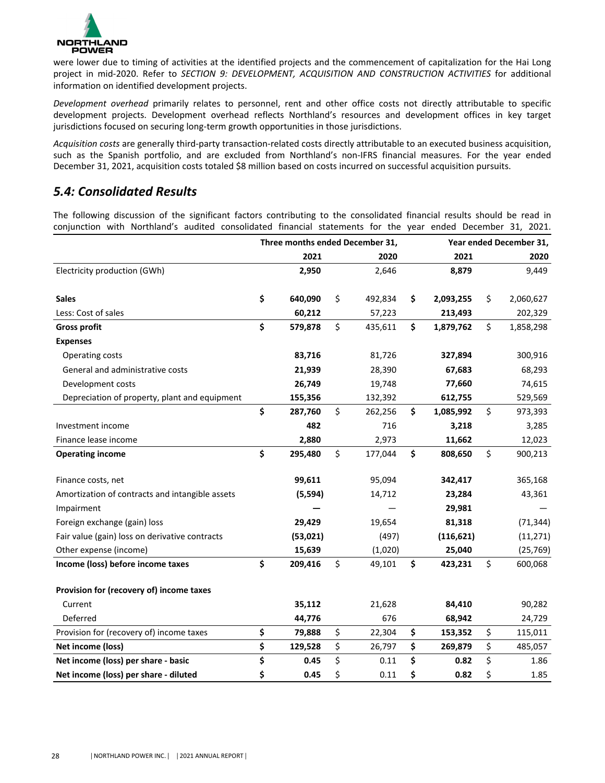<span id="page-18-0"></span>

were lower due to timing of activities at the identified projects and the commencement of capitalization for the Hai Long project in mid-2020. Refer to *SECTION 9: DEVELOPMENT, ACQUISITION AND CONSTRUCTION ACTIVITIES* for additional information on identified development projects.

Development overhead primarily relates to personnel, rent and other office costs not directly attributable to specific development projects. Development overhead reflects Northland's resources and development offices in key target jurisdictions focused on securing long-term growth opportunities in those jurisdictions.

Acquisition costs are generally third-party transaction-related costs directly attributable to an executed business acquisition, such as the Spanish portfolio, and are excluded from Northland's non-IFRS financial measures. For the year ended December 31, 2021, acquisition costs totaled \$8 million based on costs incurred on successful acquisition pursuits.

# *5.4: Consolidated Results*

The following discussion of the significant factors contributing to the consolidated financial results should be read in conjunction with Northland's audited consolidated financial statements for the year ended December 31, 2021.

|                                                 | Three months ended December 31, |               | Year ended December 31, |            |    |           |  |  |  |
|-------------------------------------------------|---------------------------------|---------------|-------------------------|------------|----|-----------|--|--|--|
|                                                 | 2021                            | 2020          |                         | 2021       |    | 2020      |  |  |  |
| Electricity production (GWh)                    | 2,950                           | 2,646         |                         | 8,879      |    | 9,449     |  |  |  |
| <b>Sales</b>                                    | \$<br>640,090                   | \$<br>492,834 | \$                      | 2,093,255  | \$ | 2,060,627 |  |  |  |
| Less: Cost of sales                             | 60,212                          | 57,223        |                         | 213,493    |    | 202,329   |  |  |  |
| <b>Gross profit</b>                             | \$<br>579,878                   | \$<br>435,611 | \$                      | 1,879,762  | \$ | 1,858,298 |  |  |  |
| <b>Expenses</b>                                 |                                 |               |                         |            |    |           |  |  |  |
| Operating costs                                 | 83,716                          | 81,726        |                         | 327,894    |    | 300,916   |  |  |  |
| General and administrative costs                | 21,939                          | 28,390        |                         | 67,683     |    | 68,293    |  |  |  |
| Development costs                               | 26,749                          | 19,748        |                         | 77,660     |    | 74,615    |  |  |  |
| Depreciation of property, plant and equipment   | 155,356                         | 132,392       |                         | 612,755    |    | 529,569   |  |  |  |
|                                                 | \$<br>287,760                   | \$<br>262,256 | \$                      | 1,085,992  | \$ | 973,393   |  |  |  |
| Investment income                               | 482                             | 716           |                         | 3,218      |    | 3,285     |  |  |  |
| Finance lease income                            | 2,880                           | 2,973         |                         | 11,662     |    | 12,023    |  |  |  |
| <b>Operating income</b>                         | \$<br>295,480                   | \$<br>177,044 | \$                      | 808,650    | \$ | 900,213   |  |  |  |
| Finance costs, net                              | 99,611                          | 95,094        |                         | 342,417    |    | 365,168   |  |  |  |
| Amortization of contracts and intangible assets | (5, 594)                        | 14,712        |                         | 23,284     |    | 43,361    |  |  |  |
| Impairment                                      |                                 |               |                         | 29,981     |    |           |  |  |  |
| Foreign exchange (gain) loss                    | 29,429                          | 19,654        |                         | 81,318     |    | (71, 344) |  |  |  |
| Fair value (gain) loss on derivative contracts  | (53, 021)                       | (497)         |                         | (116, 621) |    | (11, 271) |  |  |  |
| Other expense (income)                          | 15,639                          | (1,020)       |                         | 25,040     |    | (25, 769) |  |  |  |
| Income (loss) before income taxes               | \$<br>209,416                   | \$<br>49,101  | \$                      | 423,231    | \$ | 600,068   |  |  |  |
| Provision for (recovery of) income taxes        |                                 |               |                         |            |    |           |  |  |  |
| Current                                         | 35,112                          | 21,628        |                         | 84,410     |    | 90,282    |  |  |  |
| Deferred                                        | 44,776                          | 676           |                         | 68,942     |    | 24,729    |  |  |  |
| Provision for (recovery of) income taxes        | \$<br>79,888                    | \$<br>22,304  | \$                      | 153,352    | \$ | 115,011   |  |  |  |
| Net income (loss)                               | \$<br>129,528                   | \$<br>26,797  | \$                      | 269,879    | \$ | 485,057   |  |  |  |
| Net income (loss) per share - basic             | \$<br>0.45                      | \$<br>0.11    | \$                      | 0.82       | \$ | 1.86      |  |  |  |
| Net income (loss) per share - diluted           | \$<br>0.45                      | \$<br>0.11    | \$                      | 0.82       | \$ | 1.85      |  |  |  |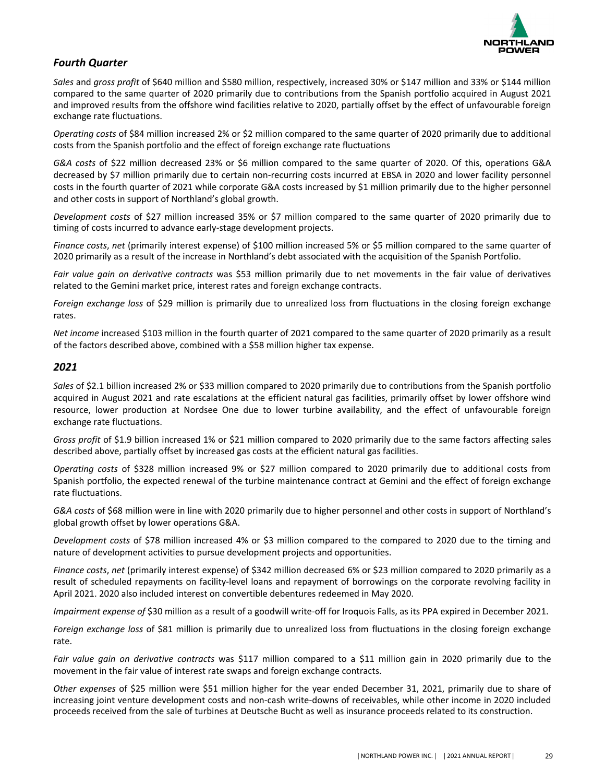

# *Fourth Quarter*

Sales and gross profit of \$640 million and \$580 million, respectively, increased 30% or \$147 million and 33% or \$144 million compared to the same quarter of 2020 primarily due to contributions from the Spanish portfolio acquired in August 2021 and improved results from the offshore wind facilities relative to 2020, partially offset by the effect of unfavourable foreign exchange rate fluctuations.

*Operating costs* of \$84 million increased 2% or \$2 million compared to the same quarter of 2020 primarily due to additional costs from the Spanish portfolio and the effect of foreign exchange rate fluctuations

*G&A* costs of \$22 million decreased 23% or \$6 million compared to the same quarter of 2020. Of this, operations G&A decreased by \$7 million primarily due to certain non-recurring costs incurred at EBSA in 2020 and lower facility personnel costs in the fourth quarter of 2021 while corporate G&A costs increased by \$1 million primarily due to the higher personnel and other costs in support of Northland's global growth.

*Development costs* of \$27 million increased 35% or \$7 million compared to the same quarter of 2020 primarily due to timing of costs incurred to advance early-stage development projects.

*Finance costs, net* (primarily interest expense) of \$100 million increased 5% or \$5 million compared to the same quarter of 2020 primarily as a result of the increase in Northland's debt associated with the acquisition of the Spanish Portfolio.

Fair value gain on derivative contracts was \$53 million primarily due to net movements in the fair value of derivatives related to the Gemini market price, interest rates and foreign exchange contracts.

*Foreign exchange loss* of \$29 million is primarily due to unrealized loss from fluctuations in the closing foreign exchange rates.

*Net income* increased \$103 million in the fourth quarter of 2021 compared to the same quarter of 2020 primarily as a result of the factors described above, combined with a \$58 million higher tax expense.

### *2021*

Sales of \$2.1 billion increased 2% or \$33 million compared to 2020 primarily due to contributions from the Spanish portfolio acquired in August 2021 and rate escalations at the efficient natural gas facilities, primarily offset by lower offshore wind resource, lower production at Nordsee One due to lower turbine availability, and the effect of unfavourable foreign exchange rate fluctuations.

*Gross profit* of \$1.9 billion increased 1% or \$21 million compared to 2020 primarily due to the same factors affecting sales described above, partially offset by increased gas costs at the efficient natural gas facilities.

*Operating costs* of \$328 million increased 9% or \$27 million compared to 2020 primarily due to additional costs from Spanish portfolio, the expected renewal of the turbine maintenance contract at Gemini and the effect of foreign exchange rate fluctuations.

G&A costs of \$68 million were in line with 2020 primarily due to higher personnel and other costs in support of Northland's global growth offset by lower operations G&A.

*Development costs* of \$78 million increased 4% or \$3 million compared to the compared to 2020 due to the timing and nature of development activities to pursue development projects and opportunities.

*Finance costs, net* (primarily interest expense) of \$342 million decreased 6% or \$23 million compared to 2020 primarily as a result of scheduled repayments on facility-level loans and repayment of borrowings on the corporate revolving facility in April 2021. 2020 also included interest on convertible debentures redeemed in May 2020.

*Impairment expense of* \$30 million as a result of a goodwill write-off for Iroquois Falls, as its PPA expired in December 2021.

*Foreign exchange loss* of \$81 million is primarily due to unrealized loss from fluctuations in the closing foreign exchange rate.

*Fair* value gain on derivative contracts was \$117 million compared to a \$11 million gain in 2020 primarily due to the movement in the fair value of interest rate swaps and foreign exchange contracts.

*Other* expenses of \$25 million were \$51 million higher for the year ended December 31, 2021, primarily due to share of increasing joint venture development costs and non-cash write-downs of receivables, while other income in 2020 included proceeds received from the sale of turbines at Deutsche Bucht as well as insurance proceeds related to its construction.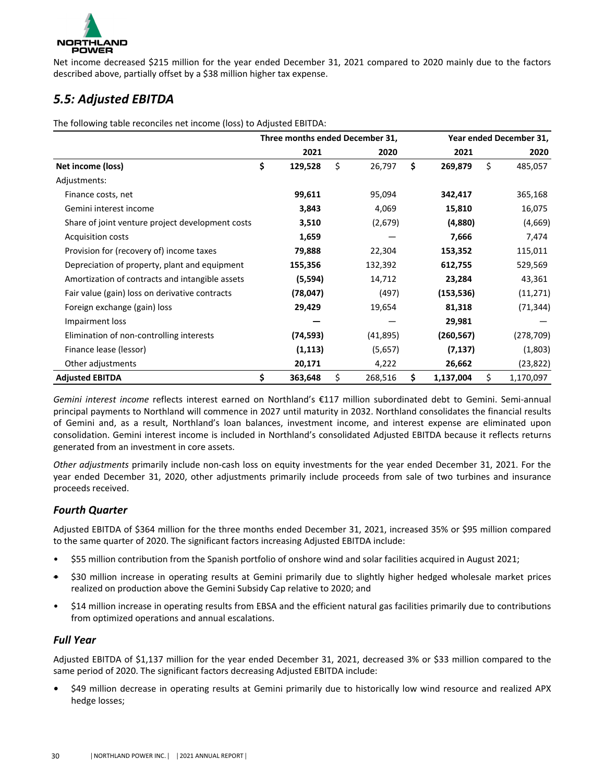<span id="page-20-0"></span>

Net income decreased \$215 million for the year ended December 31, 2021 compared to 2020 mainly due to the factors described above, partially offset by a \$38 million higher tax expense.

# *5.5: Adjusted EBITDA*

The following table reconciles net income (loss) to Adjusted EBITDA:

|                                                  |               | Three months ended December 31, | Year ended December 31, |    |            |  |  |
|--------------------------------------------------|---------------|---------------------------------|-------------------------|----|------------|--|--|
|                                                  | 2021          | 2020                            | 2021                    |    | 2020       |  |  |
| Net income (loss)                                | \$<br>129,528 | \$<br>26,797                    | \$<br>269,879           | \$ | 485,057    |  |  |
| Adjustments:                                     |               |                                 |                         |    |            |  |  |
| Finance costs, net                               | 99,611        | 95,094                          | 342,417                 |    | 365,168    |  |  |
| Gemini interest income                           | 3,843         | 4,069                           | 15,810                  |    | 16,075     |  |  |
| Share of joint venture project development costs | 3,510         | (2,679)                         | (4,880)                 |    | (4,669)    |  |  |
| <b>Acquisition costs</b>                         | 1,659         |                                 | 7,666                   |    | 7,474      |  |  |
| Provision for (recovery of) income taxes         | 79,888        | 22,304                          | 153,352                 |    | 115,011    |  |  |
| Depreciation of property, plant and equipment    | 155,356       | 132,392                         | 612,755                 |    | 529,569    |  |  |
| Amortization of contracts and intangible assets  | (5,594)       | 14,712                          | 23,284                  |    | 43,361     |  |  |
| Fair value (gain) loss on derivative contracts   | (78, 047)     | (497)                           | (153, 536)              |    | (11, 271)  |  |  |
| Foreign exchange (gain) loss                     | 29,429        | 19,654                          | 81,318                  |    | (71, 344)  |  |  |
| Impairment loss                                  |               |                                 | 29,981                  |    |            |  |  |
| Elimination of non-controlling interests         | (74, 593)     | (41, 895)                       | (260, 567)              |    | (278, 709) |  |  |
| Finance lease (lessor)                           | (1, 113)      | (5,657)                         | (7, 137)                |    | (1,803)    |  |  |
| Other adjustments                                | 20,171        | 4,222                           | 26,662                  |    | (23, 822)  |  |  |
| <b>Adjusted EBITDA</b>                           | \$<br>363,648 | \$<br>268,516                   | \$<br>1,137,004         | \$ | 1,170,097  |  |  |

*Gemini interest income* reflects interest earned on Northland's €117 million subordinated debt to Gemini. Semi-annual principal payments to Northland will commence in 2027 until maturity in 2032. Northland consolidates the financial results of Gemini and, as a result, Northland's loan balances, investment income, and interest expense are eliminated upon consolidation. Gemini interest income is included in Northland's consolidated Adjusted EBITDA because it reflects returns generated from an investment in core assets.

*Other adjustments* primarily include non-cash loss on equity investments for the year ended December 31, 2021. For the year ended December 31, 2020, other adjustments primarily include proceeds from sale of two turbines and insurance proceeds received.

# *Fourth Quarter*

Adjusted EBITDA of \$364 million for the three months ended December 31, 2021, increased 35% or \$95 million compared to the same quarter of 2020. The significant factors increasing Adjusted EBITDA include:

- \$55 million contribution from the Spanish portfolio of onshore wind and solar facilities acquired in August 2021;
- \$30 million increase in operating results at Gemini primarily due to slightly higher hedged wholesale market prices realized on production above the Gemini Subsidy Cap relative to 2020; and
- \$14 million increase in operating results from EBSA and the efficient natural gas facilities primarily due to contributions from optimized operations and annual escalations.

# *Full Year*

Adjusted EBITDA of \$1,137 million for the year ended December 31, 2021, decreased 3% or \$33 million compared to the same period of 2020. The significant factors decreasing Adjusted EBITDA include:

\$49 million decrease in operating results at Gemini primarily due to historically low wind resource and realized APX hedge losses;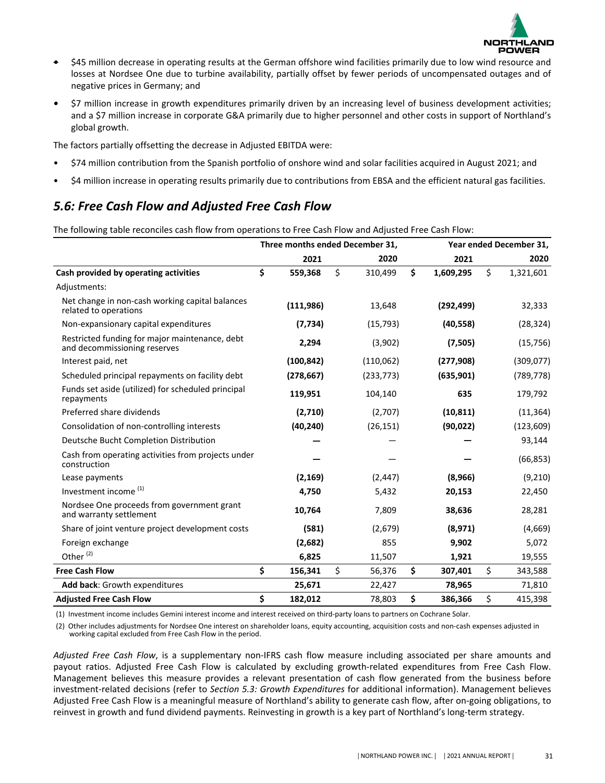

- <span id="page-21-0"></span>\$45 million decrease in operating results at the German offshore wind facilities primarily due to low wind resource and losses at Nordsee One due to turbine availability, partially offset by fewer periods of uncompensated outages and of negative prices in Germany; and
- \$7 million increase in growth expenditures primarily driven by an increasing level of business development activities; and a \$7 million increase in corporate G&A primarily due to higher personnel and other costs in support of Northland's global growth.

The factors partially offsetting the decrease in Adjusted EBITDA were:

- \$74 million contribution from the Spanish portfolio of onshore wind and solar facilities acquired in August 2021; and
- \$4 million increase in operating results primarily due to contributions from EBSA and the efficient natural gas facilities.

# *5.6: Free Cash Flow and Adjusted Free Cash Flow*

The following table reconciles cash flow from operations to Free Cash Flow and Adjusted Free Cash Flow:

|                                                                                | Three months ended December 31, |               |                 | Year ended December 31, |  |  |
|--------------------------------------------------------------------------------|---------------------------------|---------------|-----------------|-------------------------|--|--|
|                                                                                | 2021                            | 2020          | 2021            | 2020                    |  |  |
| Cash provided by operating activities                                          | \$<br>559,368                   | \$<br>310,499 | \$<br>1,609,295 | \$<br>1,321,601         |  |  |
| Adjustments:                                                                   |                                 |               |                 |                         |  |  |
| Net change in non-cash working capital balances<br>related to operations       | (111, 986)                      | 13,648        | (292, 499)      | 32,333                  |  |  |
| Non-expansionary capital expenditures                                          | (7, 734)                        | (15, 793)     | (40, 558)       | (28, 324)               |  |  |
| Restricted funding for major maintenance, debt<br>and decommissioning reserves | 2,294                           | (3,902)       | (7,505)         | (15, 756)               |  |  |
| Interest paid, net                                                             | (100, 842)                      | (110, 062)    | (277, 908)      | (309, 077)              |  |  |
| Scheduled principal repayments on facility debt                                | (278, 667)                      | (233, 773)    | (635, 901)      | (789, 778)              |  |  |
| Funds set aside (utilized) for scheduled principal<br>repayments               | 119,951                         | 104,140       | 635             | 179,792                 |  |  |
| Preferred share dividends                                                      | (2,710)                         | (2,707)       | (10, 811)       | (11, 364)               |  |  |
| Consolidation of non-controlling interests                                     | (40, 240)                       | (26, 151)     | (90, 022)       | (123, 609)              |  |  |
| Deutsche Bucht Completion Distribution                                         |                                 |               |                 | 93,144                  |  |  |
| Cash from operating activities from projects under<br>construction             |                                 |               |                 | (66, 853)               |  |  |
| Lease payments                                                                 | (2, 169)                        | (2, 447)      | (8,966)         | (9,210)                 |  |  |
| Investment income <sup>(1)</sup>                                               | 4,750                           | 5,432         | 20,153          | 22,450                  |  |  |
| Nordsee One proceeds from government grant<br>and warranty settlement          | 10,764                          | 7,809         | 38,636          | 28,281                  |  |  |
| Share of joint venture project development costs                               | (581)                           | (2,679)       | (8,971)         | (4,669)                 |  |  |
| Foreign exchange                                                               | (2,682)                         | 855           | 9,902           | 5,072                   |  |  |
| Other <sup>(2)</sup>                                                           | 6,825                           | 11,507        | 1,921           | 19,555                  |  |  |
| <b>Free Cash Flow</b>                                                          | \$<br>156,341                   | \$<br>56,376  | \$<br>307,401   | \$<br>343,588           |  |  |
| Add back: Growth expenditures                                                  | 25,671                          | 22,427        | 78,965          | 71,810                  |  |  |
| <b>Adjusted Free Cash Flow</b>                                                 | \$<br>182,012                   | 78,803        | \$<br>386,366   | \$<br>415,398           |  |  |

(1) Investment income includes Gemini interest income and interest received on third-party loans to partners on Cochrane Solar.

(2) Other includes adjustments for Nordsee One interest on shareholder loans, equity accounting, acquisition costs and non-cash expenses adjusted in working capital excluded from Free Cash Flow in the period.

Adjusted Free Cash Flow, is a supplementary non-IFRS cash flow measure including associated per share amounts and payout ratios. Adjusted Free Cash Flow is calculated by excluding growth-related expenditures from Free Cash Flow. Management believes this measure provides a relevant presentation of cash flow generated from the business before investment-related decisions (refer to Section 5.3: Growth Expenditures for additional information). Management believes Adjusted Free Cash Flow is a meaningful measure of Northland's ability to generate cash flow, after on-going obligations, to reinvest in growth and fund dividend payments. Reinvesting in growth is a key part of Northland's long-term strategy.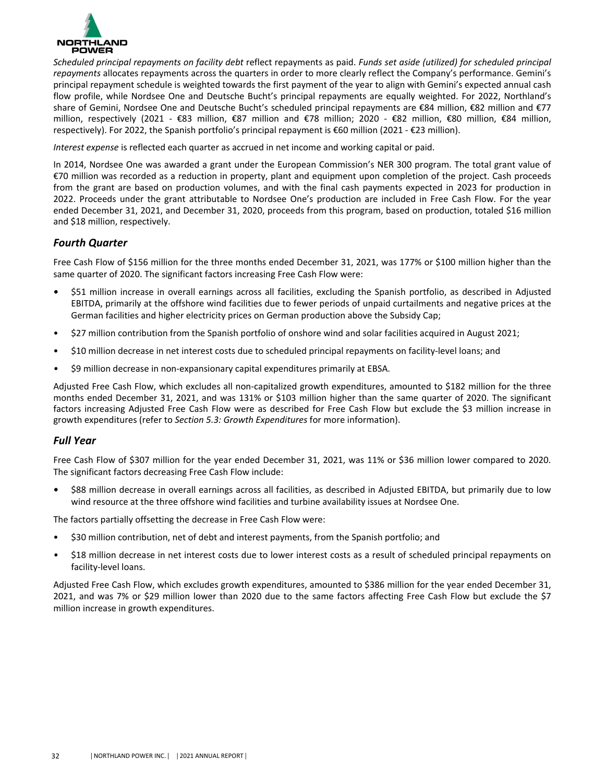

*Scheduled principal repayments on facility debt* reflect repayments as paid. *Funds set aside (utilized)* for scheduled principal repayments allocates repayments across the quarters in order to more clearly reflect the Company's performance. Gemini's principal repayment schedule is weighted towards the first payment of the year to align with Gemini's expected annual cash flow profile, while Nordsee One and Deutsche Bucht's principal repayments are equally weighted. For 2022, Northland's share of Gemini, Nordsee One and Deutsche Bucht's scheduled principal repayments are €84 million, €82 million and €77 million, respectively (2021 - €83 million, €87 million and €78 million; 2020 - €82 million, €80 million, €84 million, respectively). For 2022, the Spanish portfolio's principal repayment is €60 million (2021 - €23 million).

*Interest expense* is reflected each quarter as accrued in net income and working capital or paid.

In 2014, Nordsee One was awarded a grant under the European Commission's NER 300 program. The total grant value of €70 million was recorded as a reduction in property, plant and equipment upon completion of the project. Cash proceeds from the grant are based on production volumes, and with the final cash payments expected in 2023 for production in 2022. Proceeds under the grant attributable to Nordsee One's production are included in Free Cash Flow. For the year ended December 31, 2021, and December 31, 2020, proceeds from this program, based on production, totaled \$16 million and \$18 million, respectively.

# *Fourth Quarter*

Free Cash Flow of \$156 million for the three months ended December 31, 2021, was 177% or \$100 million higher than the same quarter of 2020. The significant factors increasing Free Cash Flow were:

- \$51 million increase in overall earnings across all facilities, excluding the Spanish portfolio, as described in Adjusted EBITDA, primarily at the offshore wind facilities due to fewer periods of unpaid curtailments and negative prices at the German facilities and higher electricity prices on German production above the Subsidy Cap;
- \$27 million contribution from the Spanish portfolio of onshore wind and solar facilities acquired in August 2021;
- \$10 million decrease in net interest costs due to scheduled principal repayments on facility-level loans; and
- \$9 million decrease in non-expansionary capital expenditures primarily at EBSA.

Adjusted Free Cash Flow, which excludes all non-capitalized growth expenditures, amounted to \$182 million for the three months ended December 31, 2021, and was 131% or \$103 million higher than the same quarter of 2020. The significant factors increasing Adjusted Free Cash Flow were as described for Free Cash Flow but exclude the \$3 million increase in growth expenditures (refer to *Section 5.3: Growth Expenditures* for more information).

### *Full Year*

Free Cash Flow of \$307 million for the year ended December 31, 2021, was 11% or \$36 million lower compared to 2020. The significant factors decreasing Free Cash Flow include:

\$88 million decrease in overall earnings across all facilities, as described in Adjusted EBITDA, but primarily due to low wind resource at the three offshore wind facilities and turbine availability issues at Nordsee One.

The factors partially offsetting the decrease in Free Cash Flow were:

- \$30 million contribution, net of debt and interest payments, from the Spanish portfolio; and
- \$18 million decrease in net interest costs due to lower interest costs as a result of scheduled principal repayments on facility-level loans.

Adjusted Free Cash Flow, which excludes growth expenditures, amounted to \$386 million for the year ended December 31, 2021, and was 7% or \$29 million lower than 2020 due to the same factors affecting Free Cash Flow but exclude the \$7 million increase in growth expenditures.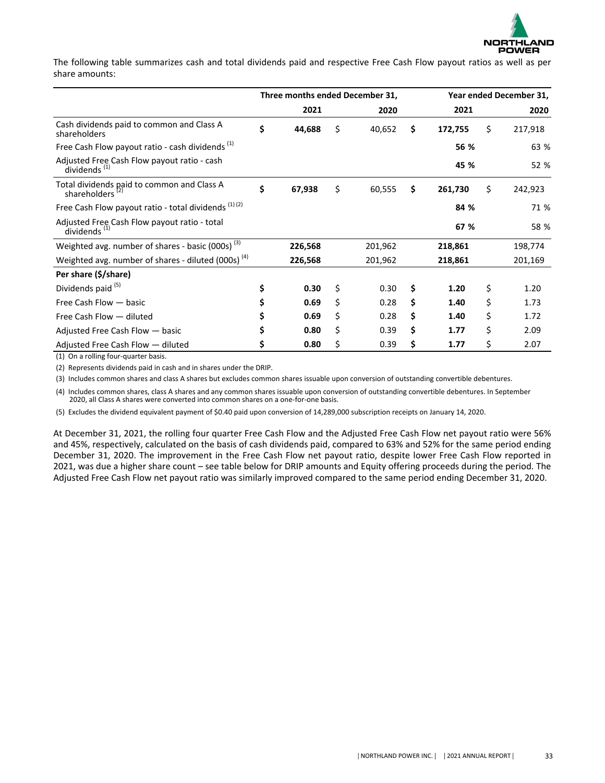

The following table summarizes cash and total dividends paid and respective Free Cash Flow payout ratios as well as per share amounts:

|                                                                           |              |      | Three months ended December 31, | Year ended December 31, |         |      |         |  |
|---------------------------------------------------------------------------|--------------|------|---------------------------------|-------------------------|---------|------|---------|--|
|                                                                           | 2021         | 2020 |                                 | 2021                    |         | 2020 |         |  |
| Cash dividends paid to common and Class A<br>shareholders                 | \$<br>44,688 | \$   | 40,652                          | \$                      | 172,755 | \$   | 217,918 |  |
| Free Cash Flow payout ratio - cash dividends <sup>(1)</sup>               |              |      |                                 |                         | 56 %    |      | 63 %    |  |
| Adjusted Free Cash Flow payout ratio - cash<br>dividends <sup>(1)</sup>   |              |      |                                 |                         | 45 %    |      | 52 %    |  |
| Total dividends paid to common and Class A<br>shareholders <sup>(2)</sup> | \$<br>67,938 | \$   | 60,555                          | \$                      | 261,730 | \$   | 242,923 |  |
| Free Cash Flow payout ratio - total dividends (1) (2)                     |              |      |                                 |                         | 84 %    | 71 % |         |  |
| Adjusted Free Cash Flow payout ratio - total<br>dividends <sup>(1)</sup>  |              |      |                                 |                         | 67 %    |      |         |  |
| Weighted avg. number of shares - basic (000s) <sup>(3)</sup>              | 226,568      |      | 201,962                         |                         | 218,861 |      | 198,774 |  |
| Weighted avg. number of shares - diluted (000s) <sup>(4)</sup>            | 226,568      |      | 201,962                         |                         | 218,861 |      | 201,169 |  |
| Per share (\$/share)                                                      |              |      |                                 |                         |         |      |         |  |
| Dividends paid <sup>(5)</sup>                                             | 0.30         | \$   | 0.30                            | \$                      | 1.20    | \$   | 1.20    |  |
| Free Cash Flow - basic                                                    | 0.69         | \$   | 0.28                            | \$                      | 1.40    | \$   | 1.73    |  |
| Free Cash Flow - diluted                                                  | 0.69         | \$   | 0.28                            | \$                      | 1.40    | \$   | 1.72    |  |
| Adjusted Free Cash Flow - basic                                           | 0.80         | \$   | 0.39                            | \$                      | 1.77    | Ś    | 2.09    |  |
| Adjusted Free Cash Flow - diluted                                         | 0.80         | \$   | 0.39                            | \$                      | 1.77    | \$   | 2.07    |  |

(1) On a rolling four-quarter basis.

(2) Represents dividends paid in cash and in shares under the DRIP.

(3) Includes common shares and class A shares but excludes common shares issuable upon conversion of outstanding convertible debentures.

(4) Includes common shares, class A shares and any common shares issuable upon conversion of outstanding convertible debentures. In September 2020, all Class A shares were converted into common shares on a one-for-one basis.

(5) Excludes the dividend equivalent payment of \$0.40 paid upon conversion of 14,289,000 subscription receipts on January 14, 2020.

At December 31, 2021, the rolling four quarter Free Cash Flow and the Adjusted Free Cash Flow net payout ratio were 56% and 45%, respectively, calculated on the basis of cash dividends paid, compared to 63% and 52% for the same period ending December 31, 2020. The improvement in the Free Cash Flow net payout ratio, despite lower Free Cash Flow reported in 2021, was due a higher share count – see table below for DRIP amounts and Equity offering proceeds during the period. The Adjusted Free Cash Flow net payout ratio was similarly improved compared to the same period ending December 31, 2020.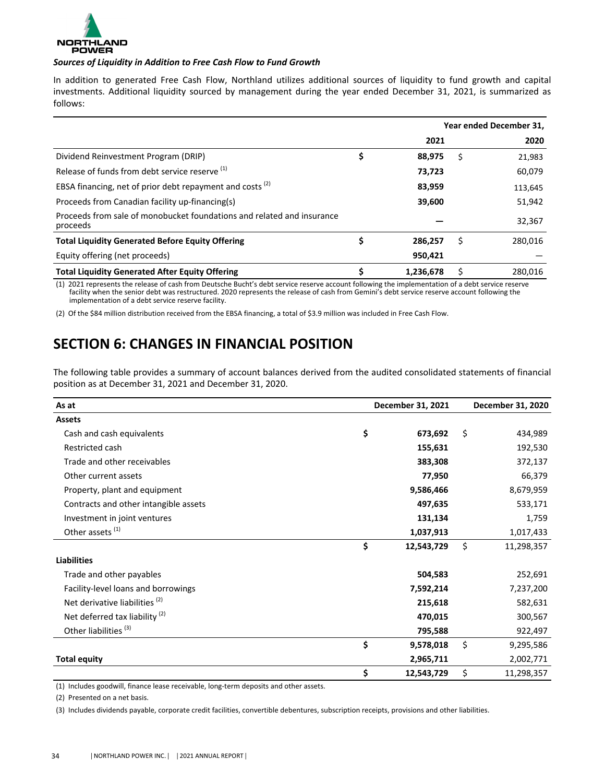<span id="page-24-0"></span>

#### Sources of Liquidity in Addition to Free Cash Flow to Fund Growth

In addition to generated Free Cash Flow, Northland utilizes additional sources of liquidity to fund growth and capital investments. Additional liquidity sourced by management during the year ended December 31, 2021, is summarized as follows: 

|                                                                                    |    |           |   | Year ended December 31, |
|------------------------------------------------------------------------------------|----|-----------|---|-------------------------|
|                                                                                    |    | 2021      |   | 2020                    |
| Dividend Reinvestment Program (DRIP)                                               | \$ | 88,975    | Ś | 21,983                  |
| Release of funds from debt service reserve (1)                                     |    | 73,723    |   | 60,079                  |
| EBSA financing, net of prior debt repayment and costs <sup>(2)</sup>               |    | 83,959    |   | 113,645                 |
| Proceeds from Canadian facility up-financing(s)                                    |    | 39,600    |   | 51,942                  |
| Proceeds from sale of monobucket foundations and related and insurance<br>proceeds |    |           |   | 32,367                  |
| <b>Total Liquidity Generated Before Equity Offering</b>                            | Ş  | 286.257   | S | 280.016                 |
| Equity offering (net proceeds)                                                     |    | 950,421   |   |                         |
| <b>Total Liquidity Generated After Equity Offering</b>                             | \$ | 1,236,678 |   | 280.016                 |

(1) 2021 represents the release of cash from Deutsche Bucht's debt service reserve account following the implementation of a debt service reserve facility when the senior debt was restructured. 2020 represents the release of cash from Gemini's debt service reserve account following the implementation of a debt service reserve facility.

(2) Of the \$84 million distribution received from the EBSA financing, a total of \$3.9 million was included in Free Cash Flow.

# **SECTION 6: CHANGES IN FINANCIAL POSITION**

The following table provides a summary of account balances derived from the audited consolidated statements of financial position as at December 31, 2021 and December 31, 2020.

| As at                                     | December 31, 2021 | December 31, 2020 |
|-------------------------------------------|-------------------|-------------------|
| <b>Assets</b>                             |                   |                   |
| Cash and cash equivalents                 | \$<br>673,692     | \$<br>434,989     |
| Restricted cash                           | 155,631           | 192,530           |
| Trade and other receivables               | 383,308           | 372,137           |
| Other current assets                      | 77,950            | 66,379            |
| Property, plant and equipment             | 9,586,466         | 8,679,959         |
| Contracts and other intangible assets     | 497,635           | 533,171           |
| Investment in joint ventures              | 131,134           | 1,759             |
| Other assets <sup>(1)</sup>               | 1,037,913         | 1,017,433         |
|                                           | \$<br>12,543,729  | \$<br>11,298,357  |
| <b>Liabilities</b>                        |                   |                   |
| Trade and other payables                  | 504,583           | 252,691           |
| Facility-level loans and borrowings       | 7,592,214         | 7,237,200         |
| Net derivative liabilities <sup>(2)</sup> | 215,618           | 582,631           |
| Net deferred tax liability $(2)$          | 470,015           | 300,567           |
| Other liabilities <sup>(3)</sup>          | 795,588           | 922,497           |
|                                           | \$<br>9,578,018   | \$<br>9,295,586   |
| <b>Total equity</b>                       | 2,965,711         | 2,002,771         |
|                                           | \$<br>12,543,729  | \$<br>11,298,357  |

(1) Includes goodwill, finance lease receivable, long-term deposits and other assets.

(2) Presented on a net basis.

(3) Includes dividends payable, corporate credit facilities, convertible debentures, subscription receipts, provisions and other liabilities.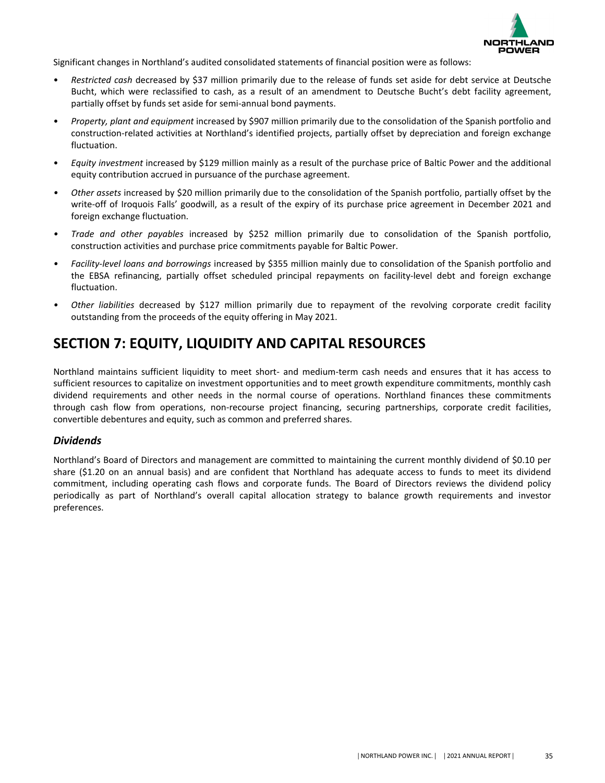

<span id="page-25-0"></span>Significant changes in Northland's audited consolidated statements of financial position were as follows:

- Restricted cash decreased by \$37 million primarily due to the release of funds set aside for debt service at Deutsche Bucht, which were reclassified to cash, as a result of an amendment to Deutsche Bucht's debt facility agreement, partially offset by funds set aside for semi-annual bond payments.
- *Property, plant and equipment* increased by \$907 million primarily due to the consolidation of the Spanish portfolio and construction-related activities at Northland's identified projects, partially offset by depreciation and foreign exchange fluctuation.
- *Equity investment* increased by \$129 million mainly as a result of the purchase price of Baltic Power and the additional equity contribution accrued in pursuance of the purchase agreement.
- *Other* assets increased by \$20 million primarily due to the consolidation of the Spanish portfolio, partially offset by the write-off of Iroquois Falls' goodwill, as a result of the expiry of its purchase price agreement in December 2021 and foreign exchange fluctuation.
- *Trade and other payables* increased by \$252 million primarily due to consolidation of the Spanish portfolio, construction activities and purchase price commitments payable for Baltic Power.
- *Facility-level loans and borrowings* increased by \$355 million mainly due to consolidation of the Spanish portfolio and the EBSA refinancing, partially offset scheduled principal repayments on facility-level debt and foreign exchange fluctuation.
- *Other liabilities* decreased by \$127 million primarily due to repayment of the revolving corporate credit facility outstanding from the proceeds of the equity offering in May 2021.

# **SECTION 7: EQUITY, LIQUIDITY AND CAPITAL RESOURCES**

Northland maintains sufficient liquidity to meet short- and medium-term cash needs and ensures that it has access to sufficient resources to capitalize on investment opportunities and to meet growth expenditure commitments, monthly cash dividend requirements and other needs in the normal course of operations. Northland finances these commitments through cash flow from operations, non-recourse project financing, securing partnerships, corporate credit facilities, convertible debentures and equity, such as common and preferred shares.

# *Dividends*

Northland's Board of Directors and management are committed to maintaining the current monthly dividend of \$0.10 per share  $(S1.20$  on an annual basis) and are confident that Northland has adequate access to funds to meet its dividend commitment, including operating cash flows and corporate funds. The Board of Directors reviews the dividend policy periodically as part of Northland's overall capital allocation strategy to balance growth requirements and investor preferences.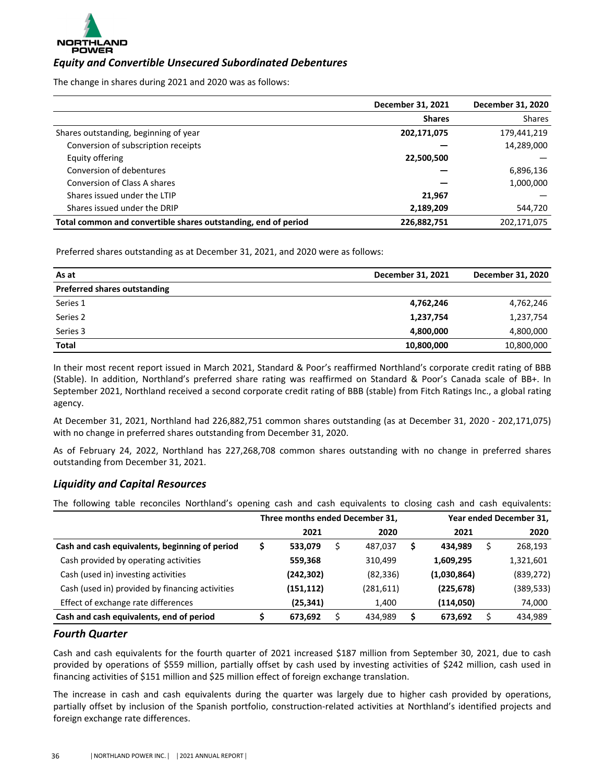

# *Equity and Convertible Unsecured Subordinated Debentures*

The change in shares during 2021 and 2020 was as follows:

|                                                                | December 31, 2021 | December 31, 2020 |
|----------------------------------------------------------------|-------------------|-------------------|
|                                                                | <b>Shares</b>     | <b>Shares</b>     |
| Shares outstanding, beginning of year                          | 202,171,075       | 179,441,219       |
| Conversion of subscription receipts                            |                   | 14,289,000        |
| Equity offering                                                | 22,500,500        |                   |
| Conversion of debentures                                       |                   | 6,896,136         |
| Conversion of Class A shares                                   |                   | 1,000,000         |
| Shares issued under the LTIP                                   | 21.967            |                   |
| Shares issued under the DRIP                                   | 2,189,209         | 544,720           |
| Total common and convertible shares outstanding, end of period | 226,882,751       | 202,171,075       |

Preferred shares outstanding as at December 31, 2021, and 2020 were as follows:

| As at                               | December 31, 2021 | December 31, 2020 |
|-------------------------------------|-------------------|-------------------|
| <b>Preferred shares outstanding</b> |                   |                   |
| Series 1                            | 4,762,246         | 4,762,246         |
| Series 2                            | 1,237,754         | 1,237,754         |
| Series 3                            | 4,800,000         | 4,800,000         |
| <b>Total</b>                        | 10,800,000        | 10,800,000        |

In their most recent report issued in March 2021, Standard & Poor's reaffirmed Northland's corporate credit rating of BBB (Stable). In addition, Northland's preferred share rating was reaffirmed on Standard & Poor's Canada scale of BB+. In September 2021, Northland received a second corporate credit rating of BBB (stable) from Fitch Ratings Inc., a global rating agency.

At December 31, 2021, Northland had 226,882,751 common shares outstanding (as at December 31, 2020 - 202,171,075) with no change in preferred shares outstanding from December 31, 2020.

As of February 24, 2022, Northland has 227,268,708 common shares outstanding with no change in preferred shares outstanding from December 31, 2021.

# *Liquidity and Capital Resources*

The following table reconciles Northland's opening cash and cash equivalents to closing cash and cash equivalents:

|                                                 | Three months ended December 31, |   |           |               | Year ended December 31, |            |  |  |  |  |  |  |
|-------------------------------------------------|---------------------------------|---|-----------|---------------|-------------------------|------------|--|--|--|--|--|--|
|                                                 | 2021                            |   | 2020      | 2021          |                         | 2020       |  |  |  |  |  |  |
| Cash and cash equivalents, beginning of period  | 533,079                         | S | 487.037   | \$<br>434.989 |                         | 268,193    |  |  |  |  |  |  |
| Cash provided by operating activities           | 559,368                         |   | 310.499   | 1,609,295     |                         | 1,321,601  |  |  |  |  |  |  |
| Cash (used in) investing activities             | (242, 302)                      |   | (82, 336) | (1,030,864)   |                         | (839, 272) |  |  |  |  |  |  |
| Cash (used in) provided by financing activities | (151, 112)                      |   | (281,611) | (225, 678)    |                         | (389, 533) |  |  |  |  |  |  |
| Effect of exchange rate differences             | (25, 341)                       |   | 1,400     | (114,050)     |                         | 74,000     |  |  |  |  |  |  |
| Cash and cash equivalents, end of period        | 673,692                         |   | 434.989   | \$<br>673,692 |                         | 434,989    |  |  |  |  |  |  |

### *Fourth Quarter*

Cash and cash equivalents for the fourth quarter of 2021 increased \$187 million from September 30, 2021, due to cash provided by operations of \$559 million, partially offset by cash used by investing activities of \$242 million, cash used in financing activities of \$151 million and \$25 million effect of foreign exchange translation.

The increase in cash and cash equivalents during the quarter was largely due to higher cash provided by operations, partially offset by inclusion of the Spanish portfolio, construction-related activities at Northland's identified projects and foreign exchange rate differences.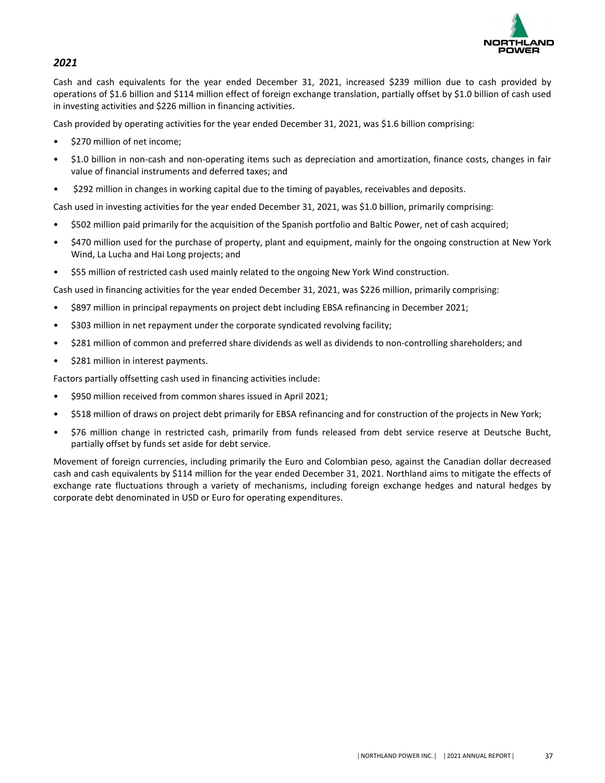

# *2021*

Cash and cash equivalents for the year ended December 31, 2021, increased \$239 million due to cash provided by operations of \$1.6 billion and \$114 million effect of foreign exchange translation, partially offset by \$1.0 billion of cash used in investing activities and \$226 million in financing activities.

Cash provided by operating activities for the year ended December 31, 2021, was \$1.6 billion comprising:

- \$270 million of net income;
- \$1.0 billion in non-cash and non-operating items such as depreciation and amortization, finance costs, changes in fair value of financial instruments and deferred taxes; and
- \$292 million in changes in working capital due to the timing of payables, receivables and deposits.

Cash used in investing activities for the year ended December 31, 2021, was \$1.0 billion, primarily comprising:

- \$502 million paid primarily for the acquisition of the Spanish portfolio and Baltic Power, net of cash acquired;
- \$470 million used for the purchase of property, plant and equipment, mainly for the ongoing construction at New York Wind, La Lucha and Hai Long projects; and
- \$55 million of restricted cash used mainly related to the ongoing New York Wind construction.

Cash used in financing activities for the year ended December 31, 2021, was \$226 million, primarily comprising:

- \$897 million in principal repayments on project debt including EBSA refinancing in December 2021;
- \$303 million in net repayment under the corporate syndicated revolving facility;
- \$281 million of common and preferred share dividends as well as dividends to non-controlling shareholders; and
- \$281 million in interest payments.

Factors partially offsetting cash used in financing activities include:

- \$950 million received from common shares issued in April 2021;
- \$518 million of draws on project debt primarily for EBSA refinancing and for construction of the projects in New York;
- \$76 million change in restricted cash, primarily from funds released from debt service reserve at Deutsche Bucht, partially offset by funds set aside for debt service.

Movement of foreign currencies, including primarily the Euro and Colombian peso, against the Canadian dollar decreased cash and cash equivalents by \$114 million for the year ended December 31, 2021. Northland aims to mitigate the effects of exchange rate fluctuations through a variety of mechanisms, including foreign exchange hedges and natural hedges by corporate debt denominated in USD or Euro for operating expenditures.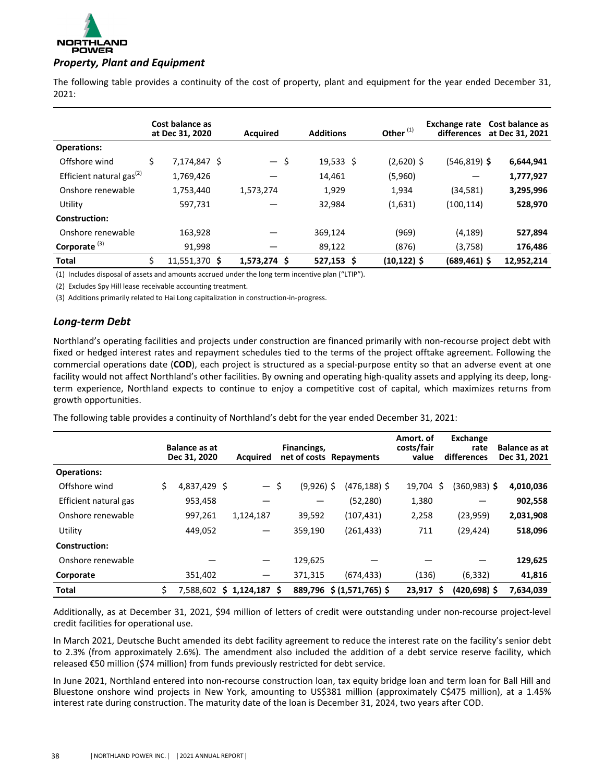

The following table provides a continuity of the cost of property, plant and equipment for the year ended December 31, 2021:

|                                      | Cost balance as<br>at Dec 31, 2020 | <b>Acquired</b> | <b>Additions</b> | Other <sup>(1)</sup> | Exchange rate<br>differences | Cost balance as<br>at Dec 31, 2021 |
|--------------------------------------|------------------------------------|-----------------|------------------|----------------------|------------------------------|------------------------------------|
| <b>Operations:</b>                   |                                    |                 |                  |                      |                              |                                    |
| Offshore wind                        | \$<br>7,174,847 \$                 | $-$ \$          | $19,533$ \$      | $(2,620)$ \$         | $(546, 819)$ \$              | 6,644,941                          |
| Efficient natural gas <sup>(2)</sup> | 1,769,426                          |                 | 14,461           | (5,960)              |                              | 1,777,927                          |
| Onshore renewable                    | 1,753,440                          | 1,573,274       | 1,929            | 1,934                | (34, 581)                    | 3,295,996                          |
| Utility                              | 597,731                            |                 | 32,984           | (1,631)              | (100, 114)                   | 528,970                            |
| Construction:                        |                                    |                 |                  |                      |                              |                                    |
| Onshore renewable                    | 163,928                            |                 | 369,124          | (969)                | (4, 189)                     | 527,894                            |
| Corporate $(3)$                      | 91,998                             |                 | 89,122           | (876)                | (3,758)                      | 176,486                            |
| <b>Total</b>                         | \$<br>11,551,370 \$                | 1,573,274 \$    | 527,153 \$       | (10,122) \$          | (689,461) \$                 | 12,952,214                         |

(1) Includes disposal of assets and amounts accrued under the long term incentive plan ("LTIP").

(2) Excludes Spy Hill lease receivable accounting treatment.

(3) Additions primarily related to Hai Long capitalization in construction-in-progress.

### *Long-term Debt*

Northland's operating facilities and projects under construction are financed primarily with non-recourse project debt with fixed or hedged interest rates and repayment schedules tied to the terms of the project offtake agreement. Following the commercial operations date (COD), each project is structured as a special-purpose entity so that an adverse event at one facility would not affect Northland's other facilities. By owning and operating high-quality assets and applying its deep, longterm experience, Northland expects to continue to enjoy a competitive cost of capital, which maximizes returns from growth opportunities.

The following table provides a continuity of Northland's debt for the year ended December 31, 2021:

|                       |    | <b>Balance as at</b><br>Dec 31, 2020 |  | Financings,<br>net of costs Repayments<br><b>Acquired</b> |              | Amort. of<br>costs/fair<br>value |             | Exchange<br>rate<br>differences | <b>Balance as at</b><br>Dec 31, 2021 |           |
|-----------------------|----|--------------------------------------|--|-----------------------------------------------------------|--------------|----------------------------------|-------------|---------------------------------|--------------------------------------|-----------|
| <b>Operations:</b>    |    |                                      |  |                                                           |              |                                  |             |                                 |                                      |           |
| Offshore wind         | \$ | 4,837,429 \$                         |  | $-5$                                                      | $(9,926)$ \$ | $(476, 188)$ \$                  | 19,704      | -\$                             | (360,983) \$                         | 4,010,036 |
| Efficient natural gas |    | 953,458                              |  |                                                           |              | (52,280)                         | 1,380       |                                 |                                      | 902,558   |
| Onshore renewable     |    | 997,261                              |  | 1,124,187                                                 | 39,592       | (107, 431)                       | 2,258       |                                 | (23, 959)                            | 2,031,908 |
| Utility               |    | 449,052                              |  |                                                           | 359,190      | (261, 433)                       | 711         |                                 | (29, 424)                            | 518,096   |
| Construction:         |    |                                      |  |                                                           |              |                                  |             |                                 |                                      |           |
| Onshore renewable     |    |                                      |  |                                                           | 129,625      |                                  |             |                                 |                                      | 129,625   |
| Corporate             |    | 351,402                              |  | —                                                         | 371,315      | (674, 433)                       | (136)       |                                 | (6, 332)                             | 41,816    |
| <b>Total</b>          | \$ | 7,588,602                            |  | $$1,124,187$ \$                                           |              | 889,796 \$ (1,571,765) \$        | $23,917$ \$ |                                 | $(420, 698)$ \$                      | 7,634,039 |

Additionally, as at December 31, 2021, \$94 million of letters of credit were outstanding under non-recourse project-level credit facilities for operational use.

In March 2021, Deutsche Bucht amended its debt facility agreement to reduce the interest rate on the facility's senior debt to 2.3% (from approximately 2.6%). The amendment also included the addition of a debt service reserve facility, which released €50 million (\$74 million) from funds previously restricted for debt service.

In June 2021, Northland entered into non-recourse construction loan, tax equity bridge loan and term loan for Ball Hill and Bluestone onshore wind projects in New York, amounting to US\$381 million (approximately C\$475 million), at a 1.45% interest rate during construction. The maturity date of the loan is December 31, 2024, two years after COD.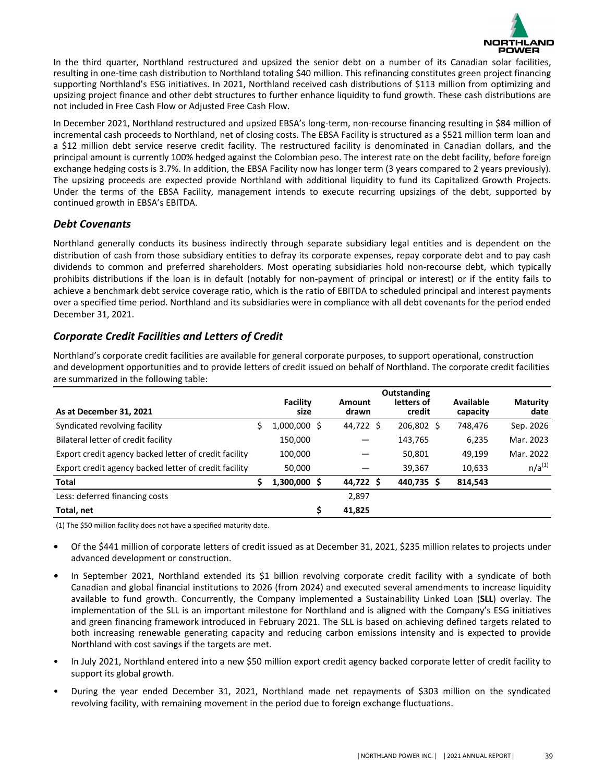

In the third quarter, Northland restructured and upsized the senior debt on a number of its Canadian solar facilities, resulting in one-time cash distribution to Northland totaling \$40 million. This refinancing constitutes green project financing supporting Northland's ESG initiatives. In 2021, Northland received cash distributions of \$113 million from optimizing and upsizing project finance and other debt structures to further enhance liquidity to fund growth. These cash distributions are not included in Free Cash Flow or Adjusted Free Cash Flow.

In December 2021, Northland restructured and upsized EBSA's long-term, non-recourse financing resulting in \$84 million of incremental cash proceeds to Northland, net of closing costs. The EBSA Facility is structured as a \$521 million term loan and a \$12 million debt service reserve credit facility. The restructured facility is denominated in Canadian dollars, and the principal amount is currently 100% hedged against the Colombian peso. The interest rate on the debt facility, before foreign exchange hedging costs is 3.7%. In addition, the EBSA Facility now has longer term (3 years compared to 2 years previously). The upsizing proceeds are expected provide Northland with additional liquidity to fund its Capitalized Growth Projects. Under the terms of the EBSA Facility, management intends to execute recurring upsizings of the debt, supported by continued growth in EBSA's EBITDA.

# *Debt Covenants*

Northland generally conducts its business indirectly through separate subsidiary legal entities and is dependent on the distribution of cash from those subsidiary entities to defray its corporate expenses, repay corporate debt and to pay cash dividends to common and preferred shareholders. Most operating subsidiaries hold non-recourse debt, which typically prohibits distributions if the loan is in default (notably for non-payment of principal or interest) or if the entity fails to achieve a benchmark debt service coverage ratio, which is the ratio of EBITDA to scheduled principal and interest payments over a specified time period. Northland and its subsidiaries were in compliance with all debt covenants for the period ended December 31, 2021.

# *Corporate Credit Facilities and Letters of Credit*

Northland's corporate credit facilities are available for general corporate purposes, to support operational, construction and development opportunities and to provide letters of credit issued on behalf of Northland. The corporate credit facilities are summarized in the following table:

|                                                       | Outstanding      |                 |  |                      |                       |                         |  |  |
|-------------------------------------------------------|------------------|-----------------|--|----------------------|-----------------------|-------------------------|--|--|
| As at December 31, 2021                               | Facility<br>size | Amount<br>drawn |  | letters of<br>credit | Available<br>capacity | <b>Maturity</b><br>date |  |  |
| Syndicated revolving facility                         | 1,000,000 \$     | 44,722 \$       |  | 206,802 \$           | 748,476               | Sep. 2026               |  |  |
| Bilateral letter of credit facility                   | 150,000          |                 |  | 143,765              | 6,235                 | Mar. 2023               |  |  |
| Export credit agency backed letter of credit facility | 100,000          |                 |  | 50,801               | 49,199                | Mar. 2022               |  |  |
| Export credit agency backed letter of credit facility | 50,000           |                 |  | 39,367               | 10,633                | $n/a^{(1)}$             |  |  |
| <b>Total</b>                                          | $1,300,000$ \$   | 44,722 \$       |  | 440,735 \$           | 814,543               |                         |  |  |
| Less: deferred financing costs                        |                  | 2,897           |  |                      |                       |                         |  |  |
| Total, net                                            |                  | 41,825          |  |                      |                       |                         |  |  |

(1) The \$50 million facility does not have a specified maturity date.

- Of the \$441 million of corporate letters of credit issued as at December 31, 2021, \$235 million relates to projects under advanced development or construction.
- In September 2021, Northland extended its \$1 billion revolving corporate credit facility with a syndicate of both Canadian and global financial institutions to 2026 (from 2024) and executed several amendments to increase liquidity available to fund growth. Concurrently, the Company implemented a Sustainability Linked Loan (SLL) overlay. The implementation of the SLL is an important milestone for Northland and is aligned with the Company's ESG initiatives and green financing framework introduced in February 2021. The SLL is based on achieving defined targets related to both increasing renewable generating capacity and reducing carbon emissions intensity and is expected to provide Northland with cost savings if the targets are met.
- In July 2021, Northland entered into a new \$50 million export credit agency backed corporate letter of credit facility to support its global growth.
- During the year ended December 31, 2021, Northland made net repayments of \$303 million on the syndicated revolving facility, with remaining movement in the period due to foreign exchange fluctuations.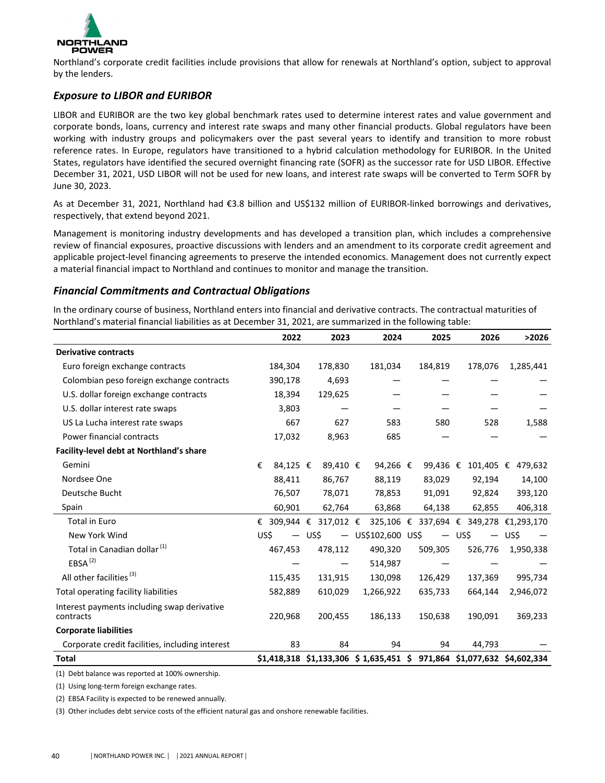

Northland's corporate credit facilities include provisions that allow for renewals at Northland's option, subject to approval by the lenders.

# **Exposure to LIBOR and EURIBOR**

LIBOR and EURIBOR are the two key global benchmark rates used to determine interest rates and value government and corporate bonds, loans, currency and interest rate swaps and many other financial products. Global regulators have been working with industry groups and policymakers over the past several years to identify and transition to more robust reference rates. In Europe, regulators have transitioned to a hybrid calculation methodology for EURIBOR. In the United States, regulators have identified the secured overnight financing rate (SOFR) as the successor rate for USD LIBOR. Effective December 31, 2021, USD LIBOR will not be used for new loans, and interest rate swaps will be converted to Term SOFR by June 30, 2023.

As at December 31, 2021, Northland had €3.8 billion and US\$132 million of EURIBOR-linked borrowings and derivatives, respectively, that extend beyond 2021.

Management is monitoring industry developments and has developed a transition plan, which includes a comprehensive review of financial exposures, proactive discussions with lenders and an amendment to its corporate credit agreement and applicable project-level financing agreements to preserve the intended economics. Management does not currently expect a material financial impact to Northland and continues to monitor and manage the transition.

# *Financial Commitments and Contractual Obligations*

In the ordinary course of business, Northland enters into financial and derivative contracts. The contractual maturities of Northland's material financial liabilities as at December 31, 2021, are summarized in the following table:

|                                                          |   | 2022           | 2023                  | 2024                                                                  | 2025                     |      | 2026                                   |        | >2026     |
|----------------------------------------------------------|---|----------------|-----------------------|-----------------------------------------------------------------------|--------------------------|------|----------------------------------------|--------|-----------|
| <b>Derivative contracts</b>                              |   |                |                       |                                                                       |                          |      |                                        |        |           |
| Euro foreign exchange contracts                          |   | 184,304        | 178,830               | 181,034                                                               | 184,819                  |      | 178,076                                |        | 1,285,441 |
| Colombian peso foreign exchange contracts                |   | 390,178        | 4,693                 |                                                                       |                          |      |                                        |        |           |
| U.S. dollar foreign exchange contracts                   |   | 18,394         | 129,625               |                                                                       |                          |      |                                        |        |           |
| U.S. dollar interest rate swaps                          |   | 3,803          |                       |                                                                       |                          |      |                                        |        |           |
| US La Lucha interest rate swaps                          |   | 667            | 627                   | 583                                                                   | 580                      |      | 528                                    |        | 1,588     |
| Power financial contracts                                |   | 17,032         | 8,963                 | 685                                                                   |                          |      |                                        |        |           |
| Facility-level debt at Northland's share                 |   |                |                       |                                                                       |                          |      |                                        |        |           |
| Gemini                                                   | € | 84,125 €       | 89,410 €              | 94,266 $\epsilon$                                                     |                          |      | 99,436 € 101,405 €                     |        | 479,632   |
| Nordsee One                                              |   | 88,411         | 86,767                | 88,119                                                                | 83,029                   |      | 92,194                                 |        | 14,100    |
| Deutsche Bucht                                           |   | 76,507         | 78,071                | 78,853                                                                | 91,091                   |      | 92,824                                 |        | 393,120   |
| Spain                                                    |   | 60,901         | 62,764                | 63,868                                                                | 64,138                   |      | 62,855                                 |        | 406,318   |
| <b>Total in Euro</b>                                     |   |                | € 309,944 € 317,012 € |                                                                       |                          |      | 325,106 € 337,694 € 349,278 €1,293,170 |        |           |
| New York Wind                                            |   | — US\$<br>US\$ |                       | $-$ US\$102,600 US\$                                                  | $\overline{\phantom{m}}$ | US\$ |                                        | — US\$ |           |
| Total in Canadian dollar <sup>(1)</sup>                  |   | 467,453        | 478,112               | 490,320                                                               | 509,305                  |      | 526,776                                |        | 1,950,338 |
| EBSA <sup>(2)</sup>                                      |   |                |                       | 514,987                                                               |                          |      |                                        |        |           |
| All other facilities <sup>(3)</sup>                      |   | 115,435        | 131,915               | 130,098                                                               | 126,429                  |      | 137,369                                |        | 995,734   |
| Total operating facility liabilities                     |   | 582,889        | 610,029               | 1,266,922                                                             | 635,733                  |      | 664,144                                |        | 2,946,072 |
| Interest payments including swap derivative<br>contracts |   | 220,968        | 200,455               | 186,133                                                               | 150,638                  |      | 190,091                                |        | 369,233   |
| <b>Corporate liabilities</b>                             |   |                |                       |                                                                       |                          |      |                                        |        |           |
| Corporate credit facilities, including interest          |   | 83             | 84                    | 94                                                                    | 94                       |      | 44,793                                 |        |           |
| Total                                                    |   |                |                       | \$1,418,318 \$1,133,306 \$1,635,451 \$971,864 \$1,077,632 \$4,602,334 |                          |      |                                        |        |           |

(1) Debt balance was reported at 100% ownership.

(1) Using long-term foreign exchange rates.

(2) EBSA Facility is expected to be renewed annually.

(3) Other includes debt service costs of the efficient natural gas and onshore renewable facilities.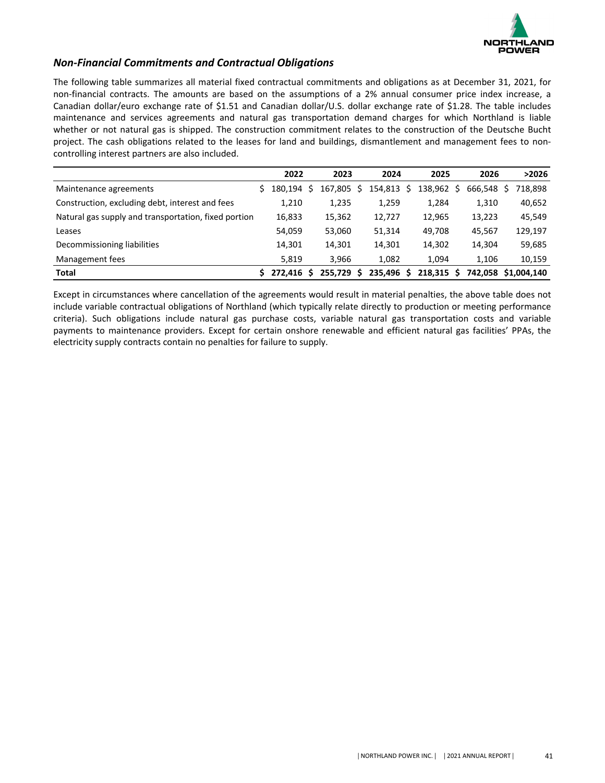

# *Non-Financial Commitments and Contractual Obligations*

The following table summarizes all material fixed contractual commitments and obligations as at December 31, 2021, for non-financial contracts. The amounts are based on the assumptions of a 2% annual consumer price index increase, a Canadian dollar/euro exchange rate of \$1.51 and Canadian dollar/U.S. dollar exchange rate of \$1.28. The table includes maintenance and services agreements and natural gas transportation demand charges for which Northland is liable whether or not natural gas is shipped. The construction commitment relates to the construction of the Deutsche Bucht project. The cash obligations related to the leases for land and buildings, dismantlement and management fees to noncontrolling interest partners are also included.

|                                                      | 2022       | 2023       | 2024       |   | 2025       | 2026       | >2026               |
|------------------------------------------------------|------------|------------|------------|---|------------|------------|---------------------|
| Maintenance agreements                               | 180.194 \$ | 167,805 \$ | 154,813 \$ |   | 138,962 \$ | 666.548 \$ | 718,898             |
| Construction, excluding debt, interest and fees      | 1,210      | 1,235      | 1,259      |   | 1,284      | 1,310      | 40,652              |
| Natural gas supply and transportation, fixed portion | 16,833     | 15,362     | 12,727     |   | 12,965     | 13,223     | 45,549              |
| Leases                                               | 54,059     | 53,060     | 51,314     |   | 49,708     | 45.567     | 129,197             |
| Decommissioning liabilities                          | 14,301     | 14,301     | 14,301     |   | 14,302     | 14,304     | 59,685              |
| Management fees                                      | 5,819      | 3.966      | 1,082      |   | 1,094      | 1,106      | 10,159              |
| <b>Total</b>                                         | 272.416 S  | 255.729 S  | 235,496    | S | 218.315 \$ |            | 742.058 \$1.004.140 |

Except in circumstances where cancellation of the agreements would result in material penalties, the above table does not include variable contractual obligations of Northland (which typically relate directly to production or meeting performance criteria). Such obligations include natural gas purchase costs, variable natural gas transportation costs and variable payments to maintenance providers. Except for certain onshore renewable and efficient natural gas facilities' PPAs, the electricity supply contracts contain no penalties for failure to supply.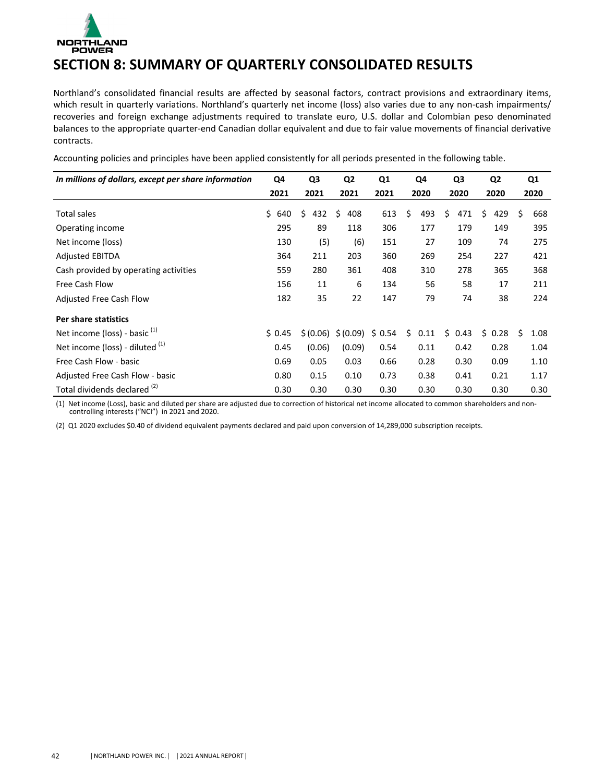# <span id="page-32-0"></span>NORTHLAND<br>POWER **SECTION 8: SUMMARY OF QUARTERLY CONSOLIDATED RESULTS**

Northland's consolidated financial results are affected by seasonal factors, contract provisions and extraordinary items, which result in quarterly variations. Northland's quarterly net income (loss) also varies due to any non-cash impairments/ recoveries and foreign exchange adjustments required to translate euro, U.S. dollar and Colombian peso denominated balances to the appropriate quarter-end Canadian dollar equivalent and due to fair value movements of financial derivative contracts. 

| In millions of dollars, except per share information | Q4        | Q3        | Q <sub>2</sub> | Q1     | Q4         | Q3         | Q <sub>2</sub> | Q1         |  |
|------------------------------------------------------|-----------|-----------|----------------|--------|------------|------------|----------------|------------|--|
|                                                      | 2021      | 2021      | 2021           | 2021   | 2020       | 2020       | 2020           | 2020       |  |
| <b>Total sales</b>                                   | Ś.<br>640 | \$<br>432 | Ŝ.<br>408      | 613    | \$<br>493  | \$<br>471  | Ś.<br>429      | \$<br>668  |  |
| Operating income                                     | 295       | 89        | 118            | 306    | 177        | 179        | 149            | 395        |  |
| Net income (loss)                                    | 130       | (5)       | (6)            | 151    | 27         | 109        | 74             | 275        |  |
| <b>Adjusted EBITDA</b>                               | 364       | 211       | 203            | 360    | 269        | 254        | 227            | 421        |  |
| Cash provided by operating activities                | 559       | 280       | 361            | 408    | 310        | 278        | 365            | 368        |  |
| Free Cash Flow                                       | 156       | 11        | 6              | 134    | 56         | 58         | 17             | 211        |  |
| <b>Adjusted Free Cash Flow</b>                       | 182       | 35        | 22             | 147    | 79         | 74         | 38             | 224        |  |
| Per share statistics                                 |           |           |                |        |            |            |                |            |  |
| Net income (loss) - basic $(1)$                      | \$0.45    | \$(0.06)  | \$(0.09)       | \$0.54 | \$<br>0.11 | Ś.<br>0.43 | Ś.<br>0.28     | Ś.<br>1.08 |  |
| Net income (loss) - diluted (1)                      | 0.45      | (0.06)    | (0.09)         | 0.54   | 0.11       | 0.42       | 0.28           | 1.04       |  |
| Free Cash Flow - basic                               | 0.69      | 0.05      | 0.03           | 0.66   | 0.28       | 0.30       | 0.09           | 1.10       |  |
| Adjusted Free Cash Flow - basic                      | 0.80      | 0.15      | 0.10           | 0.73   | 0.38       | 0.41       | 0.21           | 1.17       |  |
| Total dividends declared (2)                         | 0.30      | 0.30      | 0.30           | 0.30   | 0.30       | 0.30       | 0.30           | 0.30       |  |

Accounting policies and principles have been applied consistently for all periods presented in the following table.

(1) Net income (Loss), basic and diluted per share are adjusted due to correction of historical net income allocated to common shareholders and noncontrolling interests ("NCI") in 2021 and 2020.

(2) Q1 2020 excludes \$0.40 of dividend equivalent payments declared and paid upon conversion of 14,289,000 subscription receipts.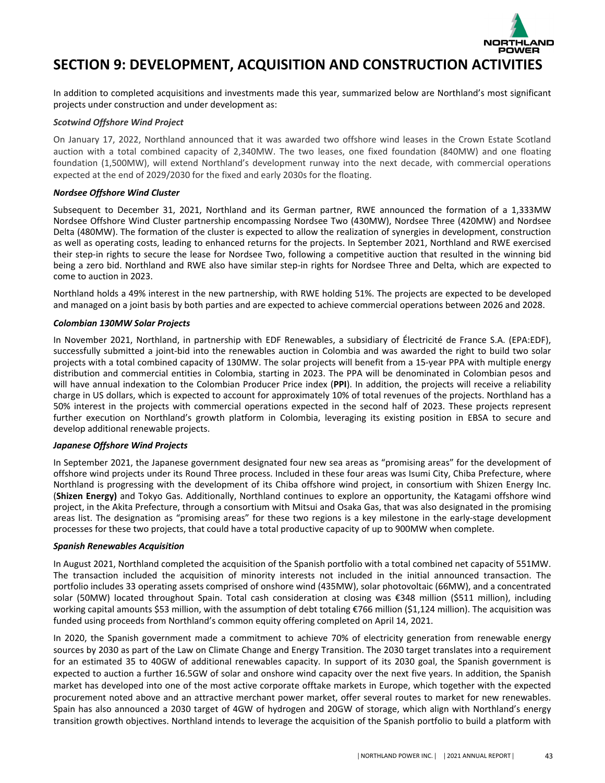

# <span id="page-33-0"></span>**SECTION 9: DEVELOPMENT, ACQUISITION AND CONSTRUCTION ACTIVITIES**

In addition to completed acquisitions and investments made this year, summarized below are Northland's most significant projects under construction and under development as:

### *Scotwind Offshore Wind Project*

On January 17, 2022, Northland announced that it was awarded two offshore wind leases in the Crown Estate Scotland auction with a total combined capacity of 2,340MW. The two leases, one fixed foundation (840MW) and one floating foundation (1,500MW), will extend Northland's development runway into the next decade, with commercial operations expected at the end of 2029/2030 for the fixed and early 2030s for the floating.

### *Nordsee Offshore Wind Cluster*

Subsequent to December 31, 2021, Northland and its German partner, RWE announced the formation of a 1,333MW Nordsee Offshore Wind Cluster partnership encompassing Nordsee Two (430MW), Nordsee Three (420MW) and Nordsee Delta (480MW). The formation of the cluster is expected to allow the realization of synergies in development, construction as well as operating costs, leading to enhanced returns for the projects. In September 2021, Northland and RWE exercised their step-in rights to secure the lease for Nordsee Two, following a competitive auction that resulted in the winning bid being a zero bid. Northland and RWE also have similar step-in rights for Nordsee Three and Delta, which are expected to come to auction in 2023.

Northland holds a 49% interest in the new partnership, with RWE holding 51%. The projects are expected to be developed and managed on a joint basis by both parties and are expected to achieve commercial operations between 2026 and 2028.

### *Colombian 130MW Solar Projects*

In November 2021, Northland, in partnership with EDF Renewables, a subsidiary of Électricité de France S.A. (EPA:EDF), successfully submitted a joint-bid into the renewables auction in Colombia and was awarded the right to build two solar projects with a total combined capacity of 130MW. The solar projects will benefit from a 15-year PPA with multiple energy distribution and commercial entities in Colombia, starting in 2023. The PPA will be denominated in Colombian pesos and will have annual indexation to the Colombian Producer Price index (PPI). In addition, the projects will receive a reliability charge in US dollars, which is expected to account for approximately 10% of total revenues of the projects. Northland has a 50% interest in the projects with commercial operations expected in the second half of 2023. These projects represent further execution on Northland's growth platform in Colombia, leveraging its existing position in EBSA to secure and develop additional renewable projects.

### *Japanese Offshore Wind Projects*

In September 2021, the Japanese government designated four new sea areas as "promising areas" for the development of offshore wind projects under its Round Three process. Included in these four areas was Isumi City, Chiba Prefecture, where Northland is progressing with the development of its Chiba offshore wind project, in consortium with Shizen Energy Inc. (Shizen Energy) and Tokyo Gas. Additionally, Northland continues to explore an opportunity, the Katagami offshore wind project, in the Akita Prefecture, through a consortium with Mitsui and Osaka Gas, that was also designated in the promising areas list. The designation as "promising areas" for these two regions is a key milestone in the early-stage development processes for these two projects, that could have a total productive capacity of up to 900MW when complete.

### *Spanish Renewables Acquisition*

In August 2021, Northland completed the acquisition of the Spanish portfolio with a total combined net capacity of 551MW. The transaction included the acquisition of minority interests not included in the initial announced transaction. The portfolio includes 33 operating assets comprised of onshore wind (435MW), solar photovoltaic (66MW), and a concentrated solar (50MW) located throughout Spain. Total cash consideration at closing was €348 million (\$511 million), including working capital amounts \$53 million, with the assumption of debt totaling €766 million (\$1,124 million). The acquisition was funded using proceeds from Northland's common equity offering completed on April 14, 2021.

In 2020, the Spanish government made a commitment to achieve 70% of electricity generation from renewable energy sources by 2030 as part of the Law on Climate Change and Energy Transition. The 2030 target translates into a requirement for an estimated 35 to 40GW of additional renewables capacity. In support of its 2030 goal, the Spanish government is expected to auction a further 16.5GW of solar and onshore wind capacity over the next five years. In addition, the Spanish market has developed into one of the most active corporate offtake markets in Europe, which together with the expected procurement noted above and an attractive merchant power market, offer several routes to market for new renewables. Spain has also announced a 2030 target of 4GW of hydrogen and 20GW of storage, which align with Northland's energy transition growth objectives. Northland intends to leverage the acquisition of the Spanish portfolio to build a platform with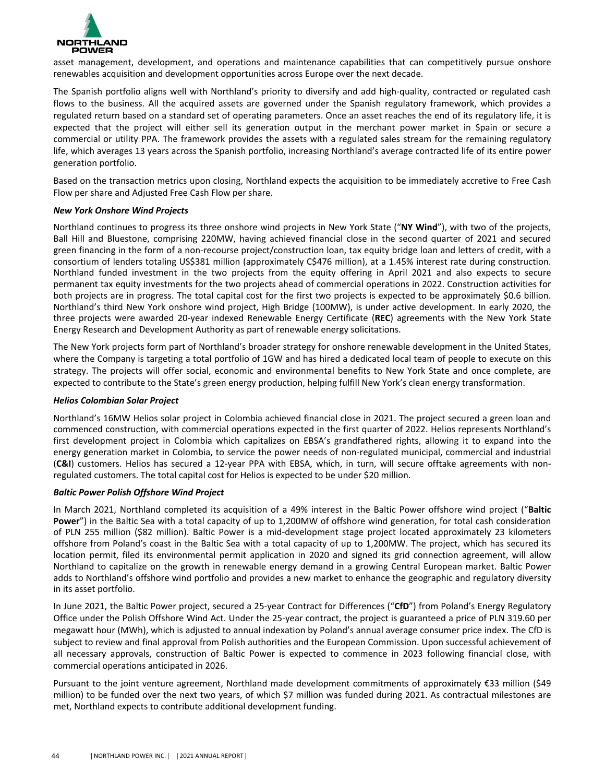

asset management, development, and operations and maintenance capabilities that can competitively pursue onshore renewables acquisition and development opportunities across Europe over the next decade.

The Spanish portfolio aligns well with Northland's priority to diversify and add high-quality, contracted or regulated cash flows to the business. All the acquired assets are governed under the Spanish regulatory framework, which provides a regulated return based on a standard set of operating parameters. Once an asset reaches the end of its regulatory life, it is expected that the project will either sell its generation output in the merchant power market in Spain or secure a commercial or utility PPA. The framework provides the assets with a regulated sales stream for the remaining regulatory life, which averages 13 years across the Spanish portfolio, increasing Northland's average contracted life of its entire power generation portfolio.

Based on the transaction metrics upon closing, Northland expects the acquisition to be immediately accretive to Free Cash Flow per share and Adjusted Free Cash Flow per share.

### *New York Onshore Wind Projects*

Northland continues to progress its three onshore wind projects in New York State ("NY Wind"), with two of the projects, Ball Hill and Bluestone, comprising 220MW, having achieved financial close in the second quarter of 2021 and secured green financing in the form of a non-recourse project/construction loan, tax equity bridge loan and letters of credit, with a consortium of lenders totaling US\$381 million (approximately C\$476 million), at a 1.45% interest rate during construction. Northland funded investment in the two projects from the equity offering in April 2021 and also expects to secure permanent tax equity investments for the two projects ahead of commercial operations in 2022. Construction activities for both projects are in progress. The total capital cost for the first two projects is expected to be approximately \$0.6 billion. Northland's third New York onshore wind project, High Bridge (100MW), is under active development. In early 2020, the three projects were awarded 20-year indexed Renewable Energy Certificate (REC) agreements with the New York State Energy Research and Development Authority as part of renewable energy solicitations.

The New York projects form part of Northland's broader strategy for onshore renewable development in the United States, where the Company is targeting a total portfolio of 1GW and has hired a dedicated local team of people to execute on this strategy. The projects will offer social, economic and environmental benefits to New York State and once complete, are expected to contribute to the State's green energy production, helping fulfill New York's clean energy transformation.

### *Helios Colombian Solar Project*

Northland's 16MW Helios solar project in Colombia achieved financial close in 2021. The project secured a green loan and commenced construction, with commercial operations expected in the first quarter of 2022. Helios represents Northland's first development project in Colombia which capitalizes on EBSA's grandfathered rights, allowing it to expand into the energy generation market in Colombia, to service the power needs of non-regulated municipal, commercial and industrial (C&I) customers. Helios has secured a 12-year PPA with EBSA, which, in turn, will secure offtake agreements with nonregulated customers. The total capital cost for Helios is expected to be under \$20 million.

### *Baltic Power Polish Offshore Wind Project*

In March 2021, Northland completed its acquisition of a 49% interest in the Baltic Power offshore wind project ("Baltic **Power**") in the Baltic Sea with a total capacity of up to 1,200MW of offshore wind generation, for total cash consideration of PLN 255 million (\$82 million). Baltic Power is a mid-development stage project located approximately 23 kilometers offshore from Poland's coast in the Baltic Sea with a total capacity of up to 1,200MW. The project, which has secured its location permit, filed its environmental permit application in 2020 and signed its grid connection agreement, will allow Northland to capitalize on the growth in renewable energy demand in a growing Central European market. Baltic Power adds to Northland's offshore wind portfolio and provides a new market to enhance the geographic and regulatory diversity in its asset portfolio.

In June 2021, the Baltic Power project, secured a 25-year Contract for Differences ("CfD") from Poland's Energy Regulatory Office under the Polish Offshore Wind Act. Under the 25-year contract, the project is guaranteed a price of PLN 319.60 per megawatt hour (MWh), which is adjusted to annual indexation by Poland's annual average consumer price index. The CfD is subject to review and final approval from Polish authorities and the European Commission. Upon successful achievement of all necessary approvals, construction of Baltic Power is expected to commence in 2023 following financial close, with commercial operations anticipated in 2026.

Pursuant to the joint venture agreement, Northland made development commitments of approximately €33 million (\$49 million) to be funded over the next two years, of which \$7 million was funded during 2021. As contractual milestones are met, Northland expects to contribute additional development funding.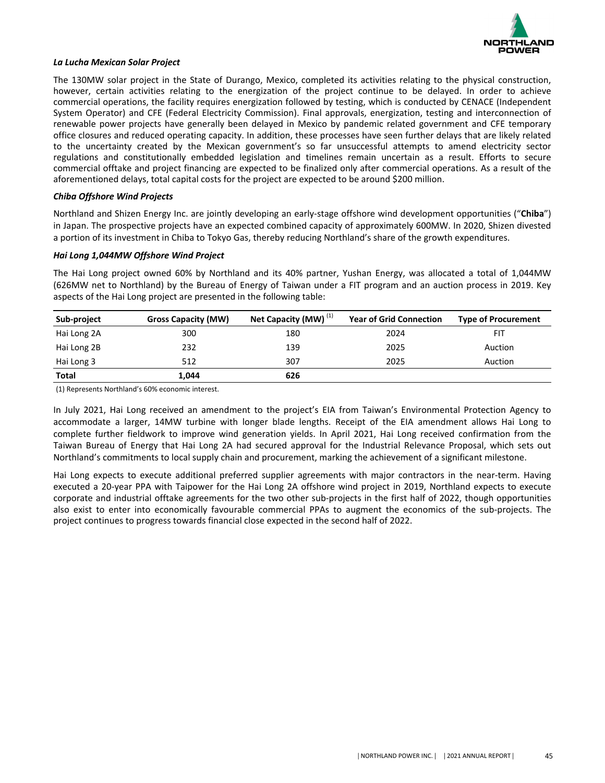

#### *La Lucha Mexican Solar Project*

The 130MW solar project in the State of Durango, Mexico, completed its activities relating to the physical construction, however, certain activities relating to the energization of the project continue to be delayed. In order to achieve commercial operations, the facility requires energization followed by testing, which is conducted by CENACE (Independent System Operator) and CFE (Federal Electricity Commission). Final approvals, energization, testing and interconnection of renewable power projects have generally been delayed in Mexico by pandemic related government and CFE temporary office closures and reduced operating capacity. In addition, these processes have seen further delays that are likely related to the uncertainty created by the Mexican government's so far unsuccessful attempts to amend electricity sector regulations and constitutionally embedded legislation and timelines remain uncertain as a result. Efforts to secure commercial offtake and project financing are expected to be finalized only after commercial operations. As a result of the aforementioned delays, total capital costs for the project are expected to be around \$200 million.

### *Chiba Offshore Wind Projects*

Northland and Shizen Energy Inc. are jointly developing an early-stage offshore wind development opportunities ("Chiba") in Japan. The prospective projects have an expected combined capacity of approximately 600MW. In 2020, Shizen divested a portion of its investment in Chiba to Tokyo Gas, thereby reducing Northland's share of the growth expenditures.

#### *Hai Long 1,044MW Offshore Wind Project*

The Hai Long project owned 60% by Northland and its 40% partner, Yushan Energy, was allocated a total of 1,044MW (626MW net to Northland) by the Bureau of Energy of Taiwan under a FIT program and an auction process in 2019. Key aspects of the Hai Long project are presented in the following table:

| Sub-project  | <b>Gross Capacity (MW)</b> | Net Capacity (MW) <sup>(1)</sup> | <b>Year of Grid Connection</b> | <b>Type of Procurement</b> |
|--------------|----------------------------|----------------------------------|--------------------------------|----------------------------|
| Hai Long 2A  | 300                        | 180                              | 2024                           | FIT                        |
| Hai Long 2B  | 232                        | 139                              | 2025                           | Auction                    |
| Hai Long 3   | 512                        | 307                              | 2025                           | Auction                    |
| <b>Total</b> | 1,044                      | 626                              |                                |                            |

(1) Represents Northland's 60% economic interest.

In July 2021, Hai Long received an amendment to the project's EIA from Taiwan's Environmental Protection Agency to accommodate a larger, 14MW turbine with longer blade lengths. Receipt of the EIA amendment allows Hai Long to complete further fieldwork to improve wind generation yields. In April 2021, Hai Long received confirmation from the Taiwan Bureau of Energy that Hai Long 2A had secured approval for the Industrial Relevance Proposal, which sets out Northland's commitments to local supply chain and procurement, marking the achievement of a significant milestone.

Hai Long expects to execute additional preferred supplier agreements with major contractors in the near-term. Having executed a 20-year PPA with Taipower for the Hai Long 2A offshore wind project in 2019, Northland expects to execute corporate and industrial offtake agreements for the two other sub-projects in the first half of 2022, though opportunities also exist to enter into economically favourable commercial PPAs to augment the economics of the sub-projects. The project continues to progress towards financial close expected in the second half of 2022.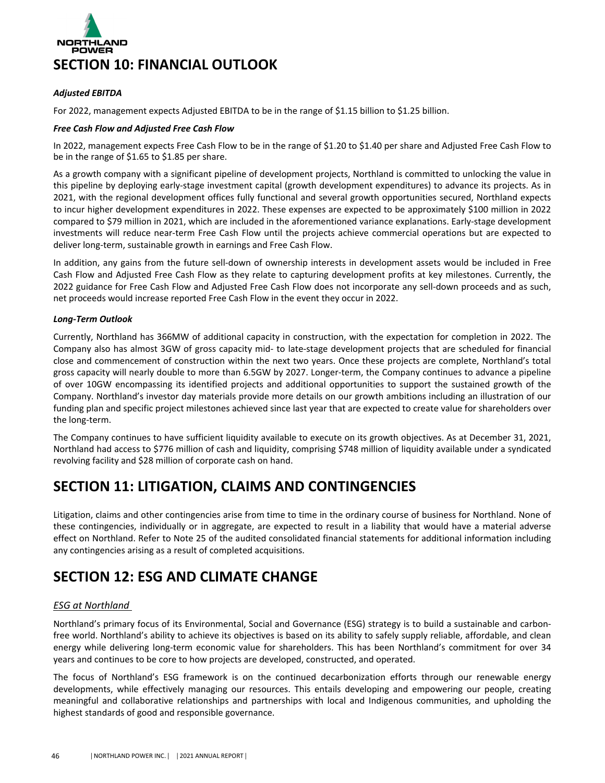<span id="page-36-0"></span>

### *Adjusted EBITDA*

For 2022, management expects Adjusted EBITDA to be in the range of \$1.15 billion to \$1.25 billion.

### *Free Cash Flow and Adjusted Free Cash Flow*

In 2022, management expects Free Cash Flow to be in the range of \$1.20 to \$1.40 per share and Adjusted Free Cash Flow to be in the range of  $$1.65$  to  $$1.85$  per share.

As a growth company with a significant pipeline of development projects, Northland is committed to unlocking the value in this pipeline by deploying early-stage investment capital (growth development expenditures) to advance its projects. As in 2021, with the regional development offices fully functional and several growth opportunities secured, Northland expects to incur higher development expenditures in 2022. These expenses are expected to be approximately \$100 million in 2022 compared to \$79 million in 2021, which are included in the aforementioned variance explanations. Early-stage development investments will reduce near-term Free Cash Flow until the projects achieve commercial operations but are expected to deliver long-term, sustainable growth in earnings and Free Cash Flow.

In addition, any gains from the future sell-down of ownership interests in development assets would be included in Free Cash Flow and Adjusted Free Cash Flow as they relate to capturing development profits at key milestones. Currently, the 2022 guidance for Free Cash Flow and Adjusted Free Cash Flow does not incorporate any sell-down proceeds and as such, net proceeds would increase reported Free Cash Flow in the event they occur in 2022.

### *Long-Term Outlook*

Currently, Northland has 366MW of additional capacity in construction, with the expectation for completion in 2022. The Company also has almost 3GW of gross capacity mid- to late-stage development projects that are scheduled for financial close and commencement of construction within the next two years. Once these projects are complete, Northland's total gross capacity will nearly double to more than 6.5GW by 2027. Longer-term, the Company continues to advance a pipeline of over 10GW encompassing its identified projects and additional opportunities to support the sustained growth of the Company. Northland's investor day materials provide more details on our growth ambitions including an illustration of our funding plan and specific project milestones achieved since last year that are expected to create value for shareholders over the long-term.

The Company continues to have sufficient liquidity available to execute on its growth objectives. As at December 31, 2021, Northland had access to \$776 million of cash and liquidity, comprising \$748 million of liquidity available under a syndicated revolving facility and \$28 million of corporate cash on hand.

# **SECTION 11: LITIGATION, CLAIMS AND CONTINGENCIES**

Litigation, claims and other contingencies arise from time to time in the ordinary course of business for Northland. None of these contingencies, individually or in aggregate, are expected to result in a liability that would have a material adverse effect on Northland. Refer to Note 25 of the audited consolidated financial statements for additional information including any contingencies arising as a result of completed acquisitions.

# **SECTION 12: ESG AND CLIMATE CHANGE**

### *ESG at Northland*

Northland's primary focus of its Environmental, Social and Governance (ESG) strategy is to build a sustainable and carbonfree world. Northland's ability to achieve its objectives is based on its ability to safely supply reliable, affordable, and clean energy while delivering long-term economic value for shareholders. This has been Northland's commitment for over 34 years and continues to be core to how projects are developed, constructed, and operated.

The focus of Northland's ESG framework is on the continued decarbonization efforts through our renewable energy developments, while effectively managing our resources. This entails developing and empowering our people, creating meaningful and collaborative relationships and partnerships with local and Indigenous communities, and upholding the highest standards of good and responsible governance.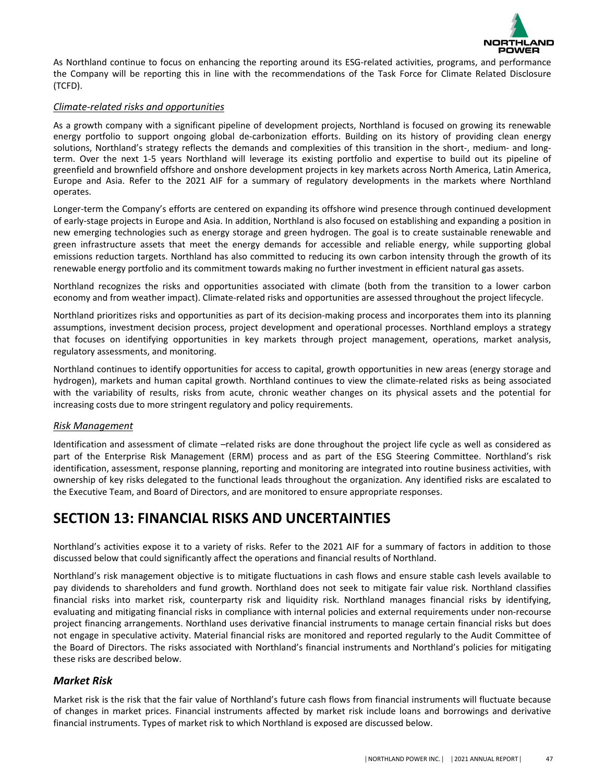

<span id="page-37-0"></span>As Northland continue to focus on enhancing the reporting around its ESG-related activities, programs, and performance the Company will be reporting this in line with the recommendations of the Task Force for Climate Related Disclosure (TCFD).

### *Climate-related risks and opportunities*

As a growth company with a significant pipeline of development projects, Northland is focused on growing its renewable energy portfolio to support ongoing global de-carbonization efforts. Building on its history of providing clean energy solutions, Northland's strategy reflects the demands and complexities of this transition in the short-, medium- and longterm. Over the next 1-5 years Northland will leverage its existing portfolio and expertise to build out its pipeline of greenfield and brownfield offshore and onshore development projects in key markets across North America, Latin America, Europe and Asia. Refer to the 2021 AIF for a summary of regulatory developments in the markets where Northland operates. 

Longer-term the Company's efforts are centered on expanding its offshore wind presence through continued development of early-stage projects in Europe and Asia. In addition, Northland is also focused on establishing and expanding a position in new emerging technologies such as energy storage and green hydrogen. The goal is to create sustainable renewable and green infrastructure assets that meet the energy demands for accessible and reliable energy, while supporting global emissions reduction targets. Northland has also committed to reducing its own carbon intensity through the growth of its renewable energy portfolio and its commitment towards making no further investment in efficient natural gas assets.

Northland recognizes the risks and opportunities associated with climate (both from the transition to a lower carbon economy and from weather impact). Climate-related risks and opportunities are assessed throughout the project lifecycle.

Northland prioritizes risks and opportunities as part of its decision-making process and incorporates them into its planning assumptions, investment decision process, project development and operational processes. Northland employs a strategy that focuses on identifying opportunities in key markets through project management, operations, market analysis, regulatory assessments, and monitoring.

Northland continues to identify opportunities for access to capital, growth opportunities in new areas (energy storage and hydrogen), markets and human capital growth. Northland continues to view the climate-related risks as being associated with the variability of results, risks from acute, chronic weather changes on its physical assets and the potential for increasing costs due to more stringent regulatory and policy requirements.

### *Risk Management*

Identification and assessment of climate -related risks are done throughout the project life cycle as well as considered as part of the Enterprise Risk Management (ERM) process and as part of the ESG Steering Committee. Northland's risk identification, assessment, response planning, reporting and monitoring are integrated into routine business activities, with ownership of key risks delegated to the functional leads throughout the organization. Any identified risks are escalated to the Executive Team, and Board of Directors, and are monitored to ensure appropriate responses.

# **SECTION 13: FINANCIAL RISKS AND UNCERTAINTIES**

Northland's activities expose it to a variety of risks. Refer to the 2021 AIF for a summary of factors in addition to those discussed below that could significantly affect the operations and financial results of Northland.

Northland's risk management objective is to mitigate fluctuations in cash flows and ensure stable cash levels available to pay dividends to shareholders and fund growth. Northland does not seek to mitigate fair value risk. Northland classifies financial risks into market risk, counterparty risk and liquidity risk. Northland manages financial risks by identifying, evaluating and mitigating financial risks in compliance with internal policies and external requirements under non-recourse project financing arrangements. Northland uses derivative financial instruments to manage certain financial risks but does not engage in speculative activity. Material financial risks are monitored and reported regularly to the Audit Committee of the Board of Directors. The risks associated with Northland's financial instruments and Northland's policies for mitigating these risks are described below.

### *Market Risk*

Market risk is the risk that the fair value of Northland's future cash flows from financial instruments will fluctuate because of changes in market prices. Financial instruments affected by market risk include loans and borrowings and derivative financial instruments. Types of market risk to which Northland is exposed are discussed below.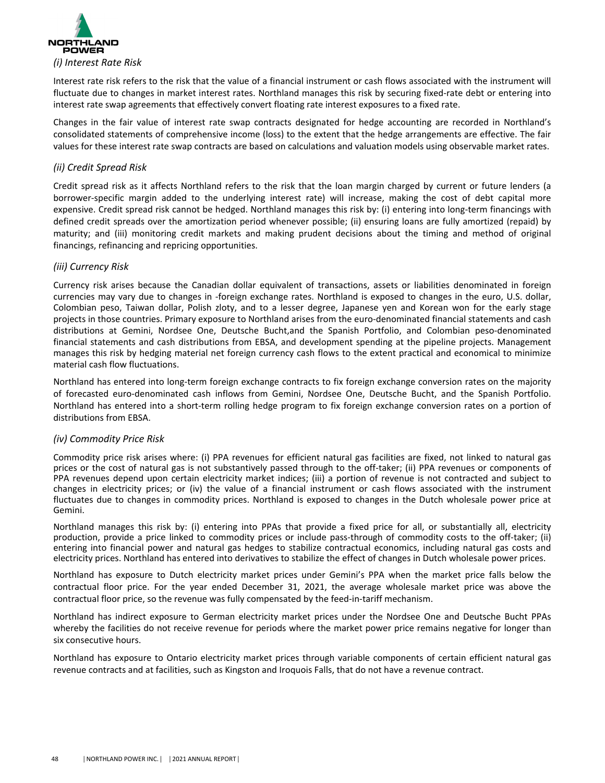

Interest rate risk refers to the risk that the value of a financial instrument or cash flows associated with the instrument will fluctuate due to changes in market interest rates. Northland manages this risk by securing fixed-rate debt or entering into interest rate swap agreements that effectively convert floating rate interest exposures to a fixed rate.

Changes in the fair value of interest rate swap contracts designated for hedge accounting are recorded in Northland's consolidated statements of comprehensive income (loss) to the extent that the hedge arrangements are effective. The fair values for these interest rate swap contracts are based on calculations and valuation models using observable market rates.

### *(ii) Credit Spread Risk*

Credit spread risk as it affects Northland refers to the risk that the loan margin charged by current or future lenders (a borrower-specific margin added to the underlying interest rate) will increase, making the cost of debt capital more expensive. Credit spread risk cannot be hedged. Northland manages this risk by: (i) entering into long-term financings with defined credit spreads over the amortization period whenever possible; (ii) ensuring loans are fully amortized (repaid) by maturity; and (iii) monitoring credit markets and making prudent decisions about the timing and method of original financings, refinancing and repricing opportunities.

# *(iii) Currency Risk*

Currency risk arises because the Canadian dollar equivalent of transactions, assets or liabilities denominated in foreign currencies may vary due to changes in -foreign exchange rates. Northland is exposed to changes in the euro, U.S. dollar, Colombian peso, Taiwan dollar, Polish zloty, and to a lesser degree, Japanese yen and Korean won for the early stage projects in those countries. Primary exposure to Northland arises from the euro-denominated financial statements and cash distributions at Gemini, Nordsee One, Deutsche Bucht,and the Spanish Portfolio, and Colombian peso-denominated financial statements and cash distributions from EBSA, and development spending at the pipeline projects. Management manages this risk by hedging material net foreign currency cash flows to the extent practical and economical to minimize material cash flow fluctuations.

Northland has entered into long-term foreign exchange contracts to fix foreign exchange conversion rates on the majority of forecasted euro-denominated cash inflows from Gemini, Nordsee One, Deutsche Bucht, and the Spanish Portfolio. Northland has entered into a short-term rolling hedge program to fix foreign exchange conversion rates on a portion of distributions from EBSA.

### *(iv) Commodity Price Risk*

Commodity price risk arises where: (i) PPA revenues for efficient natural gas facilities are fixed, not linked to natural gas prices or the cost of natural gas is not substantively passed through to the off-taker; (ii) PPA revenues or components of PPA revenues depend upon certain electricity market indices; (iii) a portion of revenue is not contracted and subject to changes in electricity prices; or (iv) the value of a financial instrument or cash flows associated with the instrument fluctuates due to changes in commodity prices. Northland is exposed to changes in the Dutch wholesale power price at Gemini.

Northland manages this risk by: (i) entering into PPAs that provide a fixed price for all, or substantially all, electricity production, provide a price linked to commodity prices or include pass-through of commodity costs to the off-taker; (ii) entering into financial power and natural gas hedges to stabilize contractual economics, including natural gas costs and electricity prices. Northland has entered into derivatives to stabilize the effect of changes in Dutch wholesale power prices.

Northland has exposure to Dutch electricity market prices under Gemini's PPA when the market price falls below the contractual floor price. For the year ended December 31, 2021, the average wholesale market price was above the contractual floor price, so the revenue was fully compensated by the feed-in-tariff mechanism.

Northland has indirect exposure to German electricity market prices under the Nordsee One and Deutsche Bucht PPAs whereby the facilities do not receive revenue for periods where the market power price remains negative for longer than six consecutive hours.

Northland has exposure to Ontario electricity market prices through variable components of certain efficient natural gas revenue contracts and at facilities, such as Kingston and Iroquois Falls, that do not have a revenue contract.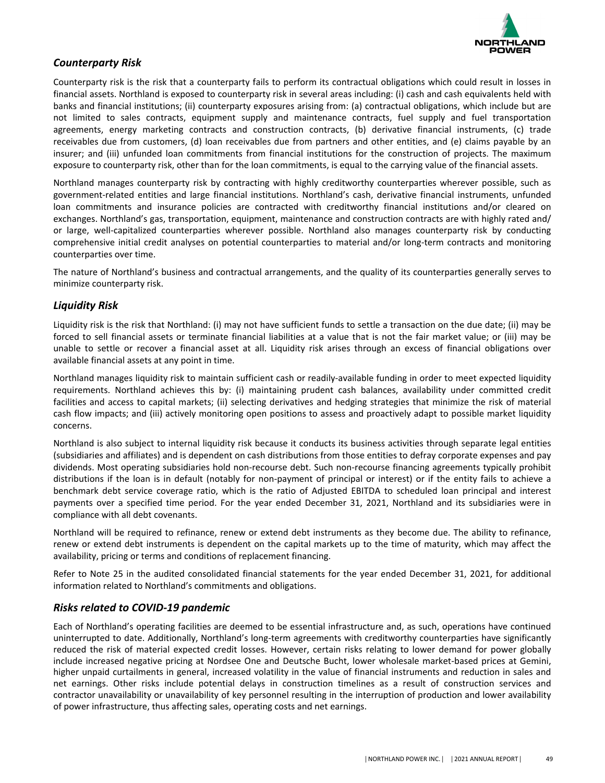

# *Counterparty Risk*

Counterparty risk is the risk that a counterparty fails to perform its contractual obligations which could result in losses in financial assets. Northland is exposed to counterparty risk in several areas including: (i) cash and cash equivalents held with banks and financial institutions; (ii) counterparty exposures arising from: (a) contractual obligations, which include but are not limited to sales contracts, equipment supply and maintenance contracts, fuel supply and fuel transportation agreements, energy marketing contracts and construction contracts, (b) derivative financial instruments, (c) trade receivables due from customers, (d) loan receivables due from partners and other entities, and (e) claims payable by an insurer; and (iii) unfunded loan commitments from financial institutions for the construction of projects. The maximum exposure to counterparty risk, other than for the loan commitments, is equal to the carrying value of the financial assets.

Northland manages counterparty risk by contracting with highly creditworthy counterparties wherever possible, such as government-related entities and large financial institutions. Northland's cash, derivative financial instruments, unfunded loan commitments and insurance policies are contracted with creditworthy financial institutions and/or cleared on exchanges. Northland's gas, transportation, equipment, maintenance and construction contracts are with highly rated and/ or large, well-capitalized counterparties wherever possible. Northland also manages counterparty risk by conducting comprehensive initial credit analyses on potential counterparties to material and/or long-term contracts and monitoring counterparties over time.

The nature of Northland's business and contractual arrangements, and the quality of its counterparties generally serves to minimize counterparty risk.

# *Liquidity Risk*

Liquidity risk is the risk that Northland: (i) may not have sufficient funds to settle a transaction on the due date; (ii) may be forced to sell financial assets or terminate financial liabilities at a value that is not the fair market value; or (iii) may be unable to settle or recover a financial asset at all. Liquidity risk arises through an excess of financial obligations over available financial assets at any point in time.

Northland manages liquidity risk to maintain sufficient cash or readily-available funding in order to meet expected liquidity requirements. Northland achieves this by: (i) maintaining prudent cash balances, availability under committed credit facilities and access to capital markets; (ii) selecting derivatives and hedging strategies that minimize the risk of material cash flow impacts; and (iii) actively monitoring open positions to assess and proactively adapt to possible market liquidity concerns.

Northland is also subject to internal liquidity risk because it conducts its business activities through separate legal entities (subsidiaries and affiliates) and is dependent on cash distributions from those entities to defray corporate expenses and pay dividends. Most operating subsidiaries hold non-recourse debt. Such non-recourse financing agreements typically prohibit distributions if the loan is in default (notably for non-payment of principal or interest) or if the entity fails to achieve a benchmark debt service coverage ratio, which is the ratio of Adjusted EBITDA to scheduled loan principal and interest payments over a specified time period. For the year ended December 31, 2021, Northland and its subsidiaries were in compliance with all debt covenants.

Northland will be required to refinance, renew or extend debt instruments as they become due. The ability to refinance, renew or extend debt instruments is dependent on the capital markets up to the time of maturity, which may affect the availability, pricing or terms and conditions of replacement financing.

Refer to Note 25 in the audited consolidated financial statements for the year ended December 31, 2021, for additional information related to Northland's commitments and obligations.

# *Risks related to COVID-19 pandemic*

Each of Northland's operating facilities are deemed to be essential infrastructure and, as such, operations have continued uninterrupted to date. Additionally, Northland's long-term agreements with creditworthy counterparties have significantly reduced the risk of material expected credit losses. However, certain risks relating to lower demand for power globally include increased negative pricing at Nordsee One and Deutsche Bucht, lower wholesale market-based prices at Gemini, higher unpaid curtailments in general, increased volatility in the value of financial instruments and reduction in sales and net earnings. Other risks include potential delays in construction timelines as a result of construction services and contractor unavailability or unavailability of key personnel resulting in the interruption of production and lower availability of power infrastructure, thus affecting sales, operating costs and net earnings.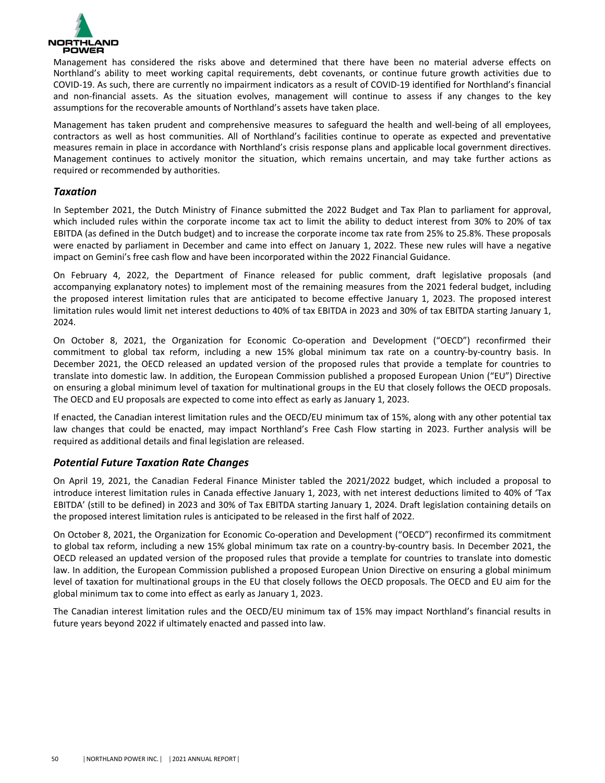

Management has considered the risks above and determined that there have been no material adverse effects on Northland's ability to meet working capital requirements, debt covenants, or continue future growth activities due to COVID-19. As such, there are currently no impairment indicators as a result of COVID-19 identified for Northland's financial and non-financial assets. As the situation evolves, management will continue to assess if any changes to the key assumptions for the recoverable amounts of Northland's assets have taken place.

Management has taken prudent and comprehensive measures to safeguard the health and well-being of all employees, contractors as well as host communities. All of Northland's facilities continue to operate as expected and preventative measures remain in place in accordance with Northland's crisis response plans and applicable local government directives. Management continues to actively monitor the situation, which remains uncertain, and may take further actions as required or recommended by authorities.

### *Taxation*

In September 2021, the Dutch Ministry of Finance submitted the 2022 Budget and Tax Plan to parliament for approval, which included rules within the corporate income tax act to limit the ability to deduct interest from 30% to 20% of tax EBITDA (as defined in the Dutch budget) and to increase the corporate income tax rate from 25% to 25.8%. These proposals were enacted by parliament in December and came into effect on January 1, 2022. These new rules will have a negative impact on Gemini's free cash flow and have been incorporated within the 2022 Financial Guidance.

On February 4, 2022, the Department of Finance released for public comment, draft legislative proposals (and accompanying explanatory notes) to implement most of the remaining measures from the 2021 federal budget, including the proposed interest limitation rules that are anticipated to become effective January 1, 2023. The proposed interest limitation rules would limit net interest deductions to 40% of tax EBITDA in 2023 and 30% of tax EBITDA starting January 1, 2024. 

On October 8, 2021, the Organization for Economic Co-operation and Development ("OECD") reconfirmed their commitment to global tax reform, including a new 15% global minimum tax rate on a country-by-country basis. In December 2021, the OECD released an updated version of the proposed rules that provide a template for countries to translate into domestic law. In addition, the European Commission published a proposed European Union ("EU") Directive on ensuring a global minimum level of taxation for multinational groups in the EU that closely follows the OECD proposals. The OECD and EU proposals are expected to come into effect as early as January 1, 2023.

If enacted, the Canadian interest limitation rules and the OECD/EU minimum tax of 15%, along with any other potential tax law changes that could be enacted, may impact Northland's Free Cash Flow starting in 2023. Further analysis will be required as additional details and final legislation are released.

# *Potential Future Taxation Rate Changes*

On April 19, 2021, the Canadian Federal Finance Minister tabled the 2021/2022 budget, which included a proposal to introduce interest limitation rules in Canada effective January 1, 2023, with net interest deductions limited to 40% of 'Tax EBITDA' (still to be defined) in 2023 and 30% of Tax EBITDA starting January 1, 2024. Draft legislation containing details on the proposed interest limitation rules is anticipated to be released in the first half of 2022.

On October 8, 2021, the Organization for Economic Co-operation and Development ("OECD") reconfirmed its commitment to global tax reform, including a new 15% global minimum tax rate on a country-by-country basis. In December 2021, the OECD released an updated version of the proposed rules that provide a template for countries to translate into domestic law. In addition, the European Commission published a proposed European Union Directive on ensuring a global minimum level of taxation for multinational groups in the EU that closely follows the OECD proposals. The OECD and EU aim for the global minimum tax to come into effect as early as January 1, 2023.

The Canadian interest limitation rules and the OECD/EU minimum tax of 15% may impact Northland's financial results in future years beyond 2022 if ultimately enacted and passed into law.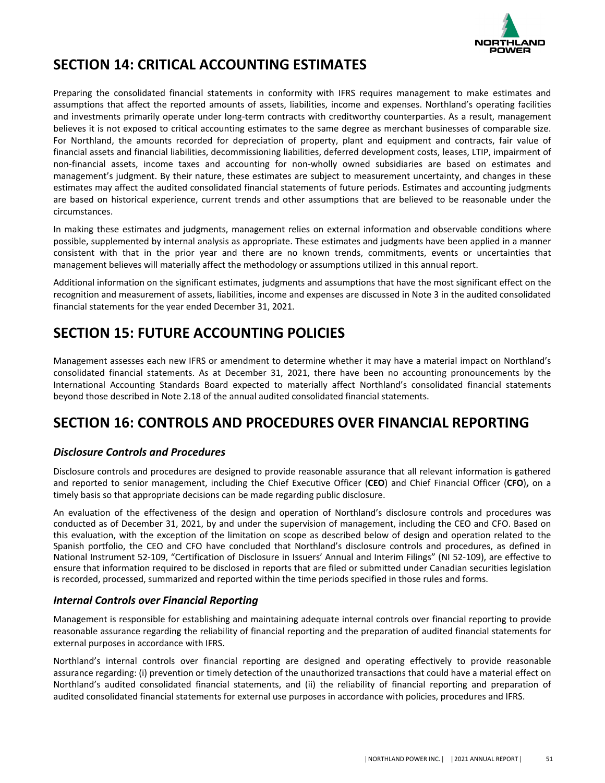

# <span id="page-41-0"></span>**SECTION 14: CRITICAL ACCOUNTING ESTIMATES**

Preparing the consolidated financial statements in conformity with IFRS requires management to make estimates and assumptions that affect the reported amounts of assets, liabilities, income and expenses. Northland's operating facilities and investments primarily operate under long-term contracts with creditworthy counterparties. As a result, management believes it is not exposed to critical accounting estimates to the same degree as merchant businesses of comparable size. For Northland, the amounts recorded for depreciation of property, plant and equipment and contracts, fair value of financial assets and financial liabilities, decommissioning liabilities, deferred development costs, leases, LTIP, impairment of non-financial assets, income taxes and accounting for non-wholly owned subsidiaries are based on estimates and management's judgment. By their nature, these estimates are subject to measurement uncertainty, and changes in these estimates may affect the audited consolidated financial statements of future periods. Estimates and accounting judgments are based on historical experience, current trends and other assumptions that are believed to be reasonable under the circumstances.

In making these estimates and judgments, management relies on external information and observable conditions where possible, supplemented by internal analysis as appropriate. These estimates and judgments have been applied in a manner consistent with that in the prior year and there are no known trends, commitments, events or uncertainties that management believes will materially affect the methodology or assumptions utilized in this annual report.

Additional information on the significant estimates, judgments and assumptions that have the most significant effect on the recognition and measurement of assets, liabilities, income and expenses are discussed in Note 3 in the audited consolidated financial statements for the year ended December 31, 2021.

# **SECTION 15: FUTURE ACCOUNTING POLICIES**

Management assesses each new IFRS or amendment to determine whether it may have a material impact on Northland's consolidated financial statements. As at December 31, 2021, there have been no accounting pronouncements by the International Accounting Standards Board expected to materially affect Northland's consolidated financial statements beyond those described in Note 2.18 of the annual audited consolidated financial statements.

# **SECTION 16: CONTROLS AND PROCEDURES OVER FINANCIAL REPORTING**

# *Disclosure Controls and Procedures*

Disclosure controls and procedures are designed to provide reasonable assurance that all relevant information is gathered and reported to senior management, including the Chief Executive Officer (CEO) and Chief Financial Officer (CFO), on a timely basis so that appropriate decisions can be made regarding public disclosure.

An evaluation of the effectiveness of the design and operation of Northland's disclosure controls and procedures was conducted as of December 31, 2021, by and under the supervision of management, including the CEO and CFO. Based on this evaluation, with the exception of the limitation on scope as described below of design and operation related to the Spanish portfolio, the CEO and CFO have concluded that Northland's disclosure controls and procedures, as defined in National Instrument 52-109, "Certification of Disclosure in Issuers' Annual and Interim Filings" (NI 52-109), are effective to ensure that information required to be disclosed in reports that are filed or submitted under Canadian securities legislation is recorded, processed, summarized and reported within the time periods specified in those rules and forms.

# *Internal Controls over Financial Reporting*

Management is responsible for establishing and maintaining adequate internal controls over financial reporting to provide reasonable assurance regarding the reliability of financial reporting and the preparation of audited financial statements for external purposes in accordance with IFRS.

Northland's internal controls over financial reporting are designed and operating effectively to provide reasonable assurance regarding: (i) prevention or timely detection of the unauthorized transactions that could have a material effect on Northland's audited consolidated financial statements, and (ii) the reliability of financial reporting and preparation of audited consolidated financial statements for external use purposes in accordance with policies, procedures and IFRS.